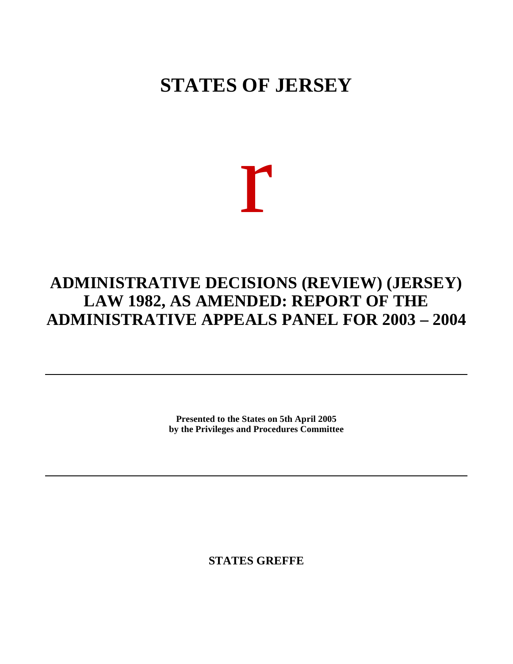# **STATES OF JERSEY**

# r

# **ADMINISTRATIVE DECISIONS (REVIEW) (JERSEY) LAW 1982, AS AMENDED: REPORT OF THE ADMINISTRATIVE APPEALS PANEL FOR 2003 – 2004**

**Presented to the States on 5th April 2005 by the Privileges and Procedures Committee**

**STATES GREFFE**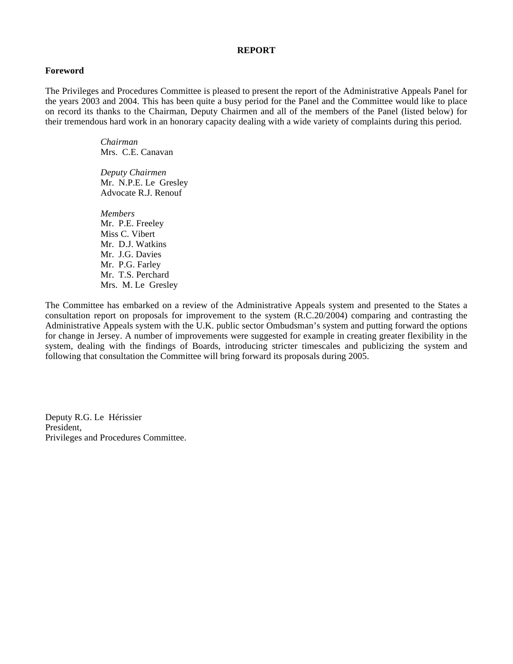#### **REPORT**

#### **Foreword**

The Privileges and Procedures Committee is pleased to present the report of the Administrative Appeals Panel for the years 2003 and 2004. This has been quite a busy period for the Panel and the Committee would like to place on record its thanks to the Chairman, Deputy Chairmen and all of the members of the Panel (listed below) for their tremendous hard work in an honorary capacity dealing with a wide variety of complaints during this period.

> *Chairman* Mrs. C.E. Canavan

 *Deputy Chairmen* Mr. N.P.E. Le Gresley Advocate R.J. Renouf

 *Members* Mr. P.E. Freeley Miss C. Vibert Mr. D.J. Watkins Mr. J.G. Davies Mr. P.G. Farley Mr. T.S. Perchard Mrs. M. Le Gresley

The Committee has embarked on a review of the Administrative Appeals system and presented to the States a consultation report on proposals for improvement to the system (R.C.20/2004) comparing and contrasting the Administrative Appeals system with the U.K. public sector Ombudsman's system and putting forward the options for change in Jersey. A number of improvements were suggested for example in creating greater flexibility in the system, dealing with the findings of Boards, introducing stricter timescales and publicizing the system and following that consultation the Committee will bring forward its proposals during 2005.

Deputy R.G. Le Hérissier President, Privileges and Procedures Committee.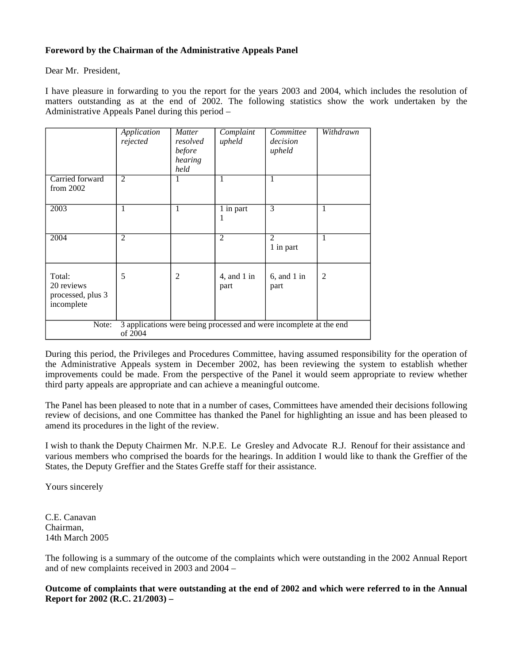# **Foreword by the Chairman of the Administrative Appeals Panel**

Dear Mr. President,

I have pleasure in forwarding to you the report for the years 2003 and 2004, which includes the resolution of matters outstanding as at the end of 2002. The following statistics show the work undertaken by the Administrative Appeals Panel during this period –

|                                                                                        | Application<br>rejected | <b>Matter</b><br>resolved<br>before<br>hearing<br>held | Complaint<br>upheld   | Committee<br>decision<br>upheld | Withdrawn      |
|----------------------------------------------------------------------------------------|-------------------------|--------------------------------------------------------|-----------------------|---------------------------------|----------------|
| Carried forward<br>from 2002                                                           | $\overline{2}$          | 1                                                      | 1                     | 1                               |                |
| 2003                                                                                   | 1                       | 1                                                      | 1 in part             | 3                               | $\mathbf{1}$   |
| 2004                                                                                   | $\overline{2}$          |                                                        | $\overline{2}$        | 2<br>1 in part                  | $\mathbf{1}$   |
| Total:<br>20 reviews<br>processed, plus 3<br>incomplete                                | 5                       | $\overline{2}$                                         | 4, and $1$ in<br>part | $6$ , and $1$ in<br>part        | $\overline{2}$ |
| 3 applications were being processed and were incomplete at the end<br>Note:<br>of 2004 |                         |                                                        |                       |                                 |                |

During this period, the Privileges and Procedures Committee, having assumed responsibility for the operation of the Administrative Appeals system in December 2002, has been reviewing the system to establish whether improvements could be made. From the perspective of the Panel it would seem appropriate to review whether third party appeals are appropriate and can achieve a meaningful outcome.

The Panel has been pleased to note that in a number of cases, Committees have amended their decisions following review of decisions, and one Committee has thanked the Panel for highlighting an issue and has been pleased to amend its procedures in the light of the review.

I wish to thank the Deputy Chairmen Mr. N.P.E. Le Gresley and Advocate R.J. Renouf for their assistance and various members who comprised the boards for the hearings. In addition I would like to thank the Greffier of the States, the Deputy Greffier and the States Greffe staff for their assistance.

Yours sincerely

C.E. Canavan Chairman, 14th March 2005

The following is a summary of the outcome of the complaints which were outstanding in the 2002 Annual Report and of new complaints received in 2003 and 2004 –

**Outcome of complaints that were outstanding at the end of 2002 and which were referred to in the Annual Report for 2002 (R.C. 21/2003) –**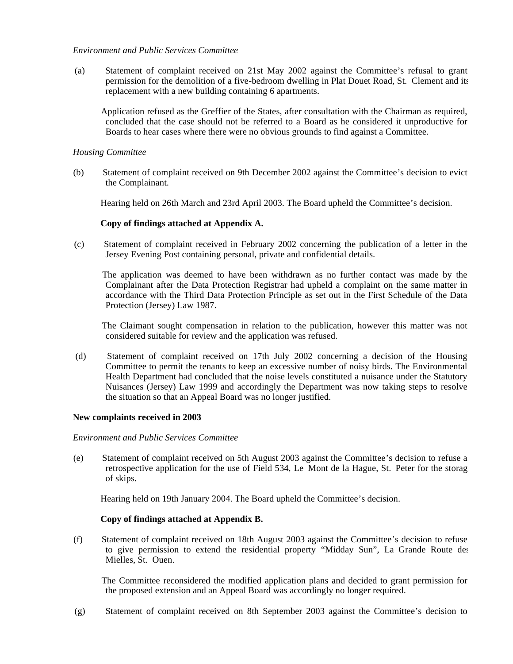# *Environment and Public Services Committee*

 (a) Statement of complaint received on 21st May 2002 against the Committee's refusal to grant permission for the demolition of a five-bedroom dwelling in Plat Douet Road, St. Clement and its replacement with a new building containing 6 apartments.

 Application refused as the Greffier of the States, after consultation with the Chairman as required, concluded that the case should not be referred to a Board as he considered it unproductive for Boards to hear cases where there were no obvious grounds to find against a Committee.

# *Housing Committee*

 (b) Statement of complaint received on 9th December 2002 against the Committee's decision to evict the Complainant.

Hearing held on 26th March and 23rd April 2003. The Board upheld the Committee's decision.

# **Copy of findings attached at Appendix A.**

 (c) Statement of complaint received in February 2002 concerning the publication of a letter in the Jersey Evening Post containing personal, private and confidential details.

 The application was deemed to have been withdrawn as no further contact was made by the Complainant after the Data Protection Registrar had upheld a complaint on the same matter in accordance with the Third Data Protection Principle as set out in the First Schedule of the Data Protection (Jersey) Law 1987.

 The Claimant sought compensation in relation to the publication, however this matter was not considered suitable for review and the application was refused.

 (d) Statement of complaint received on 17th July 2002 concerning a decision of the Housing Committee to permit the tenants to keep an excessive number of noisy birds. The Environmental Health Department had concluded that the noise levels constituted a nuisance under the Statutory Nuisances (Jersey) Law 1999 and accordingly the Department was now taking steps to resolve the situation so that an Appeal Board was no longer justified.

#### **New complaints received in 2003**

#### *Environment and Public Services Committee*

 (e) Statement of complaint received on 5th August 2003 against the Committee's decision to refuse a retrospective application for the use of Field 534, Le Mont de la Hague, St. Peter for the storage of skips.

Hearing held on 19th January 2004. The Board upheld the Committee's decision.

#### **Copy of findings attached at Appendix B.**

 (f) Statement of complaint received on 18th August 2003 against the Committee's decision to refuse to give permission to extend the residential property "Midday Sun", La Grande Route des Mielles, St. Ouen.

 The Committee reconsidered the modified application plans and decided to grant permission for the proposed extension and an Appeal Board was accordingly no longer required.

(g) Statement of complaint received on 8th September 2003 against the Committee's decision to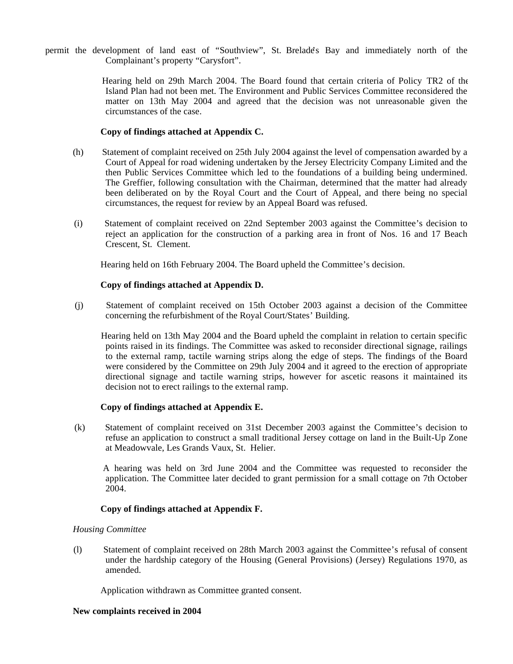permit the development of land east of "Southview", St. Brelade's Bay and immediately north of the Complainant's property "Carysfort".

> Hearing held on 29th March 2004. The Board found that certain criteria of Policy TR2 of the Island Plan had not been met. The Environment and Public Services Committee reconsidered the matter on 13th May 2004 and agreed that the decision was not unreasonable given the circumstances of the case.

# **Copy of findings attached at Appendix C.**

- (h) Statement of complaint received on 25th July 2004 against the level of compensation awarded by a Court of Appeal for road widening undertaken by the Jersey Electricity Company Limited and the then Public Services Committee which led to the foundations of a building being undermined. The Greffier, following consultation with the Chairman, determined that the matter had already been deliberated on by the Royal Court and the Court of Appeal, and there being no special circumstances, the request for review by an Appeal Board was refused.
- (i) Statement of complaint received on 22nd September 2003 against the Committee's decision to reject an application for the construction of a parking area in front of Nos. 16 and 17 Beach Crescent, St. Clement.

Hearing held on 16th February 2004. The Board upheld the Committee's decision.

#### **Copy of findings attached at Appendix D.**

 (j) Statement of complaint received on 15th October 2003 against a decision of the Committee concerning the refurbishment of the Royal Court/States' Building.

 Hearing held on 13th May 2004 and the Board upheld the complaint in relation to certain specific points raised in its findings. The Committee was asked to reconsider directional signage, railings to the external ramp, tactile warning strips along the edge of steps. The findings of the Board were considered by the Committee on 29th July 2004 and it agreed to the erection of appropriate directional signage and tactile warning strips, however for ascetic reasons it maintained its decision not to erect railings to the external ramp.

#### **Copy of findings attached at Appendix E.**

 (k) Statement of complaint received on 31st December 2003 against the Committee's decision to refuse an application to construct a small traditional Jersey cottage on land in the Built-Up Zone at Meadowvale, Les Grands Vaux, St. Helier.

 A hearing was held on 3rd June 2004 and the Committee was requested to reconsider the application. The Committee later decided to grant permission for a small cottage on 7th October 2004.

# **Copy of findings attached at Appendix F.**

#### *Housing Committee*

 (l) Statement of complaint received on 28th March 2003 against the Committee's refusal of consent under the hardship category of the Housing (General Provisions) (Jersey) Regulations 1970, as amended.

Application withdrawn as Committee granted consent.

#### **New complaints received in 2004**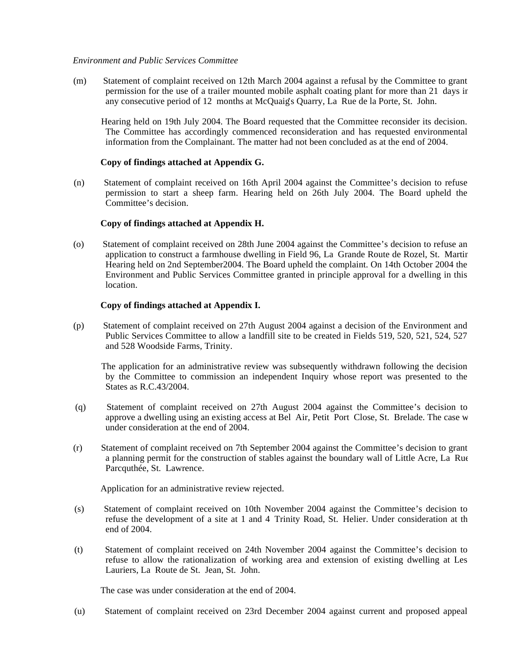#### *Environment and Public Services Committee*

 (m) Statement of complaint received on 12th March 2004 against a refusal by the Committee to grant permission for the use of a trailer mounted mobile asphalt coating plant for more than 21 days in any consecutive period of 12 months at McQuaig's Quarry, La Rue de la Porte, St. John.

 Hearing held on 19th July 2004. The Board requested that the Committee reconsider its decision. The Committee has accordingly commenced reconsideration and has requested environmental information from the Complainant. The matter had not been concluded as at the end of 2004.

# **Copy of findings attached at Appendix G.**

 (n) Statement of complaint received on 16th April 2004 against the Committee's decision to refuse permission to start a sheep farm. Hearing held on 26th July 2004. The Board upheld the Committee's decision.

# **Copy of findings attached at Appendix H.**

 (o) Statement of complaint received on 28th June 2004 against the Committee's decision to refuse an application to construct a farmhouse dwelling in Field 96, La Grande Route de Rozel, St. Martin. Hearing held on 2nd September2004. The Board upheld the complaint. On 14th October 2004 the Environment and Public Services Committee granted in principle approval for a dwelling in this location.

# **Copy of findings attached at Appendix I.**

(p) Statement of complaint received on 27th August 2004 against a decision of the Environment and Public Services Committee to allow a landfill site to be created in Fields 519, 520, 521, 524, 527 and 528 Woodside Farms, Trinity.

 The application for an administrative review was subsequently withdrawn following the decision by the Committee to commission an independent Inquiry whose report was presented to the States as R.C.43/2004.

- (q) Statement of complaint received on 27th August 2004 against the Committee's decision to approve a dwelling using an existing access at Bel Air, Petit Port Close, St. Brelade. The case w under consideration at the end of 2004.
- (r) Statement of complaint received on 7th September 2004 against the Committee's decision to grant a planning permit for the construction of stables against the boundary wall of Little Acre, La Rue Parcquthée, St. Lawrence.

Application for an administrative review rejected.

- (s) Statement of complaint received on 10th November 2004 against the Committee's decision to refuse the development of a site at 1 and 4 Trinity Road, St. Helier. Under consideration at th end of 2004.
- (t) Statement of complaint received on 24th November 2004 against the Committee's decision to refuse to allow the rationalization of working area and extension of existing dwelling at Les Lauriers, La Route de St. Jean, St. John.

The case was under consideration at the end of 2004.

(u) Statement of complaint received on 23rd December 2004 against current and proposed appeal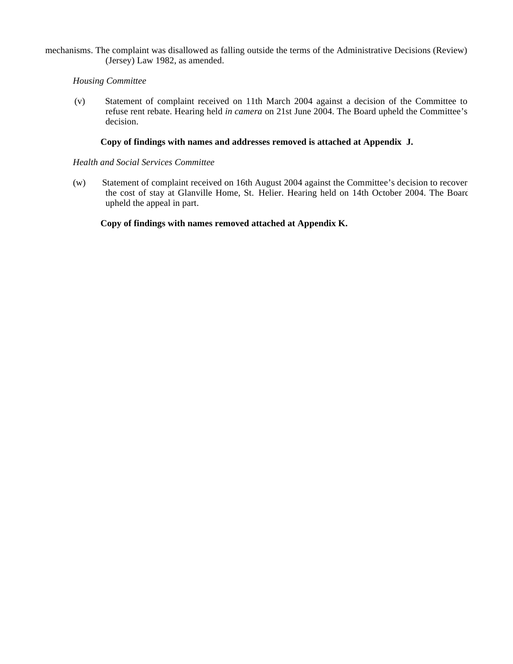mechanisms. The complaint was disallowed as falling outside the terms of the Administrative Decisions (Review) (Jersey) Law 1982, as amended.

# *Housing Committee*

 (v) Statement of complaint received on 11th March 2004 against a decision of the Committee to refuse rent rebate. Hearing held *in camera* on 21st June 2004. The Board upheld the Committee's decision.

# **Copy of findings with names and addresses removed is attached at Appendix J.**

#### *Health and Social Services Committee*

 (w) Statement of complaint received on 16th August 2004 against the Committee's decision to recover the cost of stay at Glanville Home, St. Helier. Hearing held on 14th October 2004. The Board upheld the appeal in part.

**Copy of findings with names removed attached at Appendix K.**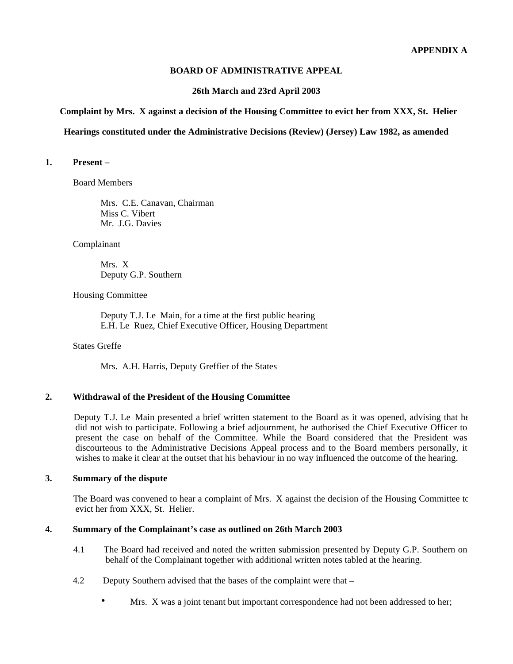# **BOARD OF ADMINISTRATIVE APPEAL**

#### **26th March and 23rd April 2003**

# **Complaint by Mrs. X against a decision of the Housing Committee to evict her from XXX, St. Helier**

#### **Hearings constituted under the Administrative Decisions (Review) (Jersey) Law 1982, as amended**

# **1. Present –**

Board Members

 Mrs. C.E. Canavan, Chairman Miss C. Vibert Mr. J.G. Davies

Complainant

 Mrs. X Deputy G.P. Southern

Housing Committee

 Deputy T.J. Le Main, for a time at the first public hearing E.H. Le Ruez, Chief Executive Officer, Housing Department

States Greffe

Mrs. A.H. Harris, Deputy Greffier of the States

# **2. Withdrawal of the President of the Housing Committee**

 Deputy T.J. Le Main presented a brief written statement to the Board as it was opened, advising that he did not wish to participate. Following a brief adjournment, he authorised the Chief Executive Officer to present the case on behalf of the Committee. While the Board considered that the President was discourteous to the Administrative Decisions Appeal process and to the Board members personally, it wishes to make it clear at the outset that his behaviour in no way influenced the outcome of the hearing.

#### **3. Summary of the dispute**

The Board was convened to hear a complaint of Mrs. X against the decision of the Housing Committee to evict her from XXX, St. Helier.

#### **4. Summary of the Complainant's case as outlined on 26th March 2003**

- 4.1 The Board had received and noted the written submission presented by Deputy G.P. Southern on behalf of the Complainant together with additional written notes tabled at the hearing.
- 4.2 Deputy Southern advised that the bases of the complaint were that
	- Mrs. X was a joint tenant but important correspondence had not been addressed to her;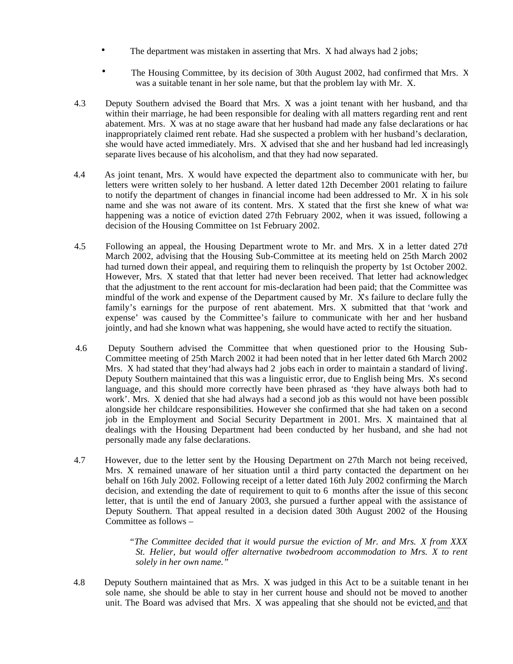- The department was mistaken in asserting that Mrs. X had always had 2 jobs;
- The Housing Committee, by its decision of 30th August 2002, had confirmed that Mrs. X was a suitable tenant in her sole name, but that the problem lay with Mr. X.
- 4.3 Deputy Southern advised the Board that Mrs. X was a joint tenant with her husband, and that within their marriage, he had been responsible for dealing with all matters regarding rent and rent abatement. Mrs. X was at no stage aware that her husband had made any false declarations or had inappropriately claimed rent rebate. Had she suspected a problem with her husband's declaration, she would have acted immediately. Mrs. X advised that she and her husband had led increasingly separate lives because of his alcoholism, and that they had now separated.
- 4.4 As joint tenant, Mrs. X would have expected the department also to communicate with her, but letters were written solely to her husband. A letter dated 12th December 2001 relating to failure to notify the department of changes in financial income had been addressed to Mr. X in his sole name and she was not aware of its content. Mrs. X stated that the first she knew of what was happening was a notice of eviction dated 27th February 2002, when it was issued, following a decision of the Housing Committee on 1st February 2002.
- 4.5 Following an appeal, the Housing Department wrote to Mr. and Mrs. X in a letter dated 27th March 2002, advising that the Housing Sub-Committee at its meeting held on 25th March 2002 had turned down their appeal, and requiring them to relinquish the property by 1st October 2002. However, Mrs. X stated that that letter had never been received. That letter had acknowledged that the adjustment to the rent account for mis-declaration had been paid; that the Committee was mindful of the work and expense of the Department caused by Mr. X's failure to declare fully the family's earnings for the purpose of rent abatement. Mrs. X submitted that that 'work and expense' was caused by the Committee's failure to communicate with her and her husband jointly, and had she known what was happening, she would have acted to rectify the situation.
- 4.6 Deputy Southern advised the Committee that when questioned prior to the Housing Sub-Committee meeting of 25th March 2002 it had been noted that in her letter dated 6th March 2002 Mrs. X had stated that they'had always had 2 jobs each in order to maintain a standard of living'. Deputy Southern maintained that this was a linguistic error, due to English being Mrs. X's second language, and this should more correctly have been phrased as 'they have always both had to work'. Mrs. X denied that she had always had a second job as this would not have been possible alongside her childcare responsibilities. However she confirmed that she had taken on a second job in the Employment and Social Security Department in 2001. Mrs. X maintained that all dealings with the Housing Department had been conducted by her husband, and she had not personally made any false declarations.
- 4.7 However, due to the letter sent by the Housing Department on 27th March not being received, Mrs. X remained unaware of her situation until a third party contacted the department on her behalf on 16th July 2002. Following receipt of a letter dated 16th July 2002 confirming the March decision, and extending the date of requirement to quit to 6 months after the issue of this second letter, that is until the end of January 2003, she pursued a further appeal with the assistance of Deputy Southern. That appeal resulted in a decision dated 30th August 2002 of the Housing Committee as follows –

 *"The Committee decided that it would pursue the eviction of Mr. and Mrs. X from XXX, St. Helier, but would offer alternative two-bedroom accommodation to Mrs. X to rent solely in her own name."*

 4.8 Deputy Southern maintained that as Mrs. X was judged in this Act to be a suitable tenant in her sole name, she should be able to stay in her current house and should not be moved to another unit. The Board was advised that Mrs. X was appealing that she should not be evicted, and that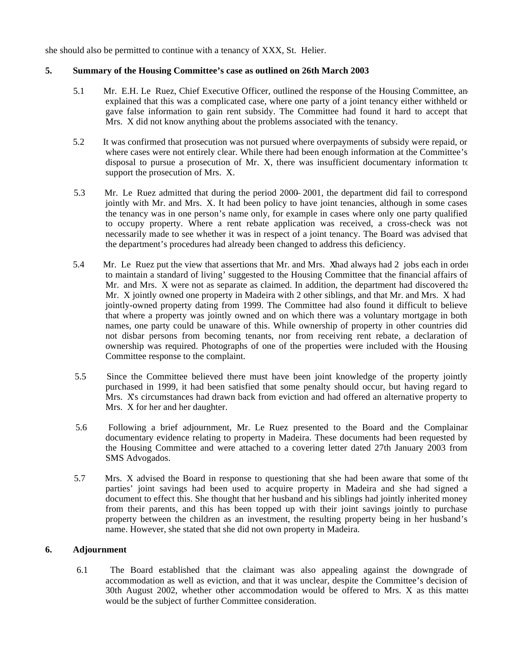she should also be permitted to continue with a tenancy of XXX, St. Helier.

# **5. Summary of the Housing Committee's case as outlined on 26th March 2003**

- 5.1 Mr. E.H. Le Ruez, Chief Executive Officer, outlined the response of the Housing Committee, and explained that this was a complicated case, where one party of a joint tenancy either withheld or gave false information to gain rent subsidy. The Committee had found it hard to accept that Mrs. X did not know anything about the problems associated with the tenancy.
- 5.2 It was confirmed that prosecution was not pursued where overpayments of subsidy were repaid, or where cases were not entirely clear. While there had been enough information at the Committee's disposal to pursue a prosecution of Mr. X, there was insufficient documentary information to support the prosecution of Mrs. X.
- 5.3 Mr. Le Ruez admitted that during the period 2000–2001, the department did fail to correspond jointly with Mr. and Mrs. X. It had been policy to have joint tenancies, although in some cases, the tenancy was in one person's name only, for example in cases where only one party qualified to occupy property. Where a rent rebate application was received, a cross-check was not necessarily made to see whether it was in respect of a joint tenancy. The Board was advised that the department's procedures had already been changed to address this deficiency.
- 5.4 Mr. Le Ruez put the view that assertions that Mr. and Mrs. Xhad always had 2 jobs each in order to maintain a standard of living' suggested to the Housing Committee that the financial affairs of Mr. and Mrs.  $X$  were not as separate as claimed. In addition, the department had discovered that Mr. X jointly owned one property in Madeira with 2 other siblings, and that Mr. and Mrs. X had jointly-owned property dating from 1999. The Committee had also found it difficult to believe that where a property was jointly owned and on which there was a voluntary mortgage in both names, one party could be unaware of this. While ownership of property in other countries did not disbar persons from becoming tenants, nor from receiving rent rebate, a declaration of ownership was required. Photographs of one of the properties were included with the Housing Committee response to the complaint.
- 5.5 Since the Committee believed there must have been joint knowledge of the property jointly purchased in 1999, it had been satisfied that some penalty should occur, but having regard to Mrs. Xs circumstances had drawn back from eviction and had offered an alternative property to Mrs. X for her and her daughter.
- 5.6 Following a brief adjournment, Mr. Le Ruez presented to the Board and the Complainant documentary evidence relating to property in Madeira. These documents had been requested by the Housing Committee and were attached to a covering letter dated 27th January 2003 from SMS Advogados.
- 5.7 Mrs. X advised the Board in response to questioning that she had been aware that some of the parties' joint savings had been used to acquire property in Madeira and she had signed a document to effect this. She thought that her husband and his siblings had jointly inherited money from their parents, and this has been topped up with their joint savings jointly to purchase property between the children as an investment, the resulting property being in her husband's name. However, she stated that she did not own property in Madeira.

# **6. Adjournment**

6.1 The Board established that the claimant was also appealing against the downgrade of accommodation as well as eviction, and that it was unclear, despite the Committee's decision of 30th August 2002, whether other accommodation would be offered to Mrs. X as this matter would be the subject of further Committee consideration.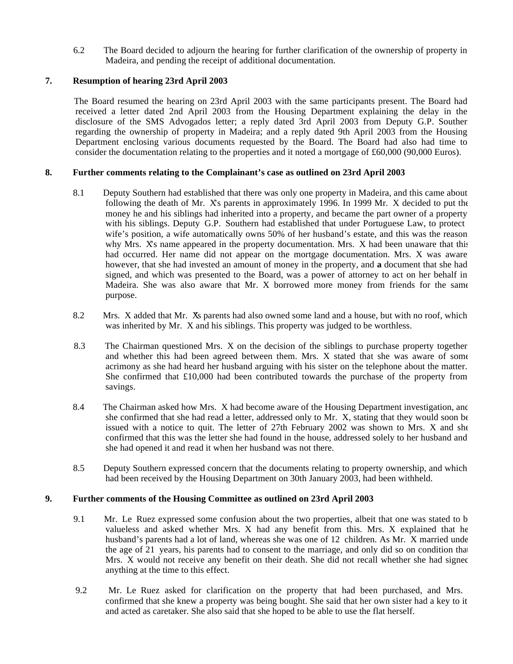6.2 The Board decided to adjourn the hearing for further clarification of the ownership of property in Madeira, and pending the receipt of additional documentation.

# **7. Resumption of hearing 23rd April 2003**

The Board resumed the hearing on 23rd April 2003 with the same participants present. The Board had received a letter dated 2nd April 2003 from the Housing Department explaining the delay in the disclosure of the SMS Advogados letter; a reply dated 3rd April 2003 from Deputy G.P. Southern regarding the ownership of property in Madeira; and a reply dated 9th April 2003 from the Housing Department enclosing various documents requested by the Board. The Board had also had time to consider the documentation relating to the properties and it noted a mortgage of £60,000 (90,000 Euros).

# **8. Further comments relating to the Complainant's case as outlined on 23rd April 2003**

- 8.1 Deputy Southern had established that there was only one property in Madeira, and this came about following the death of Mr. X's parents in approximately 1996. In 1999 Mr. X decided to put the money he and his siblings had inherited into a property, and became the part owner of a property with his siblings. Deputy G.P. Southern had established that under Portuguese Law, to protect wife's position, a wife automatically owns 50% of her husband's estate, and this was the reason why Mrs. Xs name appeared in the property documentation. Mrs. X had been unaware that this had occurred. Her name did not appear on the mortgage documentation. Mrs. X was aware however, that she had invested an amount of money in the property, and **a** document that she had signed, and which was presented to the Board, was a power of attorney to act on her behalf in Madeira. She was also aware that Mr. X borrowed more money from friends for the same purpose.
- 8.2 Mrs. X added that Mr. X's parents had also owned some land and a house, but with no roof, which was inherited by Mr. X and his siblings. This property was judged to be worthless.
- 8.3 The Chairman questioned Mrs. X on the decision of the siblings to purchase property together and whether this had been agreed between them. Mrs. X stated that she was aware of some acrimony as she had heard her husband arguing with his sister on the telephone about the matter. She confirmed that £10,000 had been contributed towards the purchase of the property from savings.
- 8.4 The Chairman asked how Mrs. X had become aware of the Housing Department investigation, and she confirmed that she had read a letter, addressed only to Mr. X, stating that they would soon be issued with a notice to quit. The letter of 27th February 2002 was shown to Mrs. X and she confirmed that this was the letter she had found in the house, addressed solely to her husband and she had opened it and read it when her husband was not there.
- 8.5 Deputy Southern expressed concern that the documents relating to property ownership, and which had been received by the Housing Department on 30th January 2003, had been withheld.

# **9. Further comments of the Housing Committee as outlined on 23rd April 2003**

- 9.1 Mr. Le Ruez expressed some confusion about the two properties, albeit that one was stated to b valueless and asked whether Mrs.  $X$  had any benefit from this. Mrs.  $X$  explained that he husband's parents had a lot of land, whereas she was one of 12 children. As Mr. X married under the age of 21 years, his parents had to consent to the marriage, and only did so on condition that Mrs. X would not receive any benefit on their death. She did not recall whether she had signed anything at the time to this effect.
- 9.2 Mr. Le Ruez asked for clarification on the property that had been purchased, and Mrs. X confirmed that she knew a property was being bought. She said that her own sister had a key to it and acted as caretaker. She also said that she hoped to be able to use the flat herself.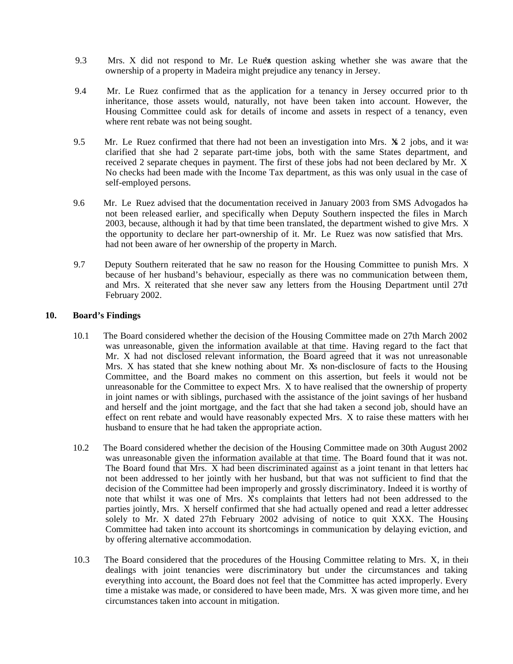- 9.3 Mrs. X did not respond to Mr. Le Ruez's question asking whether she was aware that the ownership of a property in Madeira might prejudice any tenancy in Jersey.
- 9.4 Mr. Le Ruez confirmed that as the application for a tenancy in Jersey occurred prior to the inheritance, those assets would, naturally, not have been taken into account. However, the Housing Committee could ask for details of income and assets in respect of a tenancy, even where rent rebate was not being sought.
- 9.5 Mr. Le Ruez confirmed that there had not been an investigation into Mrs.  $\mathbf{X}$  2 jobs, and it was clarified that she had 2 separate part-time jobs, both with the same States department, and received 2 separate cheques in payment. The first of these jobs had not been declared by Mr. X. No checks had been made with the Income Tax department, as this was only usual in the case of self-employed persons.
- 9.6 Mr. Le Ruez advised that the documentation received in January 2003 from SMS Advogados had not been released earlier, and specifically when Deputy Southern inspected the files in March 2003, because, although it had by that time been translated, the department wished to give Mrs. X the opportunity to declare her part-ownership of it. Mr. Le Ruez was now satisfied that Mrs. X had not been aware of her ownership of the property in March.
- 9.7 Deputy Southern reiterated that he saw no reason for the Housing Committee to punish Mrs. X because of her husband's behaviour, especially as there was no communication between them, and Mrs. X reiterated that she never saw any letters from the Housing Department until 27th February 2002.

# **10. Board's Findings**

- 10.1 The Board considered whether the decision of the Housing Committee made on 27th March 2002 was unreasonable, given the information available at that time. Having regard to the fact that Mr. X had not disclosed relevant information, the Board agreed that it was not unreasonable. Mrs. X has stated that she knew nothing about Mr. X's non-disclosure of facts to the Housing Committee, and the Board makes no comment on this assertion, but feels it would not be unreasonable for the Committee to expect Mrs. X to have realised that the ownership of property, in joint names or with siblings, purchased with the assistance of the joint savings of her husband and herself and the joint mortgage, and the fact that she had taken a second job, should have an effect on rent rebate and would have reasonably expected Mrs. X to raise these matters with her husband to ensure that he had taken the appropriate action.
- 10.2 The Board considered whether the decision of the Housing Committee made on 30th August 2002 was unreasonable given the information available at that time. The Board found that it was not. The Board found that Mrs. X had been discriminated against as a joint tenant in that letters had not been addressed to her jointly with her husband, but that was not sufficient to find that the decision of the Committee had been improperly and grossly discriminatory. Indeed it is worthy of note that whilst it was one of Mrs. X's complaints that letters had not been addressed to the parties jointly, Mrs. X herself confirmed that she had actually opened and read a letter addressed solely to Mr. X dated 27th February 2002 advising of notice to quit XXX. The Housing Committee had taken into account its shortcomings in communication by delaying eviction, and by offering alternative accommodation.
- 10.3 The Board considered that the procedures of the Housing Committee relating to Mrs. X, in their dealings with joint tenancies were discriminatory but under the circumstances and taking everything into account, the Board does not feel that the Committee has acted improperly. Every time a mistake was made, or considered to have been made, Mrs. X was given more time, and her circumstances taken into account in mitigation.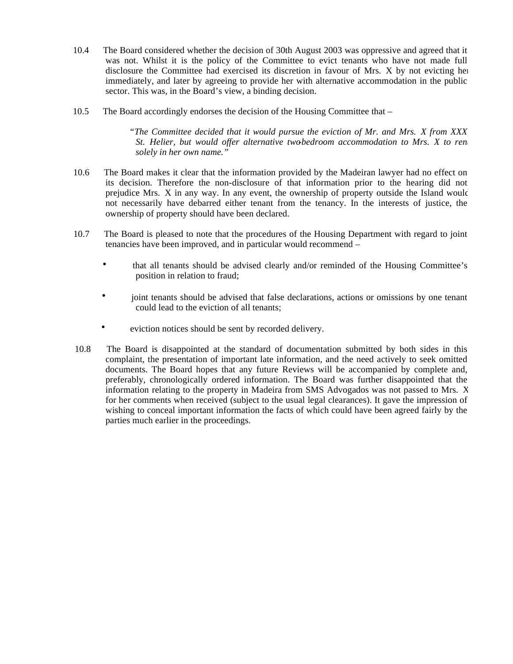- 10.4 The Board considered whether the decision of 30th August 2003 was oppressive and agreed that it was not. Whilst it is the policy of the Committee to evict tenants who have not made full disclosure the Committee had exercised its discretion in favour of Mrs. X by not evicting her immediately, and later by agreeing to provide her with alternative accommodation in the public sector. This was, in the Board's view, a binding decision.
- 10.5 The Board accordingly endorses the decision of the Housing Committee that –

 *"The Committee decided that it would pursue the eviction of Mr. and Mrs. X from XXX, St. Helier, but would offer alternative two-bedroom accommodation to Mrs. X to ren solely in her own name."*

- 10.6 The Board makes it clear that the information provided by the Madeiran lawyer had no effect on its decision. Therefore the non-disclosure of that information prior to the hearing did not prejudice Mrs. X in any way. In any event, the ownership of property outside the Island would not necessarily have debarred either tenant from the tenancy. In the interests of justice, the ownership of property should have been declared.
- 10.7 The Board is pleased to note that the procedures of the Housing Department with regard to joint tenancies have been improved, and in particular would recommend –
	- that all tenants should be advised clearly and/or reminded of the Housing Committee's position in relation to fraud;
	- joint tenants should be advised that false declarations, actions or omissions by one tenant could lead to the eviction of all tenants;
	- eviction notices should be sent by recorded delivery.
- 10.8 The Board is disappointed at the standard of documentation submitted by both sides in this complaint, the presentation of important late information, and the need actively to seek omitted documents. The Board hopes that any future Reviews will be accompanied by complete and, preferably, chronologically ordered information. The Board was further disappointed that the information relating to the property in Madeira from SMS Advogados was not passed to Mrs. X for her comments when received (subject to the usual legal clearances). It gave the impression of wishing to conceal important information the facts of which could have been agreed fairly by the parties much earlier in the proceedings.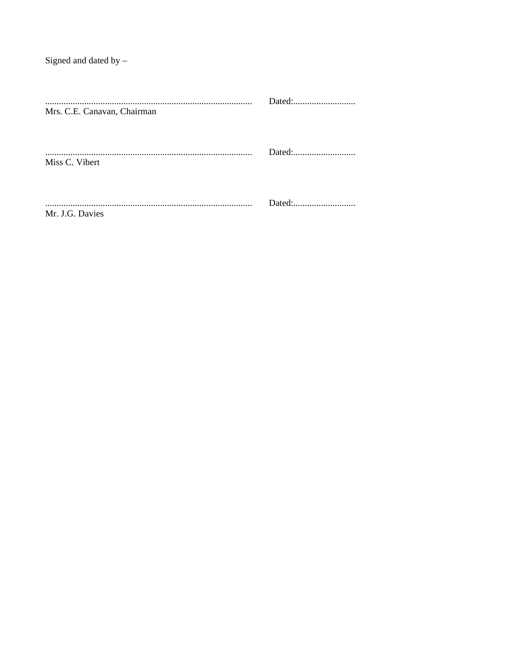Signed and dated by  $-$ 

| Mrs. C.E. Canavan, Chairman |  |
|-----------------------------|--|
| Miss C. Vibert              |  |
| Mr. J.G. Davies             |  |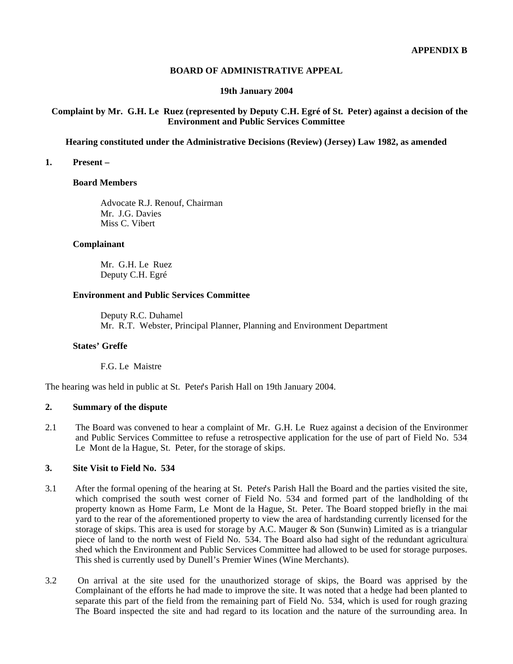# **BOARD OF ADMINISTRATIVE APPEAL**

#### **19th January 2004**

# **Complaint by Mr. G.H. Le Ruez (represented by Deputy C.H. Egré of St. Peter) against a decision of the Environment and Public Services Committee**

#### **Hearing constituted under the Administrative Decisions (Review) (Jersey) Law 1982, as amended**

#### **1. Present –**

#### **Board Members**

 Advocate R.J. Renouf, Chairman Mr. J.G. Davies Miss C. Vibert

# **Complainant**

 Mr. G.H. Le Ruez Deputy C.H. Egré

# **Environment and Public Services Committee**

 Deputy R.C. Duhamel Mr. R.T. Webster, Principal Planner, Planning and Environment Department

#### **States' Greffe**

F.G. Le Maistre

The hearing was held in public at St. Peter's Parish Hall on 19th January 2004.

# **2. Summary of the dispute**

2.1 The Board was convened to hear a complaint of Mr. G.H. Le Ruez against a decision of the Environment and Public Services Committee to refuse a retrospective application for the use of part of Field No. 534, Le Mont de la Hague, St. Peter, for the storage of skips.

# **3. Site Visit to Field No. 534**

- 3.1 After the formal opening of the hearing at St. Peter's Parish Hall the Board and the parties visited the site, which comprised the south west corner of Field No. 534 and formed part of the landholding of the property known as Home Farm, Le Mont de la Hague, St. Peter. The Board stopped briefly in the main yard to the rear of the aforementioned property to view the area of hardstanding currently licensed for the storage of skips. This area is used for storage by A.C. Mauger & Son (Sunwin) Limited as is a triangular piece of land to the north west of Field No. 534. The Board also had sight of the redundant agricultural shed which the Environment and Public Services Committee had allowed to be used for storage purposes. This shed is currently used by Dunell's Premier Wines (Wine Merchants).
- 3.2 On arrival at the site used for the unauthorized storage of skips, the Board was apprised by the Complainant of the efforts he had made to improve the site. It was noted that a hedge had been planted to separate this part of the field from the remaining part of Field No. 534, which is used for rough grazing. The Board inspected the site and had regard to its location and the nature of the surrounding area. In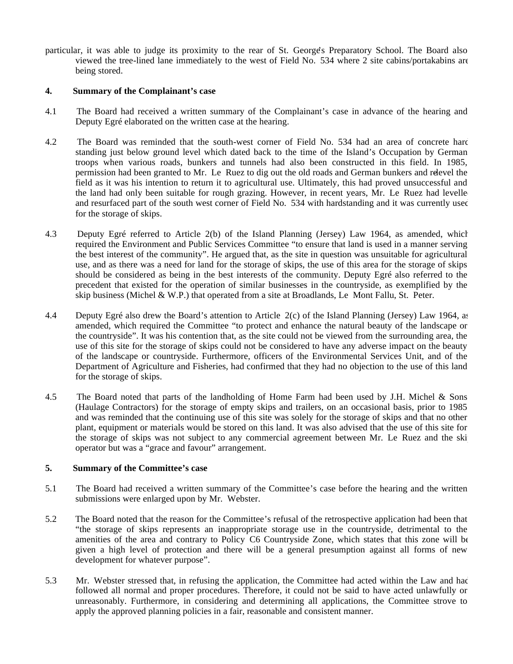particular, it was able to judge its proximity to the rear of St. George's Preparatory School. The Board also viewed the tree-lined lane immediately to the west of Field No. 534 where 2 site cabins/portakabins are being stored.

# **4. Summary of the Complainant's case**

- 4.1 The Board had received a written summary of the Complainant's case in advance of the hearing and Deputy Egré elaborated on the written case at the hearing.
- 4.2 The Board was reminded that the south-west corner of Field No. 534 had an area of concrete hard standing just below ground level which dated back to the time of the Island's Occupation by German troops when various roads, bunkers and tunnels had also been constructed in this field. In 1985, permission had been granted to Mr. Le Ruez to dig out the old roads and German bunkers and relevel the field as it was his intention to return it to agricultural use. Ultimately, this had proved unsuccessful and the land had only been suitable for rough grazing. However, in recent years, Mr. Le Ruez had levelle and resurfaced part of the south west corner of Field No. 534 with hardstanding and it was currently used for the storage of skips.
- 4.3 Deputy Egré referred to Article 2(b) of the Island Planning (Jersey) Law 1964, as amended, which required the Environment and Public Services Committee "to ensure that land is used in a manner serving the best interest of the community". He argued that, as the site in question was unsuitable for agricultural use, and as there was a need for land for the storage of skips, the use of this area for the storage of skips should be considered as being in the best interests of the community. Deputy Egré also referred to the precedent that existed for the operation of similar businesses in the countryside, as exemplified by the skip business (Michel & W.P.) that operated from a site at Broadlands, Le Mont Fallu, St. Peter.
- 4.4 Deputy Egré also drew the Board's attention to Article 2(c) of the Island Planning (Jersey) Law 1964, as amended, which required the Committee "to protect and enhance the natural beauty of the landscape or the countryside". It was his contention that, as the site could not be viewed from the surrounding area, the use of this site for the storage of skips could not be considered to have any adverse impact on the beauty of the landscape or countryside. Furthermore, officers of the Environmental Services Unit, and of the Department of Agriculture and Fisheries, had confirmed that they had no objection to the use of this land for the storage of skips.
- 4.5 The Board noted that parts of the landholding of Home Farm had been used by J.H. Michel & Sons (Haulage Contractors) for the storage of empty skips and trailers, on an occasional basis, prior to 1985 and was reminded that the continuing use of this site was solely for the storage of skips and that no other plant, equipment or materials would be stored on this land. It was also advised that the use of this site for the storage of skips was not subject to any commercial agreement between Mr. Le Ruez and the skip operator but was a "grace and favour" arrangement.

# **5. Summary of the Committee's case**

- 5.1 The Board had received a written summary of the Committee's case before the hearing and the written submissions were enlarged upon by Mr. Webster.
- 5.2 The Board noted that the reason for the Committee's refusal of the retrospective application had been that "the storage of skips represents an inappropriate storage use in the countryside, detrimental to the amenities of the area and contrary to Policy C6 Countryside Zone, which states that this zone will be given a high level of protection and there will be a general presumption against all forms of new development for whatever purpose".
- 5.3 Mr. Webster stressed that, in refusing the application, the Committee had acted within the Law and had followed all normal and proper procedures. Therefore, it could not be said to have acted unlawfully or unreasonably. Furthermore, in considering and determining all applications, the Committee strove to apply the approved planning policies in a fair, reasonable and consistent manner.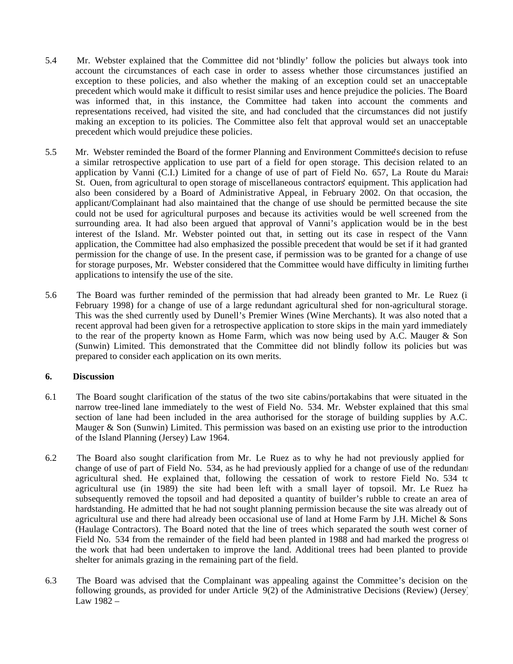- 5.4 Mr. Webster explained that the Committee did not 'blindly' follow the policies but always took into account the circumstances of each case in order to assess whether those circumstances justified an exception to these policies, and also whether the making of an exception could set an unacceptable precedent which would make it difficult to resist similar uses and hence prejudice the policies. The Board was informed that, in this instance, the Committee had taken into account the comments and representations received, had visited the site, and had concluded that the circumstances did not justify making an exception to its policies. The Committee also felt that approval would set an unacceptable precedent which would prejudice these policies.
- 5.5 Mr. Webster reminded the Board of the former Planning and Environment Committee's decision to refuse a similar retrospective application to use part of a field for open storage. This decision related to an application by Vanni (C.I.) Limited for a change of use of part of Field No. 657, La Route du Marais, St. Ouen, from agricultural to open storage of miscellaneous contractors' equipment. This application had also been considered by a Board of Administrative Appeal, in February 2002. On that occasion, the applicant/Complainant had also maintained that the change of use should be permitted because the site could not be used for agricultural purposes and because its activities would be well screened from the surrounding area. It had also been argued that approval of Vanni's application would be in the best interest of the Island. Mr. Webster pointed out that, in setting out its case in respect of the Vanni application, the Committee had also emphasized the possible precedent that would be set if it had granted permission for the change of use. In the present case, if permission was to be granted for a change of use for storage purposes, Mr. Webster considered that the Committee would have difficulty in limiting further applications to intensify the use of the site.
- 5.6 The Board was further reminded of the permission that had already been granted to Mr. Le Ruez (i February 1998) for a change of use of a large redundant agricultural shed for non-agricultural storage. This was the shed currently used by Dunell's Premier Wines (Wine Merchants). It was also noted that a recent approval had been given for a retrospective application to store skips in the main yard immediately to the rear of the property known as Home Farm, which was now being used by A.C. Mauger & Son (Sunwin) Limited. This demonstrated that the Committee did not blindly follow its policies but was prepared to consider each application on its own merits.

# **6. Discussion**

- 6.1 The Board sought clarification of the status of the two site cabins/portakabins that were situated in the narrow tree-lined lane immediately to the west of Field No. 534. Mr. Webster explained that this small section of lane had been included in the area authorised for the storage of building supplies by A.C. Mauger & Son (Sunwin) Limited. This permission was based on an existing use prior to the introduction of the Island Planning (Jersey) Law 1964.
- 6.2 The Board also sought clarification from Mr. Le Ruez as to why he had not previously applied for a change of use of part of Field No. 534, as he had previously applied for a change of use of the redundant agricultural shed. He explained that, following the cessation of work to restore Field No. 534 to agricultural use (in 1989) the site had been left with a small layer of topsoil. Mr. Le Ruez ha subsequently removed the topsoil and had deposited a quantity of builder's rubble to create an area of hardstanding. He admitted that he had not sought planning permission because the site was already out of agricultural use and there had already been occasional use of land at Home Farm by J.H. Michel & Sons (Haulage Contractors). The Board noted that the line of trees which separated the south west corner of Field No. 534 from the remainder of the field had been planted in 1988 and had marked the progress of the work that had been undertaken to improve the land. Additional trees had been planted to provide shelter for animals grazing in the remaining part of the field.
- 6.3 The Board was advised that the Complainant was appealing against the Committee's decision on the following grounds, as provided for under Article 9(2) of the Administrative Decisions (Review) (Jersey) Law 1982 –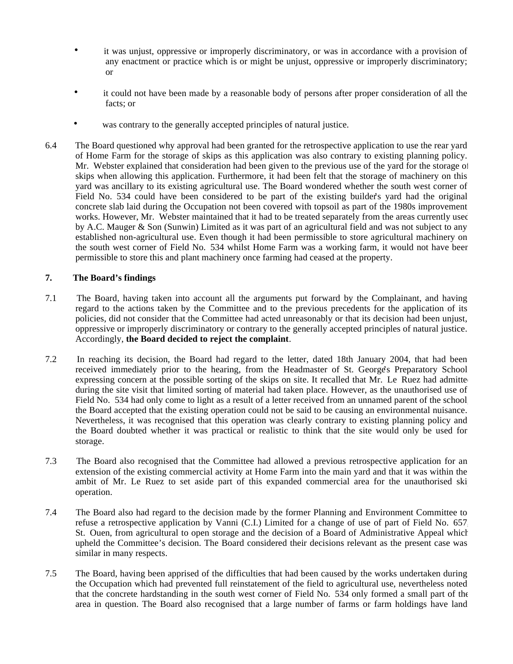- it was unjust, oppressive or improperly discriminatory, or was in accordance with a provision of any enactment or practice which is or might be unjust, oppressive or improperly discriminatory; or
- it could not have been made by a reasonable body of persons after proper consideration of all the facts; or
- was contrary to the generally accepted principles of natural justice.
- 6.4 The Board questioned why approval had been granted for the retrospective application to use the rear yard of Home Farm for the storage of skips as this application was also contrary to existing planning policy. Mr. Webster explained that consideration had been given to the previous use of the yard for the storage of skips when allowing this application. Furthermore, it had been felt that the storage of machinery on this yard was ancillary to its existing agricultural use. The Board wondered whether the south west corner of Field No. 534 could have been considered to be part of the existing builder's yard had the original concrete slab laid during the Occupation not been covered with topsoil as part of the 1980s improvement works. However, Mr. Webster maintained that it had to be treated separately from the areas currently used by A.C. Mauger & Son (Sunwin) Limited as it was part of an agricultural field and was not subject to any established non-agricultural use. Even though it had been permissible to store agricultural machinery on the south west corner of Field No. 534 whilst Home Farm was a working farm, it would not have been permissible to store this and plant machinery once farming had ceased at the property.

# **7. The Board's findings**

- 7.1 The Board, having taken into account all the arguments put forward by the Complainant, and having regard to the actions taken by the Committee and to the previous precedents for the application of its policies, did not consider that the Committee had acted unreasonably or that its decision had been unjust, oppressive or improperly discriminatory or contrary to the generally accepted principles of natural justice. Accordingly, **the Board decided to reject the complaint**.
- 7.2 In reaching its decision, the Board had regard to the letter, dated 18th January 2004, that had been received immediately prior to the hearing, from the Headmaster of St. George's Preparatory School expressing concern at the possible sorting of the skips on site. It recalled that Mr. Le Ruez had admitted during the site visit that limited sorting of material had taken place. However, as the unauthorised use of Field No. 534 had only come to light as a result of a letter received from an unnamed parent of the school, the Board accepted that the existing operation could not be said to be causing an environmental nuisance. Nevertheless, it was recognised that this operation was clearly contrary to existing planning policy and the Board doubted whether it was practical or realistic to think that the site would only be used for storage.
- 7.3 The Board also recognised that the Committee had allowed a previous retrospective application for an extension of the existing commercial activity at Home Farm into the main yard and that it was within the ambit of Mr. Le Ruez to set aside part of this expanded commercial area for the unauthorised skip operation.
- 7.4 The Board also had regard to the decision made by the former Planning and Environment Committee to refuse a retrospective application by Vanni (C.I.) Limited for a change of use of part of Field No. 657, St. Ouen, from agricultural to open storage and the decision of a Board of Administrative Appeal which upheld the Committee's decision. The Board considered their decisions relevant as the present case was similar in many respects.
- 7.5 The Board, having been apprised of the difficulties that had been caused by the works undertaken during the Occupation which had prevented full reinstatement of the field to agricultural use, nevertheless noted that the concrete hardstanding in the south west corner of Field No. 534 only formed a small part of the area in question. The Board also recognised that a large number of farms or farm holdings have land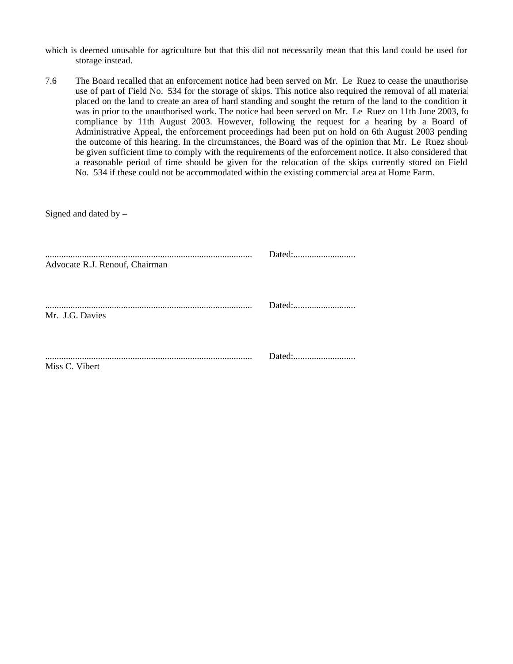- which is deemed unusable for agriculture but that this did not necessarily mean that this land could be used for storage instead.
- 7.6 The Board recalled that an enforcement notice had been served on Mr. Le Ruez to cease the unauthorised use of part of Field No. 534 for the storage of skips. This notice also required the removal of all material placed on the land to create an area of hard standing and sought the return of the land to the condition it was in prior to the unauthorised work. The notice had been served on Mr. Le Ruez on 11th June 2003, for compliance by 11th August 2003. However, following the request for a hearing by a Board of Administrative Appeal, the enforcement proceedings had been put on hold on 6th August 2003 pending the outcome of this hearing. In the circumstances, the Board was of the opinion that Mr. Le Ruez should be given sufficient time to comply with the requirements of the enforcement notice. It also considered that a reasonable period of time should be given for the relocation of the skips currently stored on Field No. 534 if these could not be accommodated within the existing commercial area at Home Farm.

| Signed and dated by $-$        |        |
|--------------------------------|--------|
| Advocate R.J. Renouf, Chairman |        |
| Mr. J.G. Davies                |        |
| Miss C. Vibert                 | Dated: |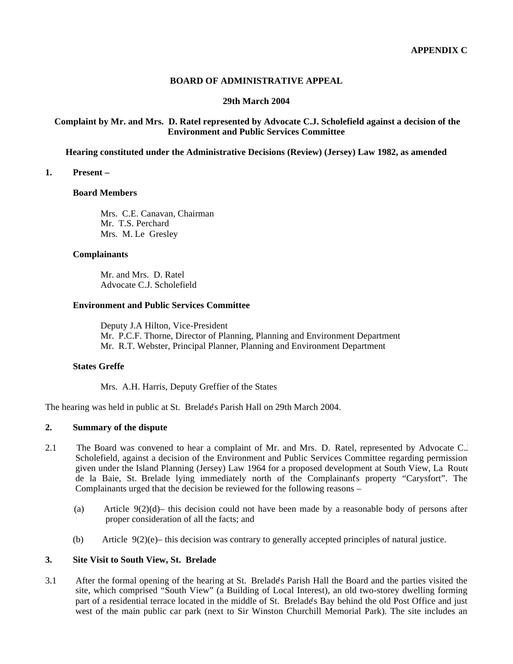# **BOARD OF ADMINISTRATIVE APPEAL**

# **29th March 2004**

# **Complaint by Mr. and Mrs. D. Ratel represented by Advocate C.J. Scholefield against a decision of the Environment and Public Services Committee**

**Hearing constituted under the Administrative Decisions (Review) (Jersey) Law 1982, as amended**

#### **1. Present –**

#### **Board Members**

 Mrs. C.E. Canavan, Chairman Mr. T.S. Perchard Mrs. M. Le Gresley

#### **Complainants**

 Mr. and Mrs. D. Ratel Advocate C.J. Scholefield

#### **Environment and Public Services Committee**

 Deputy J.A Hilton, Vice-President Mr. P.C.F. Thorne, Director of Planning, Planning and Environment Department Mr. R.T. Webster, Principal Planner, Planning and Environment Department

#### **States Greffe**

Mrs. A.H. Harris, Deputy Greffier of the States

The hearing was held in public at St. Brelade's Parish Hall on 29th March 2004.

#### **2. Summary of the dispute**

- 2.1 The Board was convened to hear a complaint of Mr. and Mrs. D. Ratel, represented by Advocate C.J. Scholefield, against a decision of the Environment and Public Services Committee regarding permission given under the Island Planning (Jersey) Law 1964 for a proposed development at South View, La Route de la Baie, St. Brelade lying immediately north of the Complainant's property "Carysfort". The Complainants urged that the decision be reviewed for the following reasons –
	- (a) Article  $9(2)(d)$  this decision could not have been made by a reasonable body of persons after proper consideration of all the facts; and
	- (b) Article  $9(2)(e)$  this decision was contrary to generally accepted principles of natural justice.

#### **3. Site Visit to South View, St. Brelade**

3.1 After the formal opening of the hearing at St. Brelade's Parish Hall the Board and the parties visited the site, which comprised "South View" (a Building of Local Interest), an old two-storey dwelling forming part of a residential terrace located in the middle of St. Brelade's Bay behind the old Post Office and just west of the main public car park (next to Sir Winston Churchill Memorial Park). The site includes an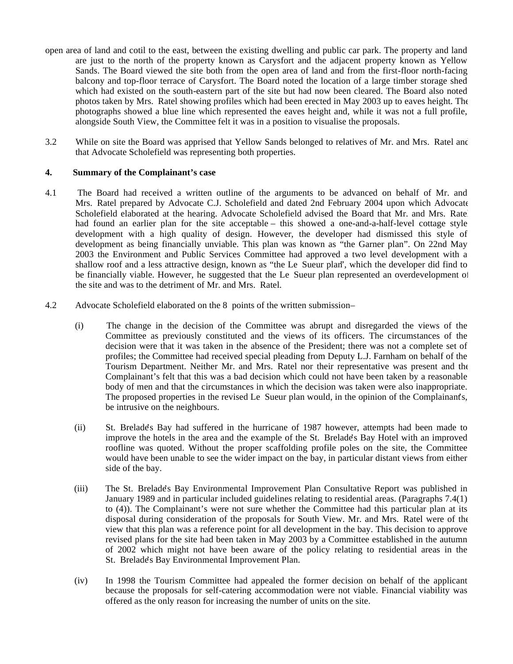- open area of land and cotil to the east, between the existing dwelling and public car park. The property and land are just to the north of the property known as Carysfort and the adjacent property known as Yellow Sands. The Board viewed the site both from the open area of land and from the first-floor north-facing balcony and top-floor terrace of Carysfort. The Board noted the location of a large timber storage shed which had existed on the south-eastern part of the site but had now been cleared. The Board also noted photos taken by Mrs. Ratel showing profiles which had been erected in May 2003 up to eaves height. The photographs showed a blue line which represented the eaves height and, while it was not a full profile, alongside South View, the Committee felt it was in a position to visualise the proposals.
- 3.2 While on site the Board was apprised that Yellow Sands belonged to relatives of Mr. and Mrs. Ratel and that Advocate Scholefield was representing both properties.

# **4. Summary of the Complainant's case**

- 4.1 The Board had received a written outline of the arguments to be advanced on behalf of Mr. and Mrs. Ratel prepared by Advocate C.J. Scholefield and dated 2nd February 2004 upon which Advocate Scholefield elaborated at the hearing. Advocate Scholefield advised the Board that Mr. and Mrs. Ratel had found an earlier plan for the site acceptable – this showed a one-and-a-half-level cottage style development with a high quality of design. However, the developer had dismissed this style of development as being financially unviable. This plan was known as "the Garner plan". On 22nd May 2003 the Environment and Public Services Committee had approved a two level development with a shallow roof and a less attractive design, known as "the Le Sueur plan", which the developer did find to be financially viable. However, he suggested that the Le Sueur plan represented an overdevelopment of the site and was to the detriment of Mr. and Mrs. Ratel.
- 4.2 Advocate Scholefield elaborated on the 8 points of the written submission
	- (i) The change in the decision of the Committee was abrupt and disregarded the views of the Committee as previously constituted and the views of its officers. The circumstances of the decision were that it was taken in the absence of the President; there was not a complete set of profiles; the Committee had received special pleading from Deputy L.J. Farnham on behalf of the Tourism Department. Neither Mr. and Mrs. Ratel nor their representative was present and the Complainant's felt that this was a bad decision which could not have been taken by a reasonable body of men and that the circumstances in which the decision was taken were also inappropriate. The proposed properties in the revised Le Sueur plan would, in the opinion of the Complainant's, be intrusive on the neighbours.
	- (ii) St. Brelade's Bay had suffered in the hurricane of 1987 however, attempts had been made to improve the hotels in the area and the example of the St. Brelade's Bay Hotel with an improved roofline was quoted. Without the proper scaffolding profile poles on the site, the Committee would have been unable to see the wider impact on the bay, in particular distant views from either side of the bay.
	- (iii) The St. Brelade's Bay Environmental Improvement Plan Consultative Report was published in January 1989 and in particular included guidelines relating to residential areas. (Paragraphs 7.4(1) to (4)). The Complainant's were not sure whether the Committee had this particular plan at its disposal during consideration of the proposals for South View. Mr. and Mrs. Ratel were of the view that this plan was a reference point for all development in the bay. This decision to approve revised plans for the site had been taken in May 2003 by a Committee established in the autumn of 2002 which might not have been aware of the policy relating to residential areas in the St. Brelade's Bay Environmental Improvement Plan.
	- (iv) In 1998 the Tourism Committee had appealed the former decision on behalf of the applicant because the proposals for self-catering accommodation were not viable. Financial viability was offered as the only reason for increasing the number of units on the site.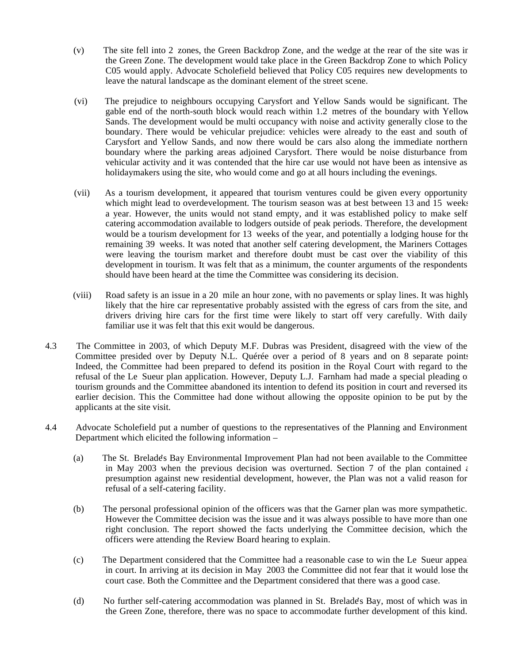- (v) The site fell into 2 zones, the Green Backdrop Zone, and the wedge at the rear of the site was in the Green Zone. The development would take place in the Green Backdrop Zone to which Policy C05 would apply. Advocate Scholefield believed that Policy C05 requires new developments to leave the natural landscape as the dominant element of the street scene.
- (vi) The prejudice to neighbours occupying Carysfort and Yellow Sands would be significant. The gable end of the north-south block would reach within 1.2 metres of the boundary with Yellow Sands. The development would be multi occupancy with noise and activity generally close to the boundary. There would be vehicular prejudice: vehicles were already to the east and south of Carysfort and Yellow Sands, and now there would be cars also along the immediate northern boundary where the parking areas adjoined Carysfort. There would be noise disturbance from vehicular activity and it was contended that the hire car use would not have been as intensive as holidaymakers using the site, who would come and go at all hours including the evenings.
- (vii) As a tourism development, it appeared that tourism ventures could be given every opportunity which might lead to overdevelopment. The tourism season was at best between 13 and 15 weeks a year. However, the units would not stand empty, and it was established policy to make self catering accommodation available to lodgers outside of peak periods. Therefore, the development would be a tourism development for 13 weeks of the year, and potentially a lodging house for the remaining 39 weeks. It was noted that another self catering development, the Mariners Cottages were leaving the tourism market and therefore doubt must be cast over the viability of this development in tourism. It was felt that as a minimum, the counter arguments of the respondents should have been heard at the time the Committee was considering its decision.
- (viii) Road safety is an issue in a 20 mile an hour zone, with no pavements or splay lines. It was highly likely that the hire car representative probably assisted with the egress of cars from the site, and drivers driving hire cars for the first time were likely to start off very carefully. With daily familiar use it was felt that this exit would be dangerous.
- 4.3 The Committee in 2003, of which Deputy M.F. Dubras was President, disagreed with the view of the Committee presided over by Deputy N.L. Quérée over a period of 8 years and on 8 separate points. Indeed, the Committee had been prepared to defend its position in the Royal Court with regard to the refusal of the Le Sueur plan application. However, Deputy L.J. Farnham had made a special pleading on tourism grounds and the Committee abandoned its intention to defend its position in court and reversed its earlier decision. This the Committee had done without allowing the opposite opinion to be put by the applicants at the site visit.
- 4.4 Advocate Scholefield put a number of questions to the representatives of the Planning and Environment Department which elicited the following information –
	- (a) The St. Brelade's Bay Environmental Improvement Plan had not been available to the Committee in May 2003 when the previous decision was overturned. Section 7 of the plan contained  $\epsilon$ presumption against new residential development, however, the Plan was not a valid reason for refusal of a self-catering facility.
	- (b) The personal professional opinion of the officers was that the Garner plan was more sympathetic. However the Committee decision was the issue and it was always possible to have more than one right conclusion. The report showed the facts underlying the Committee decision, which the officers were attending the Review Board hearing to explain.
	- (c) The Department considered that the Committee had a reasonable case to win the Le Sueur appeal in court. In arriving at its decision in May 2003 the Committee did not fear that it would lose the court case. Both the Committee and the Department considered that there was a good case.
	- (d) No further self-catering accommodation was planned in St. Brelade's Bay, most of which was in the Green Zone, therefore, there was no space to accommodate further development of this kind.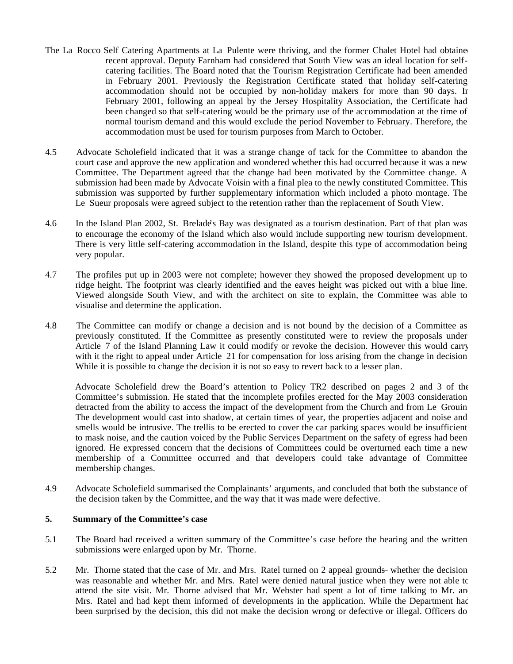- The La Rocco Self Catering Apartments at La Pulente were thriving, and the former Chalet Hotel had obtained recent approval. Deputy Farnham had considered that South View was an ideal location for selfcatering facilities. The Board noted that the Tourism Registration Certificate had been amended in February 2001. Previously the Registration Certificate stated that holiday self-catering accommodation should not be occupied by non-holiday makers for more than 90 days. In February 2001, following an appeal by the Jersey Hospitality Association, the Certificate had been changed so that self-catering would be the primary use of the accommodation at the time of normal tourism demand and this would exclude the period November to February. Therefore, the accommodation must be used for tourism purposes from March to October.
- 4.5 Advocate Scholefield indicated that it was a strange change of tack for the Committee to abandon the court case and approve the new application and wondered whether this had occurred because it was a new Committee. The Department agreed that the change had been motivated by the Committee change. A submission had been made by Advocate Voisin with a final plea to the newly constituted Committee. This submission was supported by further supplementary information which included a photo montage. The Le Sueur proposals were agreed subject to the retention rather than the replacement of South View.
- 4.6 In the Island Plan 2002, St. Brelade's Bay was designated as a tourism destination. Part of that plan was to encourage the economy of the Island which also would include supporting new tourism development. There is very little self-catering accommodation in the Island, despite this type of accommodation being very popular.
- 4.7 The profiles put up in 2003 were not complete; however they showed the proposed development up to ridge height. The footprint was clearly identified and the eaves height was picked out with a blue line. Viewed alongside South View, and with the architect on site to explain, the Committee was able to visualise and determine the application.
- 4.8 The Committee can modify or change a decision and is not bound by the decision of a Committee as previously constituted. If the Committee as presently constituted were to review the proposals under Article 7 of the Island Planning Law it could modify or revoke the decision. However this would carry with it the right to appeal under Article 21 for compensation for loss arising from the change in decision While it is possible to change the decision it is not so easy to revert back to a lesser plan.

 Advocate Scholefield drew the Board's attention to Policy TR2 described on pages 2 and 3 of the Committee's submission. He stated that the incomplete profiles erected for the May 2003 consideration detracted from the ability to access the impact of the development from the Church and from Le Grouin. The development would cast into shadow, at certain times of year, the properties adjacent and noise and smells would be intrusive. The trellis to be erected to cover the car parking spaces would be insufficient to mask noise, and the caution voiced by the Public Services Department on the safety of egress had been ignored. He expressed concern that the decisions of Committees could be overturned each time a new membership of a Committee occurred and that developers could take advantage of Committee membership changes.

4.9 Advocate Scholefield summarised the Complainants' arguments, and concluded that both the substance of the decision taken by the Committee, and the way that it was made were defective.

# **5. Summary of the Committee's case**

- 5.1 The Board had received a written summary of the Committee's case before the hearing and the written submissions were enlarged upon by Mr. Thorne.
- 5.2 Mr. Thorne stated that the case of Mr. and Mrs. Ratel turned on 2 appeal grounds- whether the decision was reasonable and whether Mr. and Mrs. Ratel were denied natural justice when they were not able to attend the site visit. Mr. Thorne advised that Mr. Webster had spent a lot of time talking to Mr. and Mrs. Ratel and had kept them informed of developments in the application. While the Department had been surprised by the decision, this did not make the decision wrong or defective or illegal. Officers do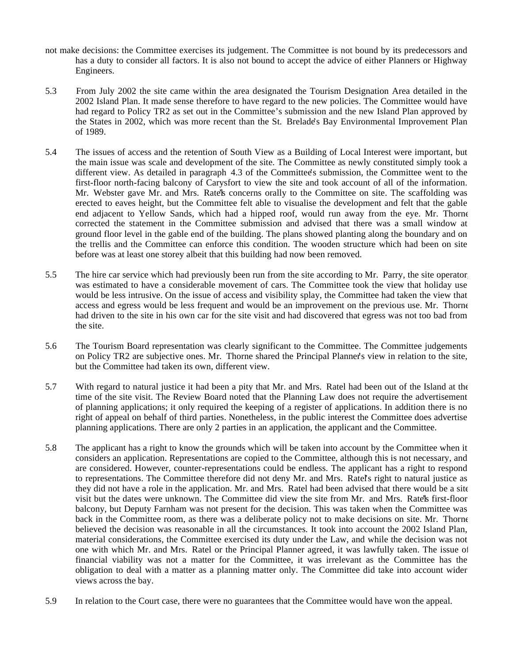- not make decisions: the Committee exercises its judgement. The Committee is not bound by its predecessors and has a duty to consider all factors. It is also not bound to accept the advice of either Planners or Highway Engineers.
- 5.3 From July 2002 the site came within the area designated the Tourism Designation Area detailed in the 2002 Island Plan. It made sense therefore to have regard to the new policies. The Committee would have had regard to Policy TR2 as set out in the Committee's submission and the new Island Plan approved by the States in 2002, which was more recent than the St. Brelade's Bay Environmental Improvement Plan of 1989.
- 5.4 The issues of access and the retention of South View as a Building of Local Interest were important, but the main issue was scale and development of the site. The Committee as newly constituted simply took a different view. As detailed in paragraph 4.3 of the Committee's submission, the Committee went to the first-floor north-facing balcony of Carysfort to view the site and took account of all of the information. Mr. Webster gave Mr. and Mrs. Ratella concerns orally to the Committee on site. The scaffolding was erected to eaves height, but the Committee felt able to visualise the development and felt that the gable end adjacent to Yellow Sands, which had a hipped roof, would run away from the eye. Mr. Thorne corrected the statement in the Committee submission and advised that there was a small window at ground floor level in the gable end of the building. The plans showed planting along the boundary and on the trellis and the Committee can enforce this condition. The wooden structure which had been on site before was at least one storey albeit that this building had now been removed.
- 5.5 The hire car service which had previously been run from the site according to Mr. Parry, the site operator, was estimated to have a considerable movement of cars. The Committee took the view that holiday use would be less intrusive. On the issue of access and visibility splay, the Committee had taken the view that access and egress would be less frequent and would be an improvement on the previous use. Mr. Thorne had driven to the site in his own car for the site visit and had discovered that egress was not too bad from the site.
- 5.6 The Tourism Board representation was clearly significant to the Committee. The Committee judgements on Policy TR2 are subjective ones. Mr. Thorne shared the Principal Planner's view in relation to the site, but the Committee had taken its own, different view.
- 5.7 With regard to natural justice it had been a pity that Mr. and Mrs. Ratel had been out of the Island at the time of the site visit. The Review Board noted that the Planning Law does not require the advertisement of planning applications; it only required the keeping of a register of applications. In addition there is no right of appeal on behalf of third parties. Nonetheless, in the public interest the Committee does advertise planning applications. There are only 2 parties in an application, the applicant and the Committee.
- 5.8 The applicant has a right to know the grounds which will be taken into account by the Committee when it considers an application. Representations are copied to the Committee, although this is not necessary, and are considered. However, counter-representations could be endless. The applicant has a right to respond to representations. The Committee therefore did not deny Mr. and Mrs. Ratel's right to natural justice as they did not have a role in the application. Mr. and Mrs. Ratel had been advised that there would be a site visit but the dates were unknown. The Committee did view the site from Mr. and Mrs. Ratel's first-floor balcony, but Deputy Farnham was not present for the decision. This was taken when the Committee was back in the Committee room, as there was a deliberate policy not to make decisions on site. Mr. Thorne believed the decision was reasonable in all the circumstances. It took into account the 2002 Island Plan, material considerations, the Committee exercised its duty under the Law, and while the decision was not one with which Mr. and Mrs. Ratel or the Principal Planner agreed, it was lawfully taken. The issue of financial viability was not a matter for the Committee, it was irrelevant as the Committee has the obligation to deal with a matter as a planning matter only. The Committee did take into account wider views across the bay.
- 5.9 In relation to the Court case, there were no guarantees that the Committee would have won the appeal.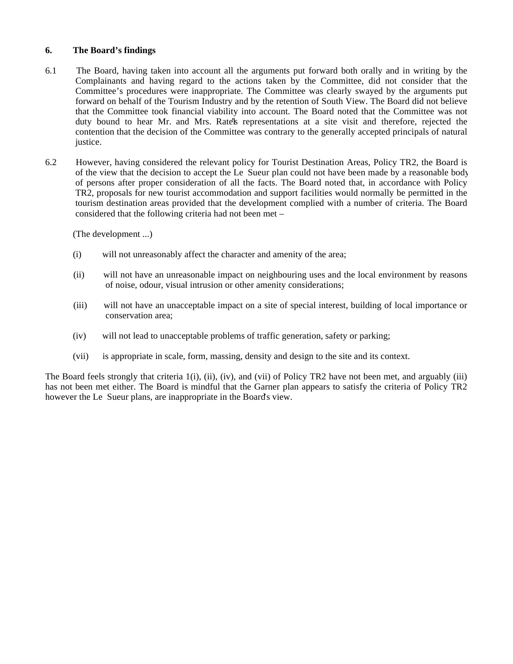# **6. The Board's findings**

- 6.1 The Board, having taken into account all the arguments put forward both orally and in writing by the Complainants and having regard to the actions taken by the Committee, did not consider that the Committee's procedures were inappropriate. The Committee was clearly swayed by the arguments put forward on behalf of the Tourism Industry and by the retention of South View. The Board did not believe that the Committee took financial viability into account. The Board noted that the Committee was not duty bound to hear Mr. and Mrs. Rate's representations at a site visit and therefore, rejected the contention that the decision of the Committee was contrary to the generally accepted principals of natural justice.
- 6.2 However, having considered the relevant policy for Tourist Destination Areas, Policy TR2, the Board is of the view that the decision to accept the Le Sueur plan could not have been made by a reasonable body of persons after proper consideration of all the facts. The Board noted that, in accordance with Policy TR2, proposals for new tourist accommodation and support facilities would normally be permitted in the tourism destination areas provided that the development complied with a number of criteria. The Board considered that the following criteria had not been met –

(The development ...)

- (i) will not unreasonably affect the character and amenity of the area;
- (ii) will not have an unreasonable impact on neighbouring uses and the local environment by reasons of noise, odour, visual intrusion or other amenity considerations;
- (iii) will not have an unacceptable impact on a site of special interest, building of local importance or conservation area;
- (iv) will not lead to unacceptable problems of traffic generation, safety or parking;
- (vii) is appropriate in scale, form, massing, density and design to the site and its context.

The Board feels strongly that criteria 1(i), (ii), (iv), and (vii) of Policy TR2 have not been met, and arguably (iii) has not been met either. The Board is mindful that the Garner plan appears to satisfy the criteria of Policy TR2 however the Le Sueur plans, are inappropriate in the Board's view.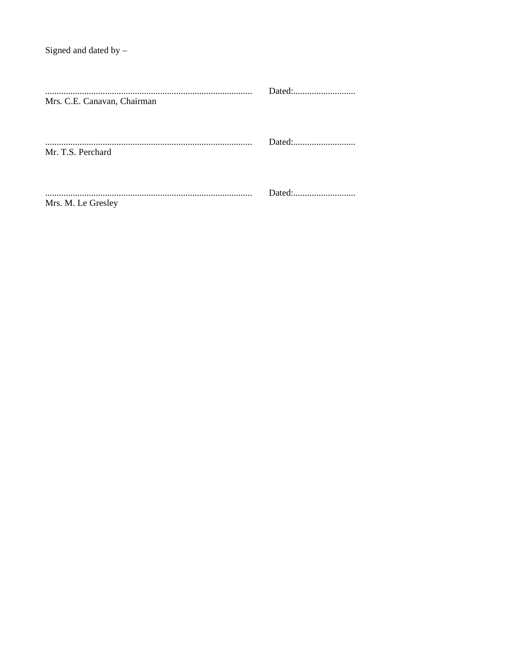| Mrs. C.E. Canavan, Chairman |  |
|-----------------------------|--|
| Mr. T.S. Perchard           |  |
| Mrs. M. Le Gresley          |  |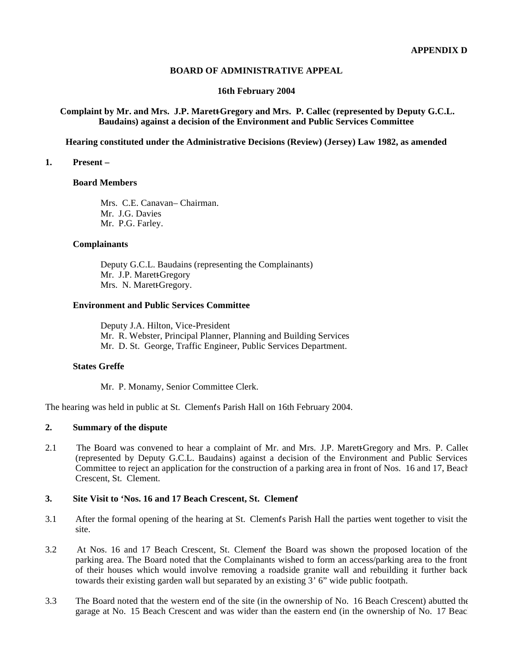# **BOARD OF ADMINISTRATIVE APPEAL**

# **16th February 2004**

# Complaint by Mr. and Mrs. J.P. Marett-Gregory and Mrs. P. Callec (represented by Deputy G.C.L. **Baudains) against a decision of the Environment and Public Services Committee**

**Hearing constituted under the Administrative Decisions (Review) (Jersey) Law 1982, as amended**

#### **1. Present –**

#### **Board Members**

Mrs. C.E. Canavan- Chairman. Mr. J.G. Davies Mr. P.G. Farley.

# **Complainants**

 Deputy G.C.L. Baudains (representing the Complainants) Mr. J.P. Marett-Gregory Mrs. N. Marett-Gregory.

#### **Environment and Public Services Committee**

 Deputy J.A. Hilton, Vice-President Mr. R. Webster, Principal Planner, Planning and Building Services Mr. D. St. George, Traffic Engineer, Public Services Department.

#### **States Greffe**

Mr. P. Monamy, Senior Committee Clerk.

The hearing was held in public at St. Clement's Parish Hall on 16th February 2004.

#### **2. Summary of the dispute**

2.1 The Board was convened to hear a complaint of Mr. and Mrs. J.P. Marett-Gregory and Mrs. P. Callec (represented by Deputy G.C.L. Baudains) against a decision of the Environment and Public Services Committee to reject an application for the construction of a parking area in front of Nos. 16 and 17, Beach Crescent, St. Clement.

# **3. Site Visit to 'Nos. 16 and 17 Beach Crescent, St. Clement'**

- 3.1 After the formal opening of the hearing at St. Clement's Parish Hall the parties went together to visit the site.
- 3.2 At Nos. 16 and 17 Beach Crescent, St. Clement' the Board was shown the proposed location of the parking area. The Board noted that the Complainants wished to form an access/parking area to the front of their houses which would involve removing a roadside granite wall and rebuilding it further back towards their existing garden wall but separated by an existing 3' 6" wide public footpath.
- 3.3 The Board noted that the western end of the site (in the ownership of No. 16 Beach Crescent) abutted the garage at No. 15 Beach Crescent and was wider than the eastern end (in the ownership of No. 17 Beach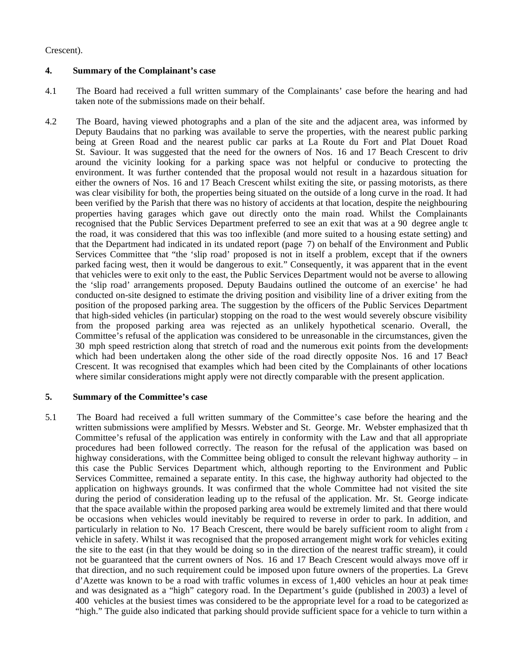# Crescent).

# **4. Summary of the Complainant's case**

- 4.1 The Board had received a full written summary of the Complainants' case before the hearing and had taken note of the submissions made on their behalf.
- 4.2 The Board, having viewed photographs and a plan of the site and the adjacent area, was informed by Deputy Baudains that no parking was available to serve the properties, with the nearest public parking being at Green Road and the nearest public car parks at La Route du Fort and Plat Douet Road St. Saviour. It was suggested that the need for the owners of Nos. 16 and 17 Beach Crescent to drive around the vicinity looking for a parking space was not helpful or conducive to protecting the environment. It was further contended that the proposal would not result in a hazardous situation for either the owners of Nos. 16 and 17 Beach Crescent whilst exiting the site, or passing motorists, as there was clear visibility for both, the properties being situated on the outside of a long curve in the road. It had been verified by the Parish that there was no history of accidents at that location, despite the neighbouring properties having garages which gave out directly onto the main road. Whilst the Complainants recognised that the Public Services Department preferred to see an exit that was at a 90 degree angle to the road, it was considered that this was too inflexible (and more suited to a housing estate setting) and that the Department had indicated in its undated report (page 7) on behalf of the Environment and Public Services Committee that "the 'slip road' proposed is not in itself a problem, except that if the owners parked facing west, then it would be dangerous to exit." Consequently, it was apparent that in the event that vehicles were to exit only to the east, the Public Services Department would not be averse to allowing the 'slip road' arrangements proposed. Deputy Baudains outlined the outcome of an exercise' he had conducted on-site designed to estimate the driving position and visibility line of a driver exiting from the position of the proposed parking area. The suggestion by the officers of the Public Services Department that high-sided vehicles (in particular) stopping on the road to the west would severely obscure visibility from the proposed parking area was rejected as an unlikely hypothetical scenario. Overall, the Committee's refusal of the application was considered to be unreasonable in the circumstances, given the 30 mph speed restriction along that stretch of road and the numerous exit points from the developments which had been undertaken along the other side of the road directly opposite Nos. 16 and 17 Beach Crescent. It was recognised that examples which had been cited by the Complainants of other locations where similar considerations might apply were not directly comparable with the present application.

# **5. Summary of the Committee's case**

5.1 The Board had received a full written summary of the Committee's case before the hearing and the written submissions were amplified by Messrs. Webster and St. George. Mr. Webster emphasized that the Committee's refusal of the application was entirely in conformity with the Law and that all appropriate procedures had been followed correctly. The reason for the refusal of the application was based on highway considerations, with the Committee being obliged to consult the relevant highway authority – in this case the Public Services Department which, although reporting to the Environment and Public Services Committee, remained a separate entity. In this case, the highway authority had objected to the application on highways grounds. It was confirmed that the whole Committee had not visited the site during the period of consideration leading up to the refusal of the application. Mr. St. George indicate that the space available within the proposed parking area would be extremely limited and that there would be occasions when vehicles would inevitably be required to reverse in order to park. In addition, and particularly in relation to No. 17 Beach Crescent, there would be barely sufficient room to alight from  $\epsilon$ vehicle in safety. Whilst it was recognised that the proposed arrangement might work for vehicles exiting the site to the east (in that they would be doing so in the direction of the nearest traffic stream), it could not be guaranteed that the current owners of Nos. 16 and 17 Beach Crescent would always move off in that direction, and no such requirement could be imposed upon future owners of the properties. La Greve d'Azette was known to be a road with traffic volumes in excess of 1,400 vehicles an hour at peak times and was designated as a "high" category road. In the Department's guide (published in 2003) a level of 400 vehicles at the busiest times was considered to be the appropriate level for a road to be categorized as "high." The guide also indicated that parking should provide sufficient space for a vehicle to turn within a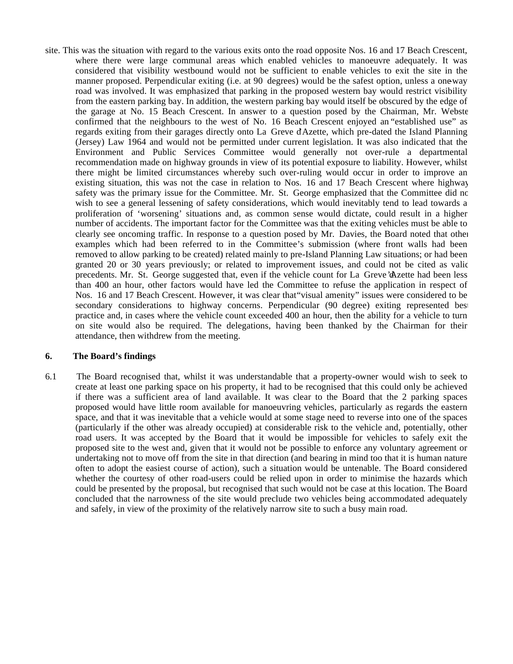site. This was the situation with regard to the various exits onto the road opposite Nos. 16 and 17 Beach Crescent, where there were large communal areas which enabled vehicles to manoeuvre adequately. It was considered that visibility westbound would not be sufficient to enable vehicles to exit the site in the manner proposed. Perpendicular exiting (i.e. at 90 degrees) would be the safest option, unless a one-way road was involved. It was emphasized that parking in the proposed western bay would restrict visibility from the eastern parking bay. In addition, the western parking bay would itself be obscured by the edge of the garage at No. 15 Beach Crescent. In answer to a question posed by the Chairman, Mr. Webster confirmed that the neighbours to the west of No. 16 Beach Crescent enjoyed an "established use" as regards exiting from their garages directly onto La Greve d'Azette, which pre-dated the Island Planning (Jersey) Law 1964 and would not be permitted under current legislation. It was also indicated that the Environment and Public Services Committee would generally not over-rule a departmental recommendation made on highway grounds in view of its potential exposure to liability. However, whilst there might be limited circumstances whereby such over-ruling would occur in order to improve an existing situation, this was not the case in relation to Nos. 16 and 17 Beach Crescent where highway safety was the primary issue for the Committee. Mr. St. George emphasized that the Committee did no wish to see a general lessening of safety considerations, which would inevitably tend to lead towards a proliferation of 'worsening' situations and, as common sense would dictate, could result in a higher number of accidents. The important factor for the Committee was that the exiting vehicles must be able to clearly see oncoming traffic. In response to a question posed by Mr. Davies, the Board noted that other examples which had been referred to in the Committee's submission (where front walls had been removed to allow parking to be created) related mainly to pre-Island Planning Law situations; or had been granted 20 or 30 years previously; or related to improvement issues, and could not be cited as valid precedents. Mr. St. George suggested that, even if the vehicle count for La Greve d'Azette had been less than 400 an hour, other factors would have led the Committee to refuse the application in respect of Nos. 16 and 17 Beach Crescent. However, it was clear that"visual amenity" issues were considered to be secondary considerations to highway concerns. Perpendicular (90 degree) exiting represented best practice and, in cases where the vehicle count exceeded 400 an hour, then the ability for a vehicle to turn on site would also be required. The delegations, having been thanked by the Chairman for their attendance, then withdrew from the meeting.

#### **6. The Board's findings**

6.1 The Board recognised that, whilst it was understandable that a property-owner would wish to seek to create at least one parking space on his property, it had to be recognised that this could only be achieved if there was a sufficient area of land available. It was clear to the Board that the 2 parking spaces proposed would have little room available for manoeuvring vehicles, particularly as regards the eastern space, and that it was inevitable that a vehicle would at some stage need to reverse into one of the spaces (particularly if the other was already occupied) at considerable risk to the vehicle and, potentially, other road users. It was accepted by the Board that it would be impossible for vehicles to safely exit the proposed site to the west and, given that it would not be possible to enforce any voluntary agreement or undertaking not to move off from the site in that direction (and bearing in mind too that it is human nature often to adopt the easiest course of action), such a situation would be untenable. The Board considered whether the courtesy of other road-users could be relied upon in order to minimise the hazards which could be presented by the proposal, but recognised that such would not be case at this location. The Board concluded that the narrowness of the site would preclude two vehicles being accommodated adequately and safely, in view of the proximity of the relatively narrow site to such a busy main road.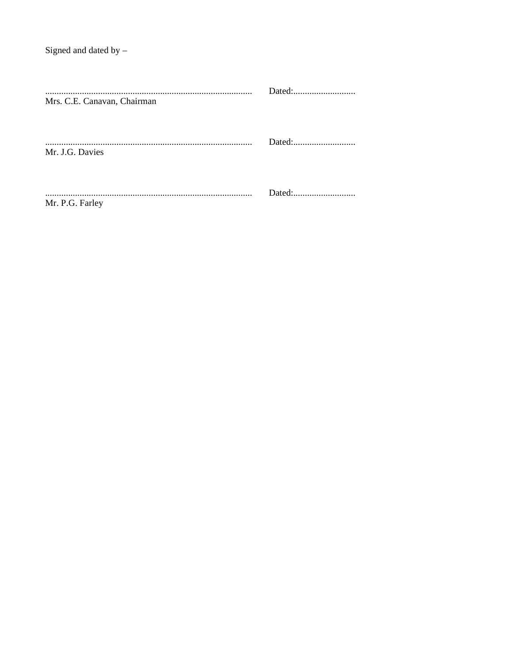| Mrs. C.E. Canavan, Chairman |  |
|-----------------------------|--|
| Mr. J.G. Davies             |  |
| Mr. P.G. Farley             |  |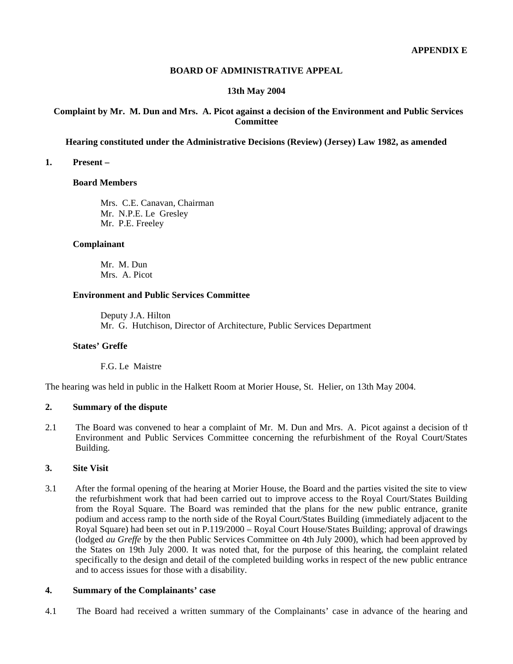# **BOARD OF ADMINISTRATIVE APPEAL**

# **13th May 2004**

# **Complaint by Mr. M. Dun and Mrs. A. Picot against a decision of the Environment and Public Services Committee**

#### **Hearing constituted under the Administrative Decisions (Review) (Jersey) Law 1982, as amended**

# **1. Present –**

#### **Board Members**

 Mrs. C.E. Canavan, Chairman Mr. N.P.E. Le Gresley Mr. P.E. Freeley

# **Complainant**

 Mr. M. Dun Mrs. A. Picot

# **Environment and Public Services Committee**

 Deputy J.A. Hilton Mr. G. Hutchison, Director of Architecture, Public Services Department

# **States' Greffe**

F.G. Le Maistre

The hearing was held in public in the Halkett Room at Morier House, St. Helier, on 13th May 2004.

# **2. Summary of the dispute**

2.1 The Board was convened to hear a complaint of Mr. M. Dun and Mrs. A. Picot against a decision of the Environment and Public Services Committee concerning the refurbishment of the Royal Court/States Building.

#### **3. Site Visit**

3.1 After the formal opening of the hearing at Morier House, the Board and the parties visited the site to view the refurbishment work that had been carried out to improve access to the Royal Court/States Building from the Royal Square. The Board was reminded that the plans for the new public entrance, granite podium and access ramp to the north side of the Royal Court/States Building (immediately adjacent to the Royal Square) had been set out in P.119/2000 – Royal Court House/States Building; approval of drawings (lodged *au Greffe* by the then Public Services Committee on 4th July 2000), which had been approved by the States on 19th July 2000. It was noted that, for the purpose of this hearing, the complaint related specifically to the design and detail of the completed building works in respect of the new public entrance and to access issues for those with a disability.

# **4. Summary of the Complainants' case**

4.1 The Board had received a written summary of the Complainants' case in advance of the hearing and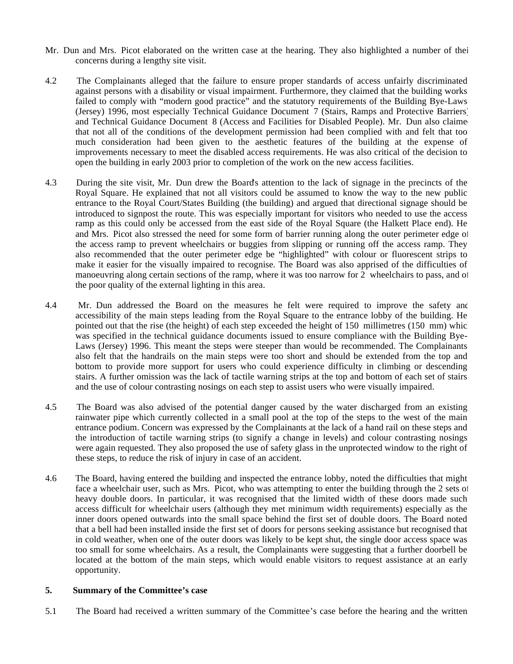- Mr. Dun and Mrs. Picot elaborated on the written case at the hearing. They also highlighted a number of their concerns during a lengthy site visit.
- 4.2 The Complainants alleged that the failure to ensure proper standards of access unfairly discriminated against persons with a disability or visual impairment. Furthermore, they claimed that the building works failed to comply with "modern good practice" and the statutory requirements of the Building Bye-Laws (Jersey) 1996, most especially Technical Guidance Document 7 (Stairs, Ramps and Protective Barriers) and Technical Guidance Document 8 (Access and Facilities for Disabled People). Mr. Dun also claime that not all of the conditions of the development permission had been complied with and felt that too much consideration had been given to the aesthetic features of the building at the expense of improvements necessary to meet the disabled access requirements. He was also critical of the decision to open the building in early 2003 prior to completion of the work on the new access facilities.
- 4.3 During the site visit, Mr. Dun drew the Board's attention to the lack of signage in the precincts of the Royal Square. He explained that not all visitors could be assumed to know the way to the new public entrance to the Royal Court/States Building (the building) and argued that directional signage should be introduced to signpost the route. This was especially important for visitors who needed to use the access ramp as this could only be accessed from the east side of the Royal Square (the Halkett Place end). He and Mrs. Picot also stressed the need for some form of barrier running along the outer perimeter edge of the access ramp to prevent wheelchairs or buggies from slipping or running off the access ramp. They also recommended that the outer perimeter edge be "highlighted" with colour or fluorescent strips to make it easier for the visually impaired to recognise. The Board was also apprised of the difficulties of manoeuvring along certain sections of the ramp, where it was too narrow for 2 wheelchairs to pass, and of the poor quality of the external lighting in this area.
- 4.4 Mr. Dun addressed the Board on the measures he felt were required to improve the safety and accessibility of the main steps leading from the Royal Square to the entrance lobby of the building. He pointed out that the rise (the height) of each step exceeded the height of 150 millimetres (150 mm) which was specified in the technical guidance documents issued to ensure compliance with the Building Bye-Laws (Jersey) 1996. This meant the steps were steeper than would be recommended. The Complainants also felt that the handrails on the main steps were too short and should be extended from the top and bottom to provide more support for users who could experience difficulty in climbing or descending stairs. A further omission was the lack of tactile warning strips at the top and bottom of each set of stairs and the use of colour contrasting nosings on each step to assist users who were visually impaired.
- 4.5 The Board was also advised of the potential danger caused by the water discharged from an existing rainwater pipe which currently collected in a small pool at the top of the steps to the west of the main entrance podium. Concern was expressed by the Complainants at the lack of a hand rail on these steps and the introduction of tactile warning strips (to signify a change in levels) and colour contrasting nosings were again requested. They also proposed the use of safety glass in the unprotected window to the right of these steps, to reduce the risk of injury in case of an accident.
- 4.6 The Board, having entered the building and inspected the entrance lobby, noted the difficulties that might face a wheelchair user, such as Mrs. Picot, who was attempting to enter the building through the 2 sets of heavy double doors. In particular, it was recognised that the limited width of these doors made such access difficult for wheelchair users (although they met minimum width requirements) especially as the inner doors opened outwards into the small space behind the first set of double doors. The Board noted that a bell had been installed inside the first set of doors for persons seeking assistance but recognised that in cold weather, when one of the outer doors was likely to be kept shut, the single door access space was too small for some wheelchairs. As a result, the Complainants were suggesting that a further doorbell be located at the bottom of the main steps, which would enable visitors to request assistance at an early opportunity.

# **5. Summary of the Committee's case**

5.1 The Board had received a written summary of the Committee's case before the hearing and the written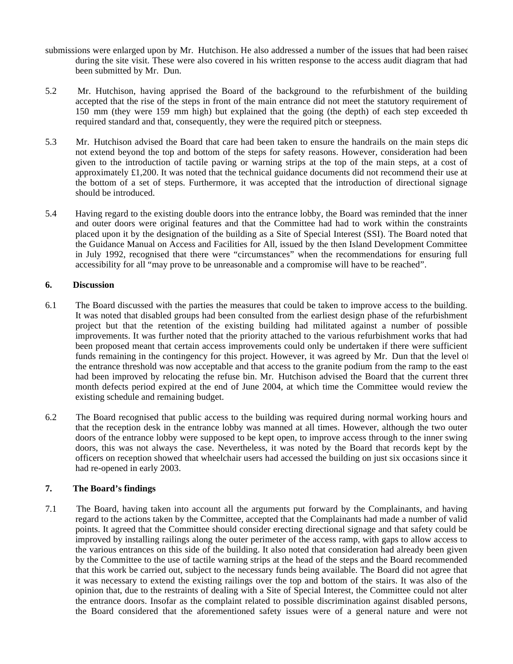- submissions were enlarged upon by Mr. Hutchison. He also addressed a number of the issues that had been raised during the site visit. These were also covered in his written response to the access audit diagram that had been submitted by Mr. Dun.
- 5.2 Mr. Hutchison, having apprised the Board of the background to the refurbishment of the building, accepted that the rise of the steps in front of the main entrance did not meet the statutory requirement of 150 mm (they were 159 mm high) but explained that the going (the depth) of each step exceeded the required standard and that, consequently, they were the required pitch or steepness.
- 5.3 Mr. Hutchison advised the Board that care had been taken to ensure the handrails on the main steps dic not extend beyond the top and bottom of the steps for safety reasons. However, consideration had been given to the introduction of tactile paving or warning strips at the top of the main steps, at a cost of approximately  $\pounds$ 1,200. It was noted that the technical guidance documents did not recommend their use at the bottom of a set of steps. Furthermore, it was accepted that the introduction of directional signage should be introduced.
- 5.4 Having regard to the existing double doors into the entrance lobby, the Board was reminded that the inner and outer doors were original features and that the Committee had had to work within the constraints placed upon it by the designation of the building as a Site of Special Interest (SSI). The Board noted that the Guidance Manual on Access and Facilities for All, issued by the then Island Development Committee in July 1992, recognised that there were "circumstances" when the recommendations for ensuring full accessibility for all "may prove to be unreasonable and a compromise will have to be reached".

# **6. Discussion**

- 6.1 The Board discussed with the parties the measures that could be taken to improve access to the building. It was noted that disabled groups had been consulted from the earliest design phase of the refurbishment project but that the retention of the existing building had militated against a number of possible improvements. It was further noted that the priority attached to the various refurbishment works that had been proposed meant that certain access improvements could only be undertaken if there were sufficient funds remaining in the contingency for this project. However, it was agreed by Mr. Dun that the level of the entrance threshold was now acceptable and that access to the granite podium from the ramp to the east had been improved by relocating the refuse bin. Mr. Hutchison advised the Board that the current three month defects period expired at the end of June 2004, at which time the Committee would review the existing schedule and remaining budget.
- 6.2 The Board recognised that public access to the building was required during normal working hours and that the reception desk in the entrance lobby was manned at all times. However, although the two outer doors of the entrance lobby were supposed to be kept open, to improve access through to the inner swing doors, this was not always the case. Nevertheless, it was noted by the Board that records kept by the officers on reception showed that wheelchair users had accessed the building on just six occasions since it had re-opened in early 2003.

# **7. The Board's findings**

7.1 The Board, having taken into account all the arguments put forward by the Complainants, and having regard to the actions taken by the Committee, accepted that the Complainants had made a number of valid points. It agreed that the Committee should consider erecting directional signage and that safety could be improved by installing railings along the outer perimeter of the access ramp, with gaps to allow access to the various entrances on this side of the building. It also noted that consideration had already been given by the Committee to the use of tactile warning strips at the head of the steps and the Board recommended that this work be carried out, subject to the necessary funds being available. The Board did not agree that it was necessary to extend the existing railings over the top and bottom of the stairs. It was also of the opinion that, due to the restraints of dealing with a Site of Special Interest, the Committee could not alter the entrance doors. Insofar as the complaint related to possible discrimination against disabled persons, the Board considered that the aforementioned safety issues were of a general nature and were not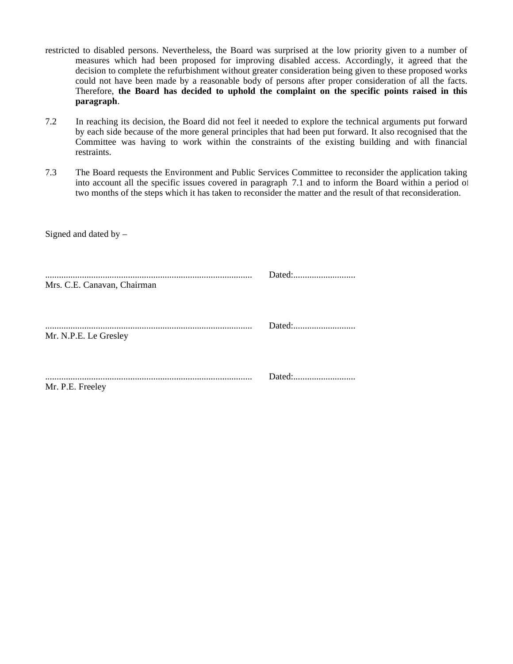- restricted to disabled persons. Nevertheless, the Board was surprised at the low priority given to a number of measures which had been proposed for improving disabled access. Accordingly, it agreed that the decision to complete the refurbishment without greater consideration being given to these proposed works could not have been made by a reasonable body of persons after proper consideration of all the facts. Therefore, **the Board has decided to uphold the complaint on the specific points raised in this paragraph**.
- 7.2 In reaching its decision, the Board did not feel it needed to explore the technical arguments put forward by each side because of the more general principles that had been put forward. It also recognised that the Committee was having to work within the constraints of the existing building and with financial restraints.
- 7.3 The Board requests the Environment and Public Services Committee to reconsider the application taking into account all the specific issues covered in paragraph 7.1 and to inform the Board within a period of two months of the steps which it has taken to reconsider the matter and the result of that reconsideration.

| Mrs. C.E. Canavan, Chairman |  |
|-----------------------------|--|
| Mr. N.P.E. Le Gresley       |  |
| Mr. P.E. Freeley            |  |

Signed and dated by –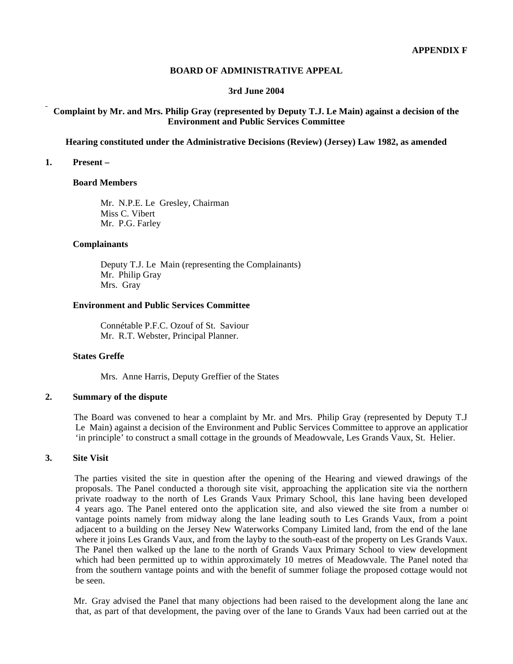#### **BOARD OF ADMINISTRATIVE APPEAL**

#### **3rd June 2004**

# **Complaint by Mr. and Mrs. Philip Gray (represented by Deputy T.J. Le Main) against a decision of the Environment and Public Services Committee**

#### **Hearing constituted under the Administrative Decisions (Review) (Jersey) Law 1982, as amended**

#### **1. Present –**

#### **Board Members**

 Mr. N.P.E. Le Gresley, Chairman Miss C. Vibert Mr. P.G. Farley

# **Complainants**

 Deputy T.J. Le Main (representing the Complainants) Mr. Philip Gray Mrs. Gray

# **Environment and Public Services Committee**

 Connétable P.F.C. Ozouf of St. Saviour Mr. R.T. Webster, Principal Planner.

#### **States Greffe**

Mrs. Anne Harris, Deputy Greffier of the States

# **2. Summary of the dispute**

 The Board was convened to hear a complaint by Mr. and Mrs. Philip Gray (represented by Deputy T.J. Le Main) against a decision of the Environment and Public Services Committee to approve an application 'in principle' to construct a small cottage in the grounds of Meadowvale, Les Grands Vaux, St. Helier.

#### **3. Site Visit**

 The parties visited the site in question after the opening of the Hearing and viewed drawings of the proposals. The Panel conducted a thorough site visit, approaching the application site via the northern private roadway to the north of Les Grands Vaux Primary School, this lane having been developed 4 years ago. The Panel entered onto the application site, and also viewed the site from a number of vantage points namely from midway along the lane leading south to Les Grands Vaux, from a point adjacent to a building on the Jersey New Waterworks Company Limited land, from the end of the lane where it joins Les Grands Vaux, and from the layby to the south-east of the property on Les Grands Vaux. The Panel then walked up the lane to the north of Grands Vaux Primary School to view development which had been permitted up to within approximately 10 metres of Meadowvale. The Panel noted that from the southern vantage points and with the benefit of summer foliage the proposed cottage would not be seen.

Mr. Gray advised the Panel that many objections had been raised to the development along the lane and that, as part of that development, the paving over of the lane to Grands Vaux had been carried out at the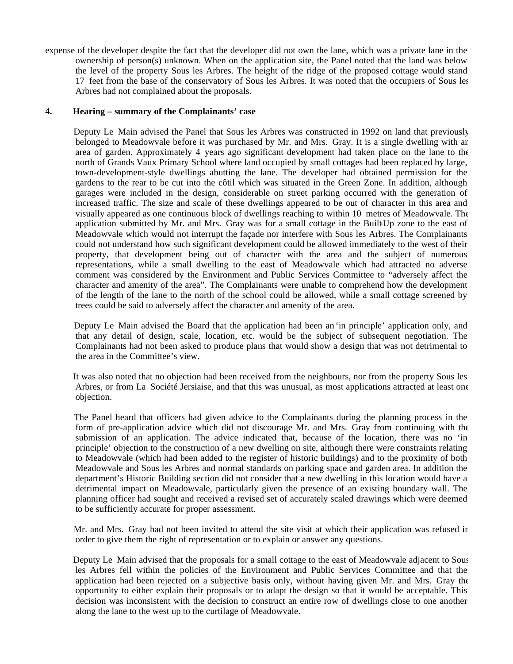expense of the developer despite the fact that the developer did not own the lane, which was a private lane in the ownership of person(s) unknown. When on the application site, the Panel noted that the land was below the level of the property Sous les Arbres. The height of the ridge of the proposed cottage would stand 17 feet from the base of the conservatory of Sous les Arbres. It was noted that the occupiers of Sous les Arbres had not complained about the proposals.

# **4. Hearing – summary of the Complainants' case**

 Deputy Le Main advised the Panel that Sous les Arbres was constructed in 1992 on land that previously belonged to Meadowvale before it was purchased by Mr. and Mrs. Gray. It is a single dwelling with an area of garden. Approximately 4 years ago significant development had taken place on the lane to the north of Grands Vaux Primary School where land occupied by small cottages had been replaced by large, town-development-style dwellings abutting the lane. The developer had obtained permission for the gardens to the rear to be cut into the côtil which was situated in the Green Zone. In addition, although garages were included in the design, considerable on street parking occurred with the generation of increased traffic. The size and scale of these dwellings appeared to be out of character in this area and visually appeared as one continuous block of dwellings reaching to within 10 metres of Meadowvale. The application submitted by Mr. and Mrs. Gray was for a small cottage in the Built-Up zone to the east of Meadowvale which would not interrupt the façade nor interfere with Sous les Arbres. The Complainants could not understand how such significant development could be allowed immediately to the west of their property, that development being out of character with the area and the subject of numerous representations, while a small dwelling to the east of Meadowvale which had attracted no adverse comment was considered by the Environment and Public Services Committee to "adversely affect the character and amenity of the area". The Complainants were unable to comprehend how the development of the length of the lane to the north of the school could be allowed, while a small cottage screened by trees could be said to adversely affect the character and amenity of the area.

 Deputy Le Main advised the Board that the application had been an 'in principle' application only, and that any detail of design, scale, location, etc. would be the subject of subsequent negotiation. The Complainants had not been asked to produce plans that would show a design that was not detrimental to the area in the Committee's view.

 It was also noted that no objection had been received from the neighbours, nor from the property Sous les Arbres, or from La Société Jersiaise, and that this was unusual, as most applications attracted at least one objection.

 The Panel heard that officers had given advice to the Complainants during the planning process in the form of pre-application advice which did not discourage Mr. and Mrs. Gray from continuing with the submission of an application. The advice indicated that, because of the location, there was no 'in principle' objection to the construction of a new dwelling on site, although there were constraints relating to Meadowvale (which had been added to the register of historic buildings) and to the proximity of both Meadowvale and Sous les Arbres and normal standards on parking space and garden area. In addition the department's Historic Building section did not consider that a new dwelling in this location would have a detrimental impact on Meadowvale, particularly given the presence of an existing boundary wall. The planning officer had sought and received a revised set of accurately scaled drawings which were deemed to be sufficiently accurate for proper assessment.

 Mr. and Mrs. Gray had not been invited to attend the site visit at which their application was refused in order to give them the right of representation or to explain or answer any questions.

 Deputy Le Main advised that the proposals for a small cottage to the east of Meadowvale adjacent to Sous les Arbres fell within the policies of the Environment and Public Services Committee and that the application had been rejected on a subjective basis only, without having given Mr. and Mrs. Gray the opportunity to either explain their proposals or to adapt the design so that it would be acceptable. This decision was inconsistent with the decision to construct an entire row of dwellings close to one another along the lane to the west up to the curtilage of Meadowvale.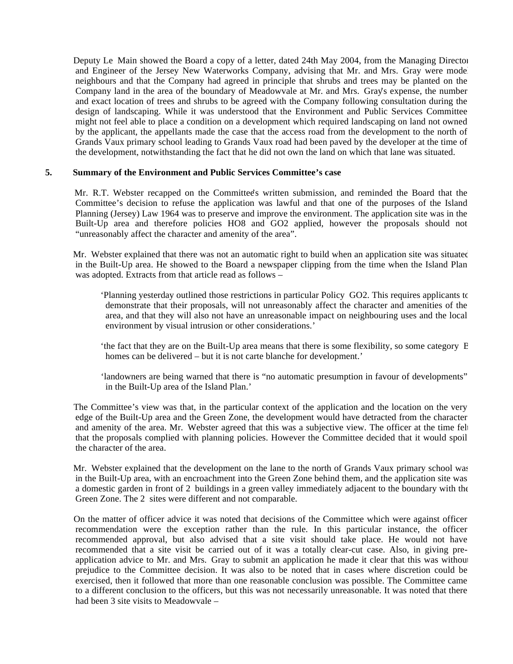Deputy Le Main showed the Board a copy of a letter, dated 24th May 2004, from the Managing Director and Engineer of the Jersey New Waterworks Company, advising that Mr. and Mrs. Gray were mode neighbours and that the Company had agreed in principle that shrubs and trees may be planted on the Company land in the area of the boundary of Meadowvale at Mr. and Mrs. Gray's expense, the number and exact location of trees and shrubs to be agreed with the Company following consultation during the design of landscaping. While it was understood that the Environment and Public Services Committee might not feel able to place a condition on a development which required landscaping on land not owned by the applicant, the appellants made the case that the access road from the development to the north of Grands Vaux primary school leading to Grands Vaux road had been paved by the developer at the time of the development, notwithstanding the fact that he did not own the land on which that lane was situated.

### **5. Summary of the Environment and Public Services Committee's case**

Mr. R.T. Webster recapped on the Committee's written submission, and reminded the Board that the Committee's decision to refuse the application was lawful and that one of the purposes of the Island Planning (Jersey) Law 1964 was to preserve and improve the environment. The application site was in the Built-Up area and therefore policies HO8 and GO2 applied, however the proposals should not "unreasonably affect the character and amenity of the area".

Mr. Webster explained that there was not an automatic right to build when an application site was situated in the Built-Up area. He showed to the Board a newspaper clipping from the time when the Island Plan was adopted. Extracts from that article read as follows –

 'Planning yesterday outlined those restrictions in particular Policy GO2. This requires applicants to demonstrate that their proposals, will not unreasonably affect the character and amenities of the area, and that they will also not have an unreasonable impact on neighbouring uses and the local environment by visual intrusion or other considerations.'

 'the fact that they are on the Built-Up area means that there is some flexibility, so some category B homes can be delivered – but it is not carte blanche for development.'

 'landowners are being warned that there is "no automatic presumption in favour of developments" in the Built-Up area of the Island Plan.'

 The Committee's view was that, in the particular context of the application and the location on the very edge of the Built-Up area and the Green Zone, the development would have detracted from the character and amenity of the area. Mr. Webster agreed that this was a subjective view. The officer at the time felt that the proposals complied with planning policies. However the Committee decided that it would spoil the character of the area.

 Mr. Webster explained that the development on the lane to the north of Grands Vaux primary school was in the Built-Up area, with an encroachment into the Green Zone behind them, and the application site was a domestic garden in front of 2 buildings in a green valley immediately adjacent to the boundary with the Green Zone. The 2 sites were different and not comparable.

 On the matter of officer advice it was noted that decisions of the Committee which were against officer recommendation were the exception rather than the rule. In this particular instance, the officer recommended approval, but also advised that a site visit should take place. He would not have recommended that a site visit be carried out of it was a totally clear-cut case. Also, in giving preapplication advice to Mr. and Mrs. Gray to submit an application he made it clear that this was without prejudice to the Committee decision. It was also to be noted that in cases where discretion could be exercised, then it followed that more than one reasonable conclusion was possible. The Committee came to a different conclusion to the officers, but this was not necessarily unreasonable. It was noted that there had been 3 site visits to Meadowvale –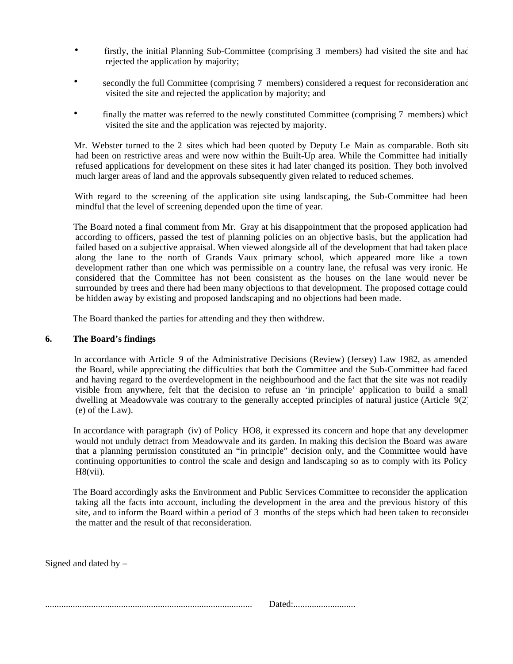- firstly, the initial Planning Sub-Committee (comprising 3 members) had visited the site and had rejected the application by majority;
- secondly the full Committee (comprising 7 members) considered a request for reconsideration and visited the site and rejected the application by majority; and
- finally the matter was referred to the newly constituted Committee (comprising 7 members) which visited the site and the application was rejected by majority.

Mr. Webster turned to the 2 sites which had been quoted by Deputy Le Main as comparable. Both site had been on restrictive areas and were now within the Built-Up area. While the Committee had initially refused applications for development on these sites it had later changed its position. They both involved much larger areas of land and the approvals subsequently given related to reduced schemes.

 With regard to the screening of the application site using landscaping, the Sub-Committee had been mindful that the level of screening depended upon the time of year.

 The Board noted a final comment from Mr. Gray at his disappointment that the proposed application had, according to officers, passed the test of planning policies on an objective basis, but the application had failed based on a subjective appraisal. When viewed alongside all of the development that had taken place along the lane to the north of Grands Vaux primary school, which appeared more like a town development rather than one which was permissible on a country lane, the refusal was very ironic. He considered that the Committee has not been consistent as the houses on the lane would never be surrounded by trees and there had been many objections to that development. The proposed cottage could be hidden away by existing and proposed landscaping and no objections had been made.

The Board thanked the parties for attending and they then withdrew.

#### **6. The Board's findings**

In accordance with Article 9 of the Administrative Decisions (Review) (Jersey) Law 1982, as amended the Board, while appreciating the difficulties that both the Committee and the Sub-Committee had faced and having regard to the overdevelopment in the neighbourhood and the fact that the site was not readily visible from anywhere, felt that the decision to refuse an 'in principle' application to build a small dwelling at Meadowvale was contrary to the generally accepted principles of natural justice (Article 9(2) (e) of the Law).

In accordance with paragraph (iv) of Policy HO8, it expressed its concern and hope that any developmer would not unduly detract from Meadowvale and its garden. In making this decision the Board was aware that a planning permission constituted an "in principle" decision only, and the Committee would have continuing opportunities to control the scale and design and landscaping so as to comply with its Policy  $H8(vii)$ .

 The Board accordingly asks the Environment and Public Services Committee to reconsider the application taking all the facts into account, including the development in the area and the previous history of this site, and to inform the Board within a period of 3 months of the steps which had been taken to reconsider the matter and the result of that reconsideration.

Signed and dated by  $-$ 

|--|--|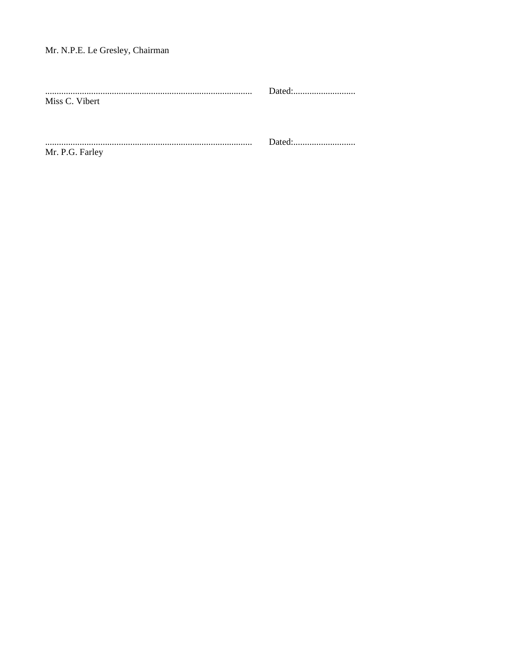# Mr. N.P.E. Le Gresley, Chairman

| Miss C. Vibert  | Dated: |
|-----------------|--------|
| Mr. P.G. Farley |        |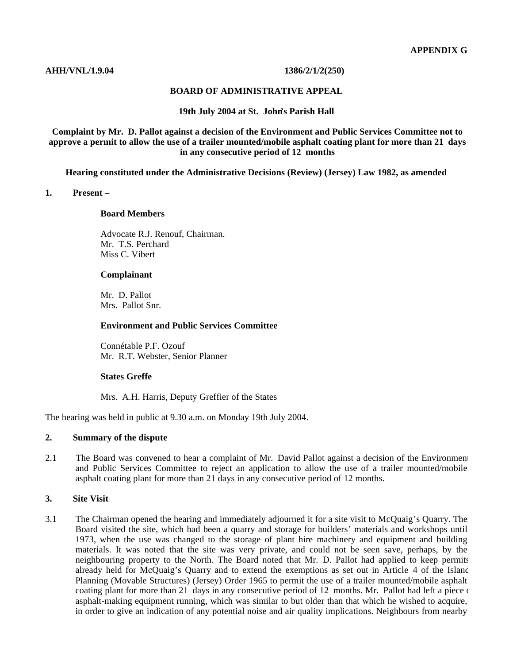#### **AHH/VNL/1.9.04 1386/2/1/2(250)**

#### **BOARD OF ADMINISTRATIVE APPEAL**

#### **19th July 2004 at St. John's Parish Hall**

**Complaint by Mr. D. Pallot against a decision of the Environment and Public Services Committee not to approve a permit to allow the use of a trailer mounted/mobile asphalt coating plant for more than 21 days in any consecutive period of 12 months**

**Hearing constituted under the Administrative Decisions (Review) (Jersey) Law 1982, as amended**

#### **1. Present –**

#### **Board Members**

 Advocate R.J. Renouf, Chairman. Mr. T.S. Perchard Miss C. Vibert

#### **Complainant**

 Mr. D. Pallot Mrs. Pallot Snr.

#### **Environment and Public Services Committee**

 Connétable P.F. Ozouf Mr. R.T. Webster, Senior Planner

#### **States Greffe**

Mrs. A.H. Harris, Deputy Greffier of the States

The hearing was held in public at 9.30 a.m. on Monday 19th July 2004.

#### **2. Summary of the dispute**

2.1 The Board was convened to hear a complaint of Mr. David Pallot against a decision of the Environment and Public Services Committee to reject an application to allow the use of a trailer mounted/mobile asphalt coating plant for more than 21 days in any consecutive period of 12 months.

#### **3. Site Visit**

3.1 The Chairman opened the hearing and immediately adjourned it for a site visit to McQuaig's Quarry. The Board visited the site, which had been a quarry and storage for builders' materials and workshops until 1973, when the use was changed to the storage of plant hire machinery and equipment and building materials. It was noted that the site was very private, and could not be seen save, perhaps, by the neighbouring property to the North. The Board noted that Mr. D. Pallot had applied to keep permits already held for McQuaig's Quarry and to extend the exemptions as set out in Article 4 of the Island Planning (Movable Structures) (Jersey) Order 1965 to permit the use of a trailer mounted/mobile asphalt coating plant for more than 21 days in any consecutive period of 12 months. Mr. Pallot had left a piece  $\epsilon$ asphalt-making equipment running, which was similar to but older than that which he wished to acquire, in order to give an indication of any potential noise and air quality implications. Neighbours from nearby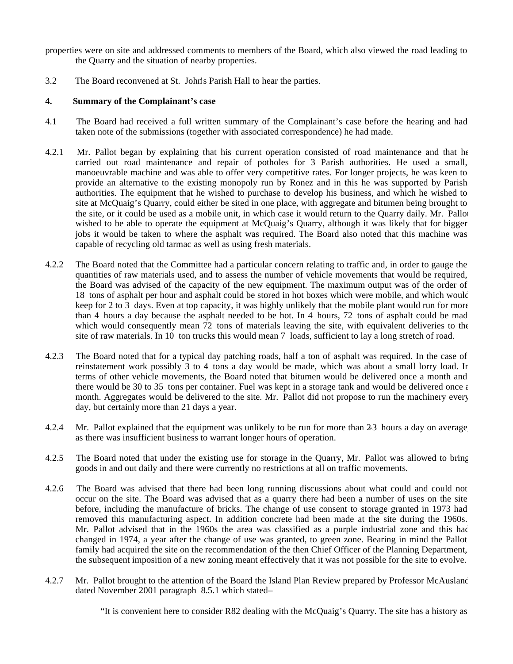properties were on site and addressed comments to members of the Board, which also viewed the road leading to the Quarry and the situation of nearby properties.

3.2 The Board reconvened at St. John's Parish Hall to hear the parties.

## **4. Summary of the Complainant's case**

- 4.1 The Board had received a full written summary of the Complainant's case before the hearing and had taken note of the submissions (together with associated correspondence) he had made.
- 4.2.1 Mr. Pallot began by explaining that his current operation consisted of road maintenance and that he carried out road maintenance and repair of potholes for 3 Parish authorities. He used a small, manoeuvrable machine and was able to offer very competitive rates. For longer projects, he was keen to provide an alternative to the existing monopoly run by Ronez and in this he was supported by Parish authorities. The equipment that he wished to purchase to develop his business, and which he wished to site at McQuaig's Quarry, could either be sited in one place, with aggregate and bitumen being brought to the site, or it could be used as a mobile unit, in which case it would return to the Quarry daily. Mr. Pallot wished to be able to operate the equipment at McQuaig's Quarry, although it was likely that for bigger jobs it would be taken to where the asphalt was required. The Board also noted that this machine was capable of recycling old tarmac as well as using fresh materials.
- 4.2.2 The Board noted that the Committee had a particular concern relating to traffic and, in order to gauge the quantities of raw materials used, and to assess the number of vehicle movements that would be required, the Board was advised of the capacity of the new equipment. The maximum output was of the order of 18 tons of asphalt per hour and asphalt could be stored in hot boxes which were mobile, and which would keep for 2 to 3 days. Even at top capacity, it was highly unlikely that the mobile plant would run for more than 4 hours a day because the asphalt needed to be hot. In 4 hours,  $72$  tons of asphalt could be made, which would consequently mean 72 tons of materials leaving the site, with equivalent deliveries to the site of raw materials. In 10 ton trucks this would mean 7 loads, sufficient to lay a long stretch of road.
- 4.2.3 The Board noted that for a typical day patching roads, half a ton of asphalt was required. In the case of reinstatement work possibly 3 to 4 tons a day would be made, which was about a small lorry load. In terms of other vehicle movements, the Board noted that bitumen would be delivered once a month and there would be 30 to 35 tons per container. Fuel was kept in a storage tank and would be delivered once  $\epsilon$ month. Aggregates would be delivered to the site. Mr. Pallot did not propose to run the machinery every day, but certainly more than 21 days a year.
- 4.2.4 Mr. Pallot explained that the equipment was unlikely to be run for more than 23 hours a day on average as there was insufficient business to warrant longer hours of operation.
- 4.2.5 The Board noted that under the existing use for storage in the Quarry, Mr. Pallot was allowed to bring goods in and out daily and there were currently no restrictions at all on traffic movements.
- 4.2.6 The Board was advised that there had been long running discussions about what could and could not occur on the site. The Board was advised that as a quarry there had been a number of uses on the site before, including the manufacture of bricks. The change of use consent to storage granted in 1973 had removed this manufacturing aspect. In addition concrete had been made at the site during the 1960s. Mr. Pallot advised that in the 1960s the area was classified as a purple industrial zone and this had changed in 1974, a year after the change of use was granted, to green zone. Bearing in mind the Pallot family had acquired the site on the recommendation of the then Chief Officer of the Planning Department, the subsequent imposition of a new zoning meant effectively that it was not possible for the site to evolve.
- 4.2.7 Mr. Pallot brought to the attention of the Board the Island Plan Review prepared by Professor McAusland dated November 2001 paragraph 8.5.1 which stated-

"It is convenient here to consider R82 dealing with the McQuaig's Quarry. The site has a history as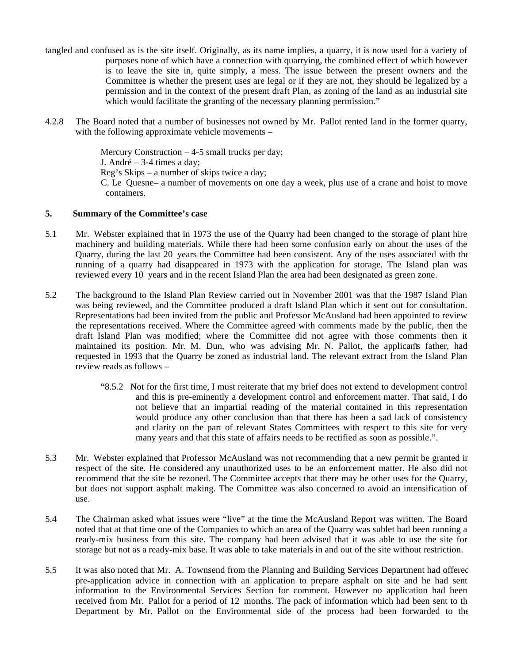- tangled and confused as is the site itself. Originally, as its name implies, a quarry, it is now used for a variety of purposes none of which have a connection with quarrying, the combined effect of which however is to leave the site in, quite simply, a mess. The issue between the present owners and the Committee is whether the present uses are legal or if they are not, they should be legalized by a permission and in the context of the present draft Plan, as zoning of the land as an industrial site which would facilitate the granting of the necessary planning permission."
- 4.2.8 The Board noted that a number of businesses not owned by Mr. Pallot rented land in the former quarry, with the following approximate vehicle movements –

Mercury Construction – 4-5 small trucks per day; J. André – 3-4 times a day; Reg's Skips – a number of skips twice a day; C. Le Quesne – a number of movements on one day a week, plus use of a crane and hoist to move containers.

### **5. Summary of the Committee's case**

- 5.1 Mr. Webster explained that in 1973 the use of the Quarry had been changed to the storage of plant hire, machinery and building materials. While there had been some confusion early on about the uses of the Quarry, during the last 20 years the Committee had been consistent. Any of the uses associated with the running of a quarry had disappeared in 1973 with the application for storage. The Island plan was reviewed every 10 years and in the recent Island Plan the area had been designated as green zone.
- 5.2 The background to the Island Plan Review carried out in November 2001 was that the 1987 Island Plan was being reviewed, and the Committee produced a draft Island Plan which it sent out for consultation. Representations had been invited from the public and Professor McAusland had been appointed to review the representations received. Where the Committee agreed with comments made by the public, then the draft Island Plan was modified; where the Committee did not agree with those comments then it maintained its position. Mr. M. Dun, who was advising Mr. N. Pallot, the applicants father, had requested in 1993 that the Quarry be zoned as industrial land. The relevant extract from the Island Plan review reads as follows –
	- "8.5.2 Not for the first time, I must reiterate that my brief does not extend to development control and this is pre-eminently a development control and enforcement matter. That said, I do not believe that an impartial reading of the material contained in this representation would produce any other conclusion than that there has been a sad lack of consistency and clarity on the part of relevant States Committees with respect to this site for very many years and that this state of affairs needs to be rectified as soon as possible.".
- 5.3 Mr. Webster explained that Professor McAusland was not recommending that a new permit be granted in respect of the site. He considered any unauthorized uses to be an enforcement matter. He also did not recommend that the site be rezoned. The Committee accepts that there may be other uses for the Quarry, but does not support asphalt making. The Committee was also concerned to avoid an intensification of use.
- 5.4 The Chairman asked what issues were "live" at the time the McAusland Report was written. The Board noted that at that time one of the Companies to which an area of the Quarry was sublet had been running a ready-mix business from this site. The company had been advised that it was able to use the site for storage but not as a ready-mix base. It was able to take materials in and out of the site without restriction.
- 5.5 It was also noted that Mr. A. Townsend from the Planning and Building Services Department had offered pre-application advice in connection with an application to prepare asphalt on site and he had sent information to the Environmental Services Section for comment. However no application had been received from Mr. Pallot for a period of 12 months. The pack of information which had been sent to the Department by Mr. Pallot on the Environmental side of the process had been forwarded to the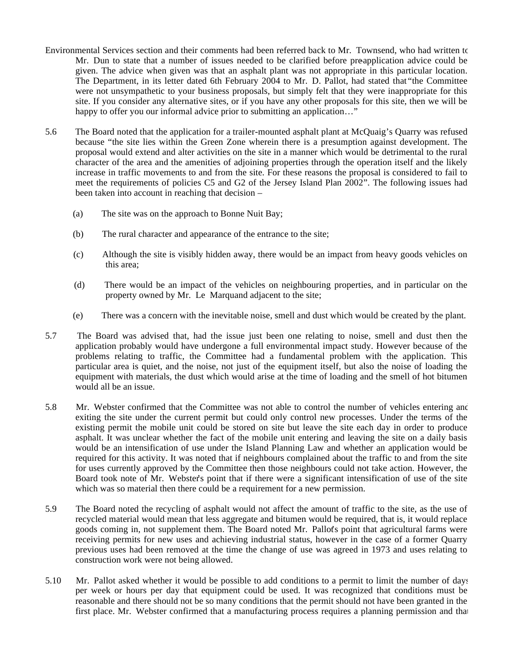- Environmental Services section and their comments had been referred back to Mr. Townsend, who had written to Mr. Dun to state that a number of issues needed to be clarified before pre-application advice could be given. The advice when given was that an asphalt plant was not appropriate in this particular location. The Department, in its letter dated 6th February 2004 to Mr. D. Pallot, had stated that "the Committee were not unsympathetic to your business proposals, but simply felt that they were inappropriate for this site. If you consider any alternative sites, or if you have any other proposals for this site, then we will be happy to offer you our informal advice prior to submitting an application..."
- 5.6 The Board noted that the application for a trailer-mounted asphalt plant at McQuaig's Quarry was refused because "the site lies within the Green Zone wherein there is a presumption against development. The proposal would extend and alter activities on the site in a manner which would be detrimental to the rural character of the area and the amenities of adjoining properties through the operation itself and the likely increase in traffic movements to and from the site. For these reasons the proposal is considered to fail to meet the requirements of policies C5 and G2 of the Jersey Island Plan 2002". The following issues had been taken into account in reaching that decision –
	- (a) The site was on the approach to Bonne Nuit Bay;
	- (b) The rural character and appearance of the entrance to the site;
	- (c) Although the site is visibly hidden away, there would be an impact from heavy goods vehicles on this area;
	- (d) There would be an impact of the vehicles on neighbouring properties, and in particular on the property owned by Mr. Le Marquand adjacent to the site;
	- (e) There was a concern with the inevitable noise, smell and dust which would be created by the plant.
- 5.7 The Board was advised that, had the issue just been one relating to noise, smell and dust then the application probably would have undergone a full environmental impact study. However because of the problems relating to traffic, the Committee had a fundamental problem with the application. This particular area is quiet, and the noise, not just of the equipment itself, but also the noise of loading the equipment with materials, the dust which would arise at the time of loading and the smell of hot bitumen would all be an issue.
- 5.8 Mr. Webster confirmed that the Committee was not able to control the number of vehicles entering and exiting the site under the current permit but could only control new processes. Under the terms of the existing permit the mobile unit could be stored on site but leave the site each day in order to produce asphalt. It was unclear whether the fact of the mobile unit entering and leaving the site on a daily basis would be an intensification of use under the Island Planning Law and whether an application would be required for this activity. It was noted that if neighbours complained about the traffic to and from the site for uses currently approved by the Committee then those neighbours could not take action. However, the Board took note of Mr. Webster's point that if there were a significant intensification of use of the site which was so material then there could be a requirement for a new permission.
- 5.9 The Board noted the recycling of asphalt would not affect the amount of traffic to the site, as the use of recycled material would mean that less aggregate and bitumen would be required, that is, it would replace goods coming in, not supplement them. The Board noted Mr. Pallot's point that agricultural farms were receiving permits for new uses and achieving industrial status, however in the case of a former Quarry previous uses had been removed at the time the change of use was agreed in 1973 and uses relating to construction work were not being allowed.
- 5.10 Mr. Pallot asked whether it would be possible to add conditions to a permit to limit the number of days per week or hours per day that equipment could be used. It was recognized that conditions must be reasonable and there should not be so many conditions that the permit should not have been granted in the first place. Mr. Webster confirmed that a manufacturing process requires a planning permission and that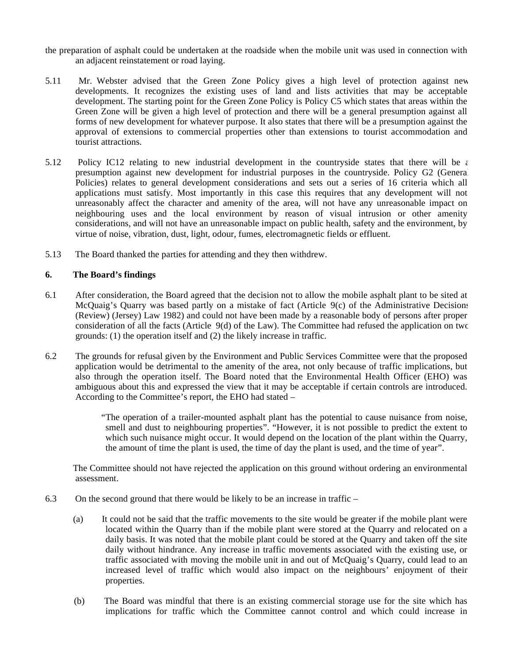- the preparation of asphalt could be undertaken at the roadside when the mobile unit was used in connection with an adjacent reinstatement or road laying.
- 5.11 Mr. Webster advised that the Green Zone Policy gives a high level of protection against new developments. It recognizes the existing uses of land and lists activities that may be acceptable development. The starting point for the Green Zone Policy is Policy C5 which states that areas within the Green Zone will be given a high level of protection and there will be a general presumption against all forms of new development for whatever purpose. It also states that there will be a presumption against the approval of extensions to commercial properties other than extensions to tourist accommodation and tourist attractions.
- 5.12 Policy IC12 relating to new industrial development in the countryside states that there will be  $\epsilon$ presumption against new development for industrial purposes in the countryside. Policy G2 (General Policies) relates to general development considerations and sets out a series of 16 criteria which all applications must satisfy. Most importantly in this case this requires that any development will not unreasonably affect the character and amenity of the area, will not have any unreasonable impact on neighbouring uses and the local environment by reason of visual intrusion or other amenity considerations, and will not have an unreasonable impact on public health, safety and the environment, by virtue of noise, vibration, dust, light, odour, fumes, electromagnetic fields or effluent.
- 5.13 The Board thanked the parties for attending and they then withdrew.

## **6. The Board's findings**

- 6.1 After consideration, the Board agreed that the decision not to allow the mobile asphalt plant to be sited at McQuaig's Quarry was based partly on a mistake of fact (Article 9(c) of the Administrative Decisions (Review) (Jersey) Law 1982) and could not have been made by a reasonable body of persons after proper consideration of all the facts (Article 9(d) of the Law). The Committee had refused the application on two grounds: (1) the operation itself and (2) the likely increase in traffic.
- 6.2 The grounds for refusal given by the Environment and Public Services Committee were that the proposed application would be detrimental to the amenity of the area, not only because of traffic implications, but also through the operation itself. The Board noted that the Environmental Health Officer (EHO) was ambiguous about this and expressed the view that it may be acceptable if certain controls are introduced. According to the Committee's report, the EHO had stated –

 "The operation of a trailer-mounted asphalt plant has the potential to cause nuisance from noise, smell and dust to neighbouring properties". "However, it is not possible to predict the extent to which such nuisance might occur. It would depend on the location of the plant within the Quarry, the amount of time the plant is used, the time of day the plant is used, and the time of year".

 The Committee should not have rejected the application on this ground without ordering an environmental assessment.

- 6.3 On the second ground that there would be likely to be an increase in traffic
	- (a) It could not be said that the traffic movements to the site would be greater if the mobile plant were located within the Quarry than if the mobile plant were stored at the Quarry and relocated on a daily basis. It was noted that the mobile plant could be stored at the Quarry and taken off the site daily without hindrance. Any increase in traffic movements associated with the existing use, or traffic associated with moving the mobile unit in and out of McQuaig's Quarry, could lead to an increased level of traffic which would also impact on the neighbours' enjoyment of their properties.
	- (b) The Board was mindful that there is an existing commercial storage use for the site which has implications for traffic which the Committee cannot control and which could increase in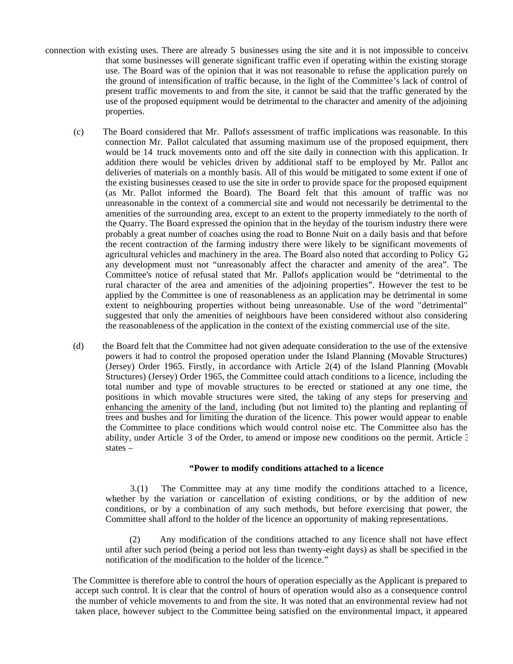- connection with existing uses. There are already 5 businesses using the site and it is not impossible to conceive that some businesses will generate significant traffic even if operating within the existing storage use. The Board was of the opinion that it was not reasonable to refuse the application purely on the ground of intensification of traffic because, in the light of the Committee's lack of control of present traffic movements to and from the site, it cannot be said that the traffic generated by the use of the proposed equipment would be detrimental to the character and amenity of the adjoining properties.
	- (c) The Board considered that Mr. Pallot's assessment of traffic implications was reasonable. In this connection Mr. Pallot calculated that assuming maximum use of the proposed equipment, there would be 14 truck movements onto and off the site daily in connection with this application. In addition there would be vehicles driven by additional staff to be employed by Mr. Pallot and deliveries of materials on a monthly basis. All of this would be mitigated to some extent if one of the existing businesses ceased to use the site in order to provide space for the proposed equipment (as Mr. Pallot informed the Board). The Board felt that this amount of traffic was not unreasonable in the context of a commercial site and would not necessarily be detrimental to the amenities of the surrounding area, except to an extent to the property immediately to the north of the Quarry. The Board expressed the opinion that in the heyday of the tourism industry there were probably a great number of coaches using the road to Bonne Nuit on a daily basis and that before the recent contraction of the farming industry there were likely to be significant movements of agricultural vehicles and machinery in the area. The Board also noted that according to Policy G2 any development must not "unreasonably affect the character and amenity of the area". The Committee's notice of refusal stated that Mr. Pallot's application would be "detrimental to the rural character of the area and amenities of the adjoining properties". However the test to be applied by the Committee is one of reasonableness as an application may be detrimental in some extent to neighbouring properties without being unreasonable. Use of the word "detrimental" suggested that only the amenities of neighbours have been considered without also considering the reasonableness of the application in the context of the existing commercial use of the site.
	- (d) the Board felt that the Committee had not given adequate consideration to the use of the extensive powers it had to control the proposed operation under the Island Planning (Movable Structures) (Jersey) Order 1965. Firstly, in accordance with Article 2(4) of the Island Planning (Movable Structures) (Jersey) Order 1965, the Committee could attach conditions to a licence, including the total number and type of movable structures to be erected or stationed at any one time, the positions in which movable structures were sited, the taking of any steps for preserving and enhancing the amenity of the land, including (but not limited to) the planting and replanting of trees and bushes and for limiting the duration of the licence. This power would appear to enable the Committee to place conditions which would control noise etc. The Committee also has the ability, under Article 3 of the Order, to amend or impose new conditions on the permit. Article 3 states –

#### **"Power to modify conditions attached to a licence**

 3.(1) The Committee may at any time modify the conditions attached to a licence, whether by the variation or cancellation of existing conditions, or by the addition of new conditions, or by a combination of any such methods, but before exercising that power, the Committee shall afford to the holder of the licence an opportunity of making representations.

 (2) Any modification of the conditions attached to any licence shall not have effect until after such period (being a period not less than twenty-eight days) as shall be specified in the notification of the modification to the holder of the licence."

 The Committee is therefore able to control the hours of operation especially as the Applicant is prepared to accept such control. It is clear that the control of hours of operation would also as a consequence control the number of vehicle movements to and from the site. It was noted that an environmental review had not taken place, however subject to the Committee being satisfied on the environmental impact, it appeared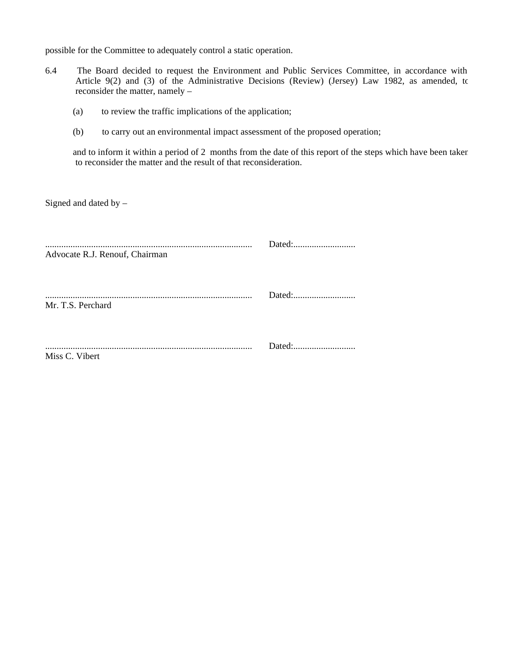possible for the Committee to adequately control a static operation.

- 6.4 The Board decided to request the Environment and Public Services Committee, in accordance with Article 9(2) and (3) of the Administrative Decisions (Review) (Jersey) Law 1982, as amended, to reconsider the matter, namely –
	- (a) to review the traffic implications of the application;
	- (b) to carry out an environmental impact assessment of the proposed operation;

 and to inform it within a period of 2 months from the date of this report of the steps which have been taken to reconsider the matter and the result of that reconsideration.

Signed and dated by –

| Advocate R.J. Renouf, Chairman |  |
|--------------------------------|--|
| Mr. T.S. Perchard              |  |
| Miss C. Vibert                 |  |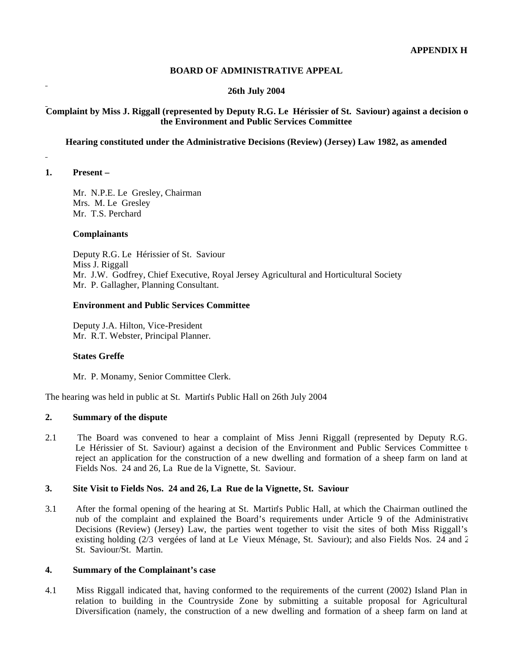### **BOARD OF ADMINISTRATIVE APPEAL**

### **26th July 2004**

## **Complaint by Miss J. Riggall (represented by Deputy R.G. Le Hérissier of St. Saviour) against a decision of the Environment and Public Services Committee**

#### **Hearing constituted under the Administrative Decisions (Review) (Jersey) Law 1982, as amended**

#### **1. Present –**

 $\overline{a}$ 

 Mr. N.P.E. Le Gresley, Chairman Mrs. M. Le Gresley Mr. T.S. Perchard

#### **Complainants**

 Deputy R.G. Le Hérissier of St. Saviour Miss J. Riggall Mr. J.W. Godfrey, Chief Executive, Royal Jersey Agricultural and Horticultural Society Mr. P. Gallagher, Planning Consultant.

#### **Environment and Public Services Committee**

 Deputy J.A. Hilton, Vice-President Mr. R.T. Webster, Principal Planner.

#### **States Greffe**

Mr. P. Monamy, Senior Committee Clerk.

The hearing was held in public at St. Martin's Public Hall on 26th July 2004

## **2. Summary of the dispute**

2.1 The Board was convened to hear a complaint of Miss Jenni Riggall (represented by Deputy R.G. Le Hérissier of St. Saviour) against a decision of the Environment and Public Services Committee t reject an application for the construction of a new dwelling and formation of a sheep farm on land at Fields Nos. 24 and 26, La Rue de la Vignette, St. Saviour.

#### **3. Site Visit to Fields Nos. 24 and 26, La Rue de la Vignette, St. Saviour**

3.1 After the formal opening of the hearing at St. Martin's Public Hall, at which the Chairman outlined the nub of the complaint and explained the Board's requirements under Article 9 of the Administrative Decisions (Review) (Jersey) Law, the parties went together to visit the sites of both Miss Riggall's existing holding (2/3 vergées of land at Le Vieux Ménage, St. Saviour); and also Fields Nos. 24 and 2 St. Saviour/St. Martin.

#### **4. Summary of the Complainant's case**

4.1 Miss Riggall indicated that, having conformed to the requirements of the current (2002) Island Plan in relation to building in the Countryside Zone by submitting a suitable proposal for Agricultural Diversification (namely, the construction of a new dwelling and formation of a sheep farm on land at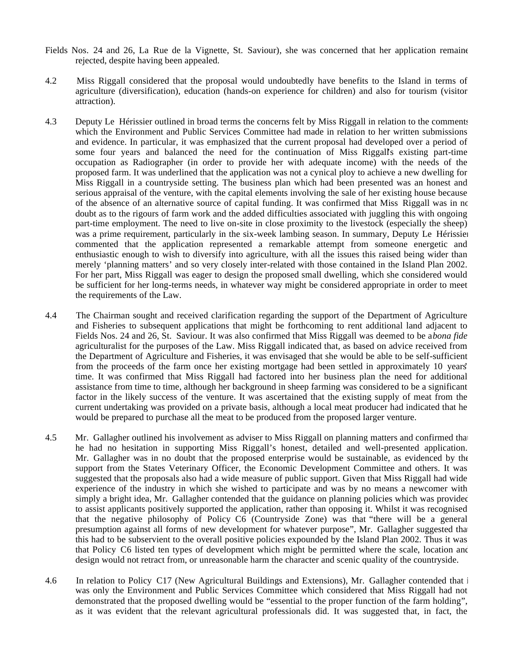- Fields Nos. 24 and 26, La Rue de la Vignette, St. Saviour), she was concerned that her application remained rejected, despite having been appealed.
- 4.2 Miss Riggall considered that the proposal would undoubtedly have benefits to the Island in terms of agriculture (diversification), education (hands-on experience for children) and also for tourism (visitor attraction).
- 4.3 Deputy Le Hérissier outlined in broad terms the concerns felt by Miss Riggall in relation to the comments which the Environment and Public Services Committee had made in relation to her written submissions and evidence. In particular, it was emphasized that the current proposal had developed over a period of some four years and balanced the need for the continuation of Miss Riggall's existing part-time occupation as Radiographer (in order to provide her with adequate income) with the needs of the proposed farm. It was underlined that the application was not a cynical ploy to achieve a new dwelling for Miss Riggall in a countryside setting. The business plan which had been presented was an honest and serious appraisal of the venture, with the capital elements involving the sale of her existing house because of the absence of an alternative source of capital funding. It was confirmed that Miss Riggall was in no doubt as to the rigours of farm work and the added difficulties associated with juggling this with ongoing part-time employment. The need to live on-site in close proximity to the livestock (especially the sheep) was a prime requirement, particularly in the six-week lambing season. In summary, Deputy Le Hérissier commented that the application represented a remarkable attempt from someone energetic and enthusiastic enough to wish to diversify into agriculture, with all the issues this raised being wider than merely 'planning matters' and so very closely inter-related with those contained in the Island Plan 2002. For her part, Miss Riggall was eager to design the proposed small dwelling, which she considered would be sufficient for her long-terms needs, in whatever way might be considered appropriate in order to meet the requirements of the Law.
- 4.4 The Chairman sought and received clarification regarding the support of the Department of Agriculture and Fisheries to subsequent applications that might be forthcoming to rent additional land adjacent to Fields Nos. 24 and 26, St. Saviour. It was also confirmed that Miss Riggall was deemed to be a*bona fide* agriculturalist for the purposes of the Law. Miss Riggall indicated that, as based on advice received from the Department of Agriculture and Fisheries, it was envisaged that she would be able to be self-sufficient from the proceeds of the farm once her existing mortgage had been settled in approximately 10 years' time. It was confirmed that Miss Riggall had factored into her business plan the need for additional assistance from time to time, although her background in sheep farming was considered to be a significant factor in the likely success of the venture. It was ascertained that the existing supply of meat from the current undertaking was provided on a private basis, although a local meat producer had indicated that he would be prepared to purchase all the meat to be produced from the proposed larger venture.
- 4.5 Mr. Gallagher outlined his involvement as adviser to Miss Riggall on planning matters and confirmed that he had no hesitation in supporting Miss Riggall's honest, detailed and well-presented application. Mr. Gallagher was in no doubt that the proposed enterprise would be sustainable, as evidenced by the support from the States Veterinary Officer, the Economic Development Committee and others. It was suggested that the proposals also had a wide measure of public support. Given that Miss Riggall had wide experience of the industry in which she wished to participate and was by no means a newcomer with simply a bright idea, Mr. Gallagher contended that the guidance on planning policies which was provided to assist applicants positively supported the application, rather than opposing it. Whilst it was recognised that the negative philosophy of Policy C6 (Countryside Zone) was that "there will be a general presumption against all forms of new development for whatever purpose", Mr. Gallagher suggested that this had to be subservient to the overall positive policies expounded by the Island Plan 2002. Thus it was that Policy C6 listed ten types of development which might be permitted where the scale, location and design would not retract from, or unreasonable harm the character and scenic quality of the countryside.
- 4.6 In relation to Policy C17 (New Agricultural Buildings and Extensions), Mr. Gallagher contended that i was only the Environment and Public Services Committee which considered that Miss Riggall had not demonstrated that the proposed dwelling would be "essential to the proper function of the farm holding", as it was evident that the relevant agricultural professionals did. It was suggested that, in fact, the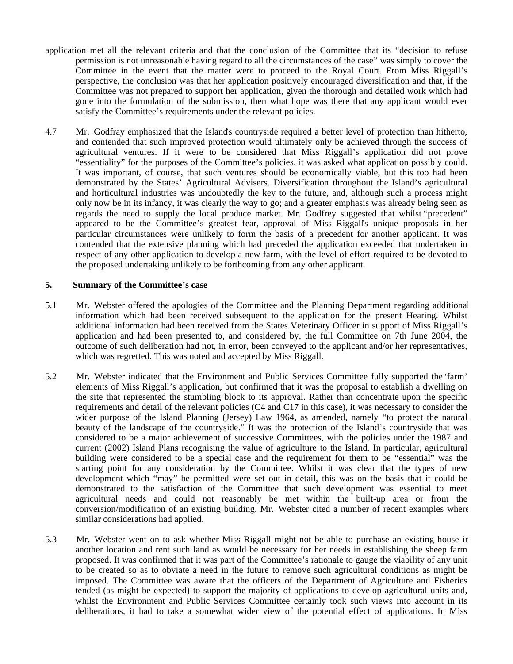- application met all the relevant criteria and that the conclusion of the Committee that its "decision to refuse permission is not unreasonable having regard to all the circumstances of the case" was simply to cover the Committee in the event that the matter were to proceed to the Royal Court. From Miss Riggall's perspective, the conclusion was that her application positively encouraged diversification and that, if the Committee was not prepared to support her application, given the thorough and detailed work which had gone into the formulation of the submission, then what hope was there that any applicant would ever satisfy the Committee's requirements under the relevant policies.
- 4.7 Mr. Godfray emphasized that the Island's countryside required a better level of protection than hitherto, and contended that such improved protection would ultimately only be achieved through the success of agricultural ventures. If it were to be considered that Miss Riggall's application did not prove "essentiality" for the purposes of the Committee's policies, it was asked what application possibly could. It was important, of course, that such ventures should be economically viable, but this too had been demonstrated by the States' Agricultural Advisers. Diversification throughout the Island's agricultural and horticultural industries was undoubtedly the key to the future, and, although such a process might only now be in its infancy, it was clearly the way to go; and a greater emphasis was already being seen as regards the need to supply the local produce market. Mr. Godfrey suggested that whilst "precedent" appeared to be the Committee's greatest fear, approval of Miss Riggall's unique proposals in her particular circumstances were unlikely to form the basis of a precedent for another applicant. It was contended that the extensive planning which had preceded the application exceeded that undertaken in respect of any other application to develop a new farm, with the level of effort required to be devoted to the proposed undertaking unlikely to be forthcoming from any other applicant.

#### **5. Summary of the Committee's case**

- 5.1 Mr. Webster offered the apologies of the Committee and the Planning Department regarding additional information which had been received subsequent to the application for the present Hearing. Whilst additional information had been received from the States Veterinary Officer in support of Miss Riggall's application and had been presented to, and considered by, the full Committee on 7th June 2004, the outcome of such deliberation had not, in error, been conveyed to the applicant and/or her representatives, which was regretted. This was noted and accepted by Miss Riggall.
- 5.2 Mr. Webster indicated that the Environment and Public Services Committee fully supported the 'farm' elements of Miss Riggall's application, but confirmed that it was the proposal to establish a dwelling on the site that represented the stumbling block to its approval. Rather than concentrate upon the specific requirements and detail of the relevant policies (C4 and C17 in this case), it was necessary to consider the wider purpose of the Island Planning (Jersey) Law 1964, as amended, namely "to protect the natural beauty of the landscape of the countryside." It was the protection of the Island's countryside that was considered to be a major achievement of successive Committees, with the policies under the 1987 and current (2002) Island Plans recognising the value of agriculture to the Island. In particular, agricultural building were considered to be a special case and the requirement for them to be "essential" was the starting point for any consideration by the Committee. Whilst it was clear that the types of new development which "may" be permitted were set out in detail, this was on the basis that it could be demonstrated to the satisfaction of the Committee that such development was essential to meet agricultural needs and could not reasonably be met within the built-up area or from the conversion/modification of an existing building. Mr. Webster cited a number of recent examples where similar considerations had applied.
- 5.3 Mr. Webster went on to ask whether Miss Riggall might not be able to purchase an existing house in another location and rent such land as would be necessary for her needs in establishing the sheep farm proposed. It was confirmed that it was part of the Committee's rationale to gauge the viability of any unit to be created so as to obviate a need in the future to remove such agricultural conditions as might be imposed. The Committee was aware that the officers of the Department of Agriculture and Fisheries tended (as might be expected) to support the majority of applications to develop agricultural units and, whilst the Environment and Public Services Committee certainly took such views into account in its deliberations, it had to take a somewhat wider view of the potential effect of applications. In Miss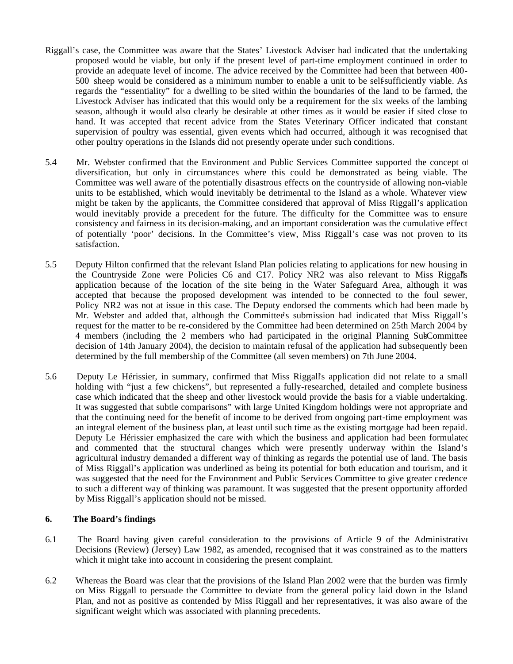- Riggall's case, the Committee was aware that the States' Livestock Adviser had indicated that the undertaking proposed would be viable, but only if the present level of part-time employment continued in order to provide an adequate level of income. The advice received by the Committee had been that between 400- 500 sheep would be considered as a minimum number to enable a unit to be self-sufficiently viable. As regards the "essentiality" for a dwelling to be sited within the boundaries of the land to be farmed, the Livestock Adviser has indicated that this would only be a requirement for the six weeks of the lambing season, although it would also clearly be desirable at other times as it would be easier if sited close to hand. It was accepted that recent advice from the States Veterinary Officer indicated that constant supervision of poultry was essential, given events which had occurred, although it was recognised that other poultry operations in the Islands did not presently operate under such conditions.
- 5.4 Mr. Webster confirmed that the Environment and Public Services Committee supported the concept of diversification, but only in circumstances where this could be demonstrated as being viable. The Committee was well aware of the potentially disastrous effects on the countryside of allowing non-viable units to be established, which would inevitably be detrimental to the Island as a whole. Whatever view might be taken by the applicants, the Committee considered that approval of Miss Riggall's application would inevitably provide a precedent for the future. The difficulty for the Committee was to ensure consistency and fairness in its decision-making, and an important consideration was the cumulative effect of potentially 'poor' decisions. In the Committee's view, Miss Riggall's case was not proven to its satisfaction.
- 5.5 Deputy Hilton confirmed that the relevant Island Plan policies relating to applications for new housing in the Countryside Zone were Policies C6 and C17. Policy NR2 was also relevant to Miss Riggall's application because of the location of the site being in the Water Safeguard Area, although it was accepted that because the proposed development was intended to be connected to the foul sewer, Policy NR2 was not at issue in this case. The Deputy endorsed the comments which had been made by Mr. Webster and added that, although the Committee's submission had indicated that Miss Riggall's request for the matter to be re-considered by the Committee had been determined on 25th March 2004 by 4 members (including the 2 members who had participated in the original Planning Sub-Committee decision of 14th January 2004), the decision to maintain refusal of the application had subsequently been determined by the full membership of the Committee (all seven members) on 7th June 2004.
- 5.6 Deputy Le Hérissier, in summary, confirmed that Miss Riggall's application did not relate to a small holding with "just a few chickens", but represented a fully-researched, detailed and complete business case which indicated that the sheep and other livestock would provide the basis for a viable undertaking. It was suggested that subtle comparisons" with large United Kingdom holdings were not appropriate and that the continuing need for the benefit of income to be derived from ongoing part-time employment was an integral element of the business plan, at least until such time as the existing mortgage had been repaid. Deputy Le Hérissier emphasized the care with which the business and application had been formulated and commented that the structural changes which were presently underway within the Island's agricultural industry demanded a different way of thinking as regards the potential use of land. The basis of Miss Riggall's application was underlined as being its potential for both education and tourism, and it was suggested that the need for the Environment and Public Services Committee to give greater credence to such a different way of thinking was paramount. It was suggested that the present opportunity afforded by Miss Riggall's application should not be missed.

#### **6. The Board's findings**

- 6.1 The Board having given careful consideration to the provisions of Article 9 of the Administrative Decisions (Review) (Jersey) Law 1982, as amended, recognised that it was constrained as to the matters which it might take into account in considering the present complaint.
- 6.2 Whereas the Board was clear that the provisions of the Island Plan 2002 were that the burden was firmly on Miss Riggall to persuade the Committee to deviate from the general policy laid down in the Island Plan, and not as positive as contended by Miss Riggall and her representatives, it was also aware of the significant weight which was associated with planning precedents.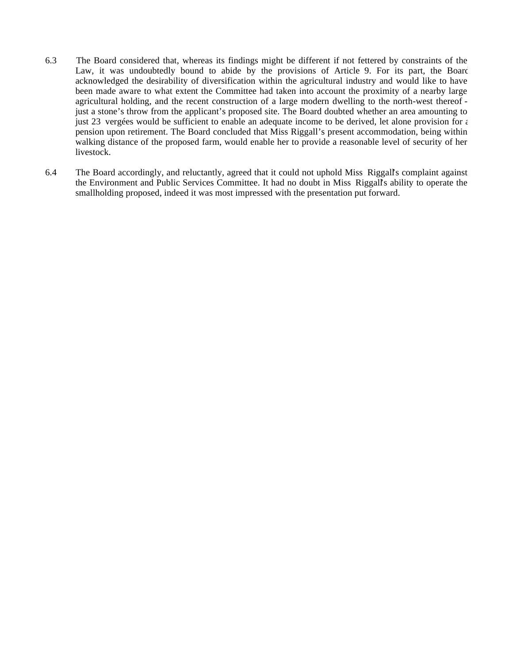- 6.3 The Board considered that, whereas its findings might be different if not fettered by constraints of the Law, it was undoubtedly bound to abide by the provisions of Article 9. For its part, the Board acknowledged the desirability of diversification within the agricultural industry and would like to have been made aware to what extent the Committee had taken into account the proximity of a nearby large agricultural holding, and the recent construction of a large modern dwelling to the north-west thereof just a stone's throw from the applicant's proposed site. The Board doubted whether an area amounting to just 23 vergées would be sufficient to enable an adequate income to be derived, let alone provision for  $\epsilon$ pension upon retirement. The Board concluded that Miss Riggall's present accommodation, being within walking distance of the proposed farm, would enable her to provide a reasonable level of security of her livestock.
- 6.4 The Board accordingly, and reluctantly, agreed that it could not uphold Miss Riggall's complaint against the Environment and Public Services Committee. It had no doubt in Miss Riggall's ability to operate the smallholding proposed, indeed it was most impressed with the presentation put forward.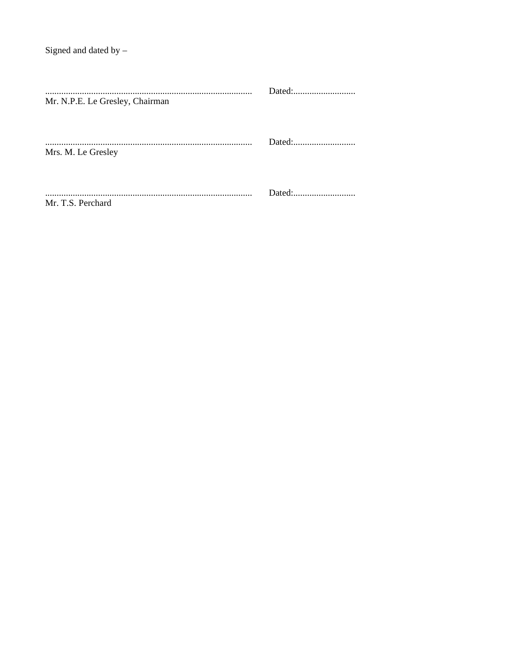| Mr. N.P.E. Le Gresley, Chairman |  |
|---------------------------------|--|
| Mrs. M. Le Gresley              |  |
| Mr. T.S. Perchard               |  |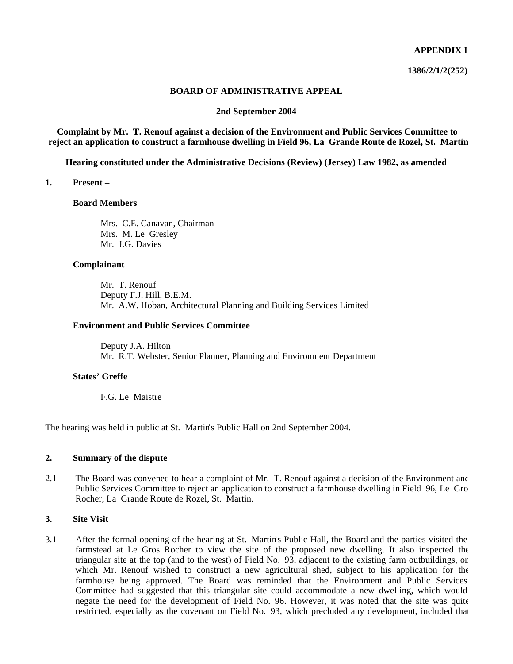#### **APPENDIX I**

**1386/2/1/2(252)**

#### **BOARD OF ADMINISTRATIVE APPEAL**

#### **2nd September 2004**

**Complaint by Mr. T. Renouf against a decision of the Environment and Public Services Committee to reject an application to construct a farmhouse dwelling in Field 96, La Grande Route de Rozel, St. Martin**

**Hearing constituted under the Administrative Decisions (Review) (Jersey) Law 1982, as amended**

#### **1. Present –**

#### **Board Members**

 Mrs. C.E. Canavan, Chairman Mrs. M. Le Gresley Mr. J.G. Davies

#### **Complainant**

 Mr. T. Renouf Deputy F.J. Hill, B.E.M. Mr. A.W. Hoban, Architectural Planning and Building Services Limited

#### **Environment and Public Services Committee**

 Deputy J.A. Hilton Mr. R.T. Webster, Senior Planner, Planning and Environment Department

#### **States' Greffe**

F.G. Le Maistre

The hearing was held in public at St. Martin's Public Hall on 2nd September 2004.

#### **2. Summary of the dispute**

2.1 The Board was convened to hear a complaint of Mr. T. Renouf against a decision of the Environment and Public Services Committee to reject an application to construct a farmhouse dwelling in Field 96, Le Gro Rocher, La Grande Route de Rozel, St. Martin.

#### **3. Site Visit**

3.1 After the formal opening of the hearing at St. Martin's Public Hall, the Board and the parties visited the farmstead at Le Gros Rocher to view the site of the proposed new dwelling. It also inspected the triangular site at the top (and to the west) of Field No. 93, adjacent to the existing farm outbuildings, on which Mr. Renouf wished to construct a new agricultural shed, subject to his application for the farmhouse being approved. The Board was reminded that the Environment and Public Services Committee had suggested that this triangular site could accommodate a new dwelling, which would negate the need for the development of Field No. 96. However, it was noted that the site was quite restricted, especially as the covenant on Field No. 93, which precluded any development, included that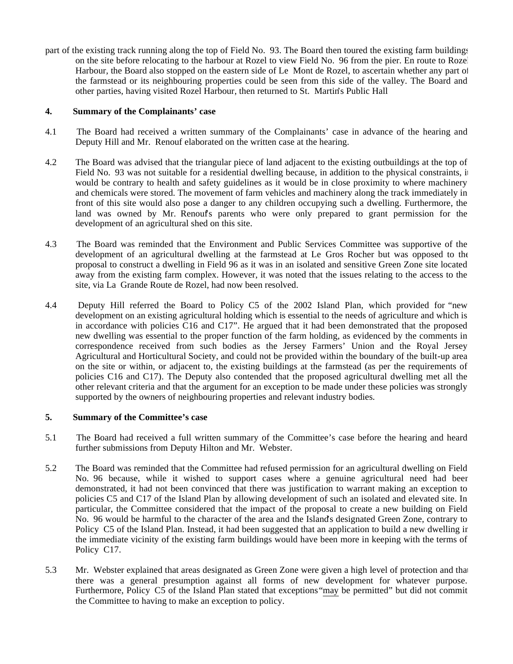part of the existing track running along the top of Field No. 93. The Board then toured the existing farm buildings on the site before relocating to the harbour at Rozel to view Field No. 96 from the pier. En route to Rozel Harbour, the Board also stopped on the eastern side of Le Mont de Rozel, to ascertain whether any part of the farmstead or its neighbouring properties could be seen from this side of the valley. The Board and other parties, having visited Rozel Harbour, then returned to St. Martin's Public Hall

## **4. Summary of the Complainants' case**

- 4.1 The Board had received a written summary of the Complainants' case in advance of the hearing and Deputy Hill and Mr. Renouf elaborated on the written case at the hearing.
- 4.2 The Board was advised that the triangular piece of land adjacent to the existing outbuildings at the top of Field No. 93 was not suitable for a residential dwelling because, in addition to the physical constraints, it would be contrary to health and safety guidelines as it would be in close proximity to where machinery and chemicals were stored. The movement of farm vehicles and machinery along the track immediately in front of this site would also pose a danger to any children occupying such a dwelling. Furthermore, the land was owned by Mr. Renouf's parents who were only prepared to grant permission for the development of an agricultural shed on this site.
- 4.3 The Board was reminded that the Environment and Public Services Committee was supportive of the development of an agricultural dwelling at the farmstead at Le Gros Rocher but was opposed to the proposal to construct a dwelling in Field 96 as it was in an isolated and sensitive Green Zone site located away from the existing farm complex. However, it was noted that the issues relating to the access to the site, via La Grande Route de Rozel, had now been resolved.
- 4.4 Deputy Hill referred the Board to Policy C5 of the 2002 Island Plan, which provided for "new development on an existing agricultural holding which is essential to the needs of agriculture and which is in accordance with policies C16 and C17". He argued that it had been demonstrated that the proposed new dwelling was essential to the proper function of the farm holding, as evidenced by the comments in correspondence received from such bodies as the Jersey Farmers' Union and the Royal Jersey Agricultural and Horticultural Society, and could not be provided within the boundary of the built-up area on the site or within, or adjacent to, the existing buildings at the farmstead (as per the requirements of policies C16 and C17). The Deputy also contended that the proposed agricultural dwelling met all the other relevant criteria and that the argument for an exception to be made under these policies was strongly supported by the owners of neighbouring properties and relevant industry bodies.

## **5. Summary of the Committee's case**

- 5.1 The Board had received a full written summary of the Committee's case before the hearing and heard further submissions from Deputy Hilton and Mr. Webster.
- 5.2 The Board was reminded that the Committee had refused permission for an agricultural dwelling on Field No. 96 because, while it wished to support cases where a genuine agricultural need had been demonstrated, it had not been convinced that there was justification to warrant making an exception to policies C5 and C17 of the Island Plan by allowing development of such an isolated and elevated site. In particular, the Committee considered that the impact of the proposal to create a new building on Field No. 96 would be harmful to the character of the area and the Island's designated Green Zone, contrary to Policy C5 of the Island Plan. Instead, it had been suggested that an application to build a new dwelling in the immediate vicinity of the existing farm buildings would have been more in keeping with the terms of Policy C17.
- 5.3 Mr. Webster explained that areas designated as Green Zone were given a high level of protection and that there was a general presumption against all forms of new development for whatever purpose. Furthermore, Policy C5 of the Island Plan stated that exceptions "may be permitted" but did not commit the Committee to having to make an exception to policy.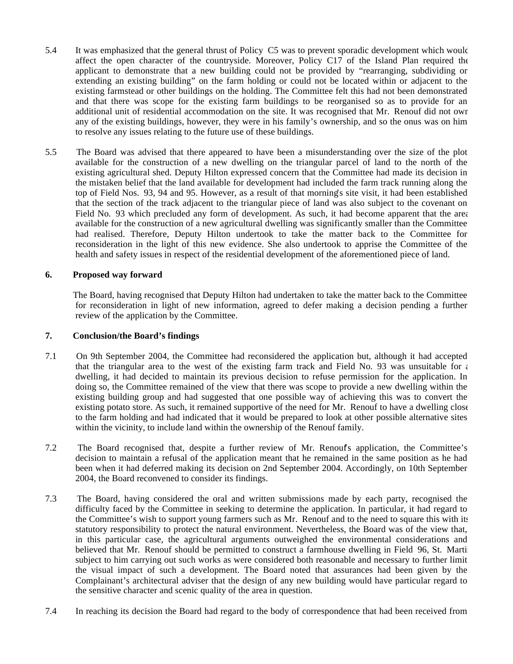- 5.4 It was emphasized that the general thrust of Policy C5 was to prevent sporadic development which would affect the open character of the countryside. Moreover, Policy C17 of the Island Plan required the applicant to demonstrate that a new building could not be provided by "rearranging, subdividing or extending an existing building" on the farm holding or could not be located within or adjacent to the existing farmstead or other buildings on the holding. The Committee felt this had not been demonstrated and that there was scope for the existing farm buildings to be reorganised so as to provide for an additional unit of residential accommodation on the site. It was recognised that Mr. Renouf did not own any of the existing buildings, however, they were in his family's ownership, and so the onus was on him to resolve any issues relating to the future use of these buildings.
- 5.5 The Board was advised that there appeared to have been a misunderstanding over the size of the plot available for the construction of a new dwelling on the triangular parcel of land to the north of the existing agricultural shed. Deputy Hilton expressed concern that the Committee had made its decision in the mistaken belief that the land available for development had included the farm track running along the top of Field Nos. 93, 94 and 95. However, as a result of that morning's site visit, it had been established that the section of the track adjacent to the triangular piece of land was also subject to the covenant on Field No. 93 which precluded any form of development. As such, it had become apparent that the area available for the construction of a new agricultural dwelling was significantly smaller than the Committee had realised. Therefore, Deputy Hilton undertook to take the matter back to the Committee for reconsideration in the light of this new evidence. She also undertook to apprise the Committee of the health and safety issues in respect of the residential development of the aforementioned piece of land.

## **6. Proposed way forward**

 The Board, having recognised that Deputy Hilton had undertaken to take the matter back to the Committee for reconsideration in light of new information, agreed to defer making a decision pending a further review of the application by the Committee.

#### **7. Conclusion/the Board's findings**

- 7.1 On 9th September 2004, the Committee had reconsidered the application but, although it had accepted that the triangular area to the west of the existing farm track and Field No. 93 was unsuitable for  $\epsilon$ dwelling, it had decided to maintain its previous decision to refuse permission for the application. In doing so, the Committee remained of the view that there was scope to provide a new dwelling within the existing building group and had suggested that one possible way of achieving this was to convert the existing potato store. As such, it remained supportive of the need for Mr. Renouf to have a dwelling close to the farm holding and had indicated that it would be prepared to look at other possible alternative sites within the vicinity, to include land within the ownership of the Renouf family.
- 7.2 The Board recognised that, despite a further review of Mr. Renouf's application, the Committee's decision to maintain a refusal of the application meant that he remained in the same position as he had been when it had deferred making its decision on 2nd September 2004. Accordingly, on 10th September 2004, the Board reconvened to consider its findings.
- 7.3 The Board, having considered the oral and written submissions made by each party, recognised the difficulty faced by the Committee in seeking to determine the application. In particular, it had regard to the Committee's wish to support young farmers such as Mr. Renouf and to the need to square this with its statutory responsibility to protect the natural environment. Nevertheless, the Board was of the view that, in this particular case, the agricultural arguments outweighed the environmental considerations and believed that Mr. Renouf should be permitted to construct a farmhouse dwelling in Field 96, St. Martin, subject to him carrying out such works as were considered both reasonable and necessary to further limit the visual impact of such a development. The Board noted that assurances had been given by the Complainant's architectural adviser that the design of any new building would have particular regard to the sensitive character and scenic quality of the area in question.
- 7.4 In reaching its decision the Board had regard to the body of correspondence that had been received from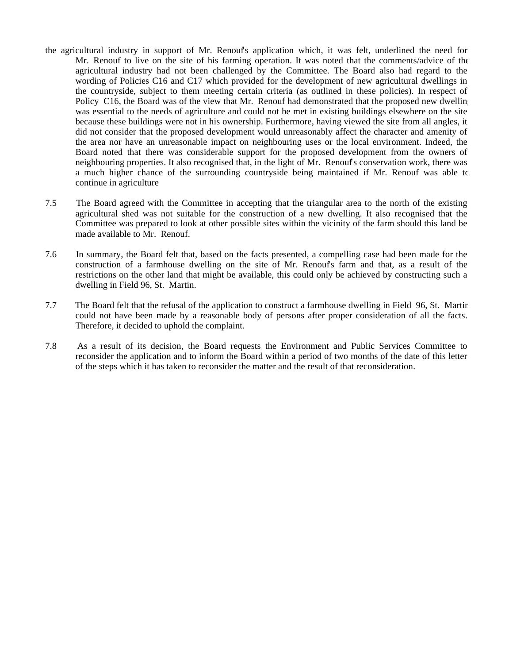- the agricultural industry in support of Mr. Renouf's application which, it was felt, underlined the need for Mr. Renouf to live on the site of his farming operation. It was noted that the comments/advice of the agricultural industry had not been challenged by the Committee. The Board also had regard to the wording of Policies C16 and C17 which provided for the development of new agricultural dwellings in the countryside, subject to them meeting certain criteria (as outlined in these policies). In respect of Policy C16, the Board was of the view that Mr. Renouf had demonstrated that the proposed new dwellin was essential to the needs of agriculture and could not be met in existing buildings elsewhere on the site because these buildings were not in his ownership. Furthermore, having viewed the site from all angles, it did not consider that the proposed development would unreasonably affect the character and amenity of the area nor have an unreasonable impact on neighbouring uses or the local environment. Indeed, the Board noted that there was considerable support for the proposed development from the owners of neighbouring properties. It also recognised that, in the light of Mr. Renouf's conservation work, there was a much higher chance of the surrounding countryside being maintained if Mr. Renouf was able to continue in agriculture
- 7.5 The Board agreed with the Committee in accepting that the triangular area to the north of the existing agricultural shed was not suitable for the construction of a new dwelling. It also recognised that the Committee was prepared to look at other possible sites within the vicinity of the farm should this land be made available to Mr. Renouf.
- 7.6 In summary, the Board felt that, based on the facts presented, a compelling case had been made for the construction of a farmhouse dwelling on the site of Mr. Renouf's farm and that, as a result of the restrictions on the other land that might be available, this could only be achieved by constructing such a dwelling in Field 96, St. Martin.
- 7.7 The Board felt that the refusal of the application to construct a farmhouse dwelling in Field 96, St. Martin could not have been made by a reasonable body of persons after proper consideration of all the facts. Therefore, it decided to uphold the complaint.
- 7.8 As a result of its decision, the Board requests the Environment and Public Services Committee to reconsider the application and to inform the Board within a period of two months of the date of this letter of the steps which it has taken to reconsider the matter and the result of that reconsideration.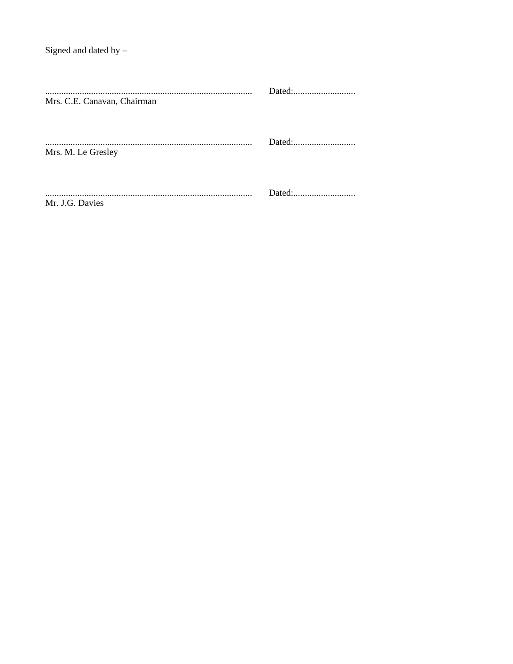| Mrs. C.E. Canavan, Chairman |  |
|-----------------------------|--|
| Mrs. M. Le Gresley          |  |
| Mr. J.G. Davies             |  |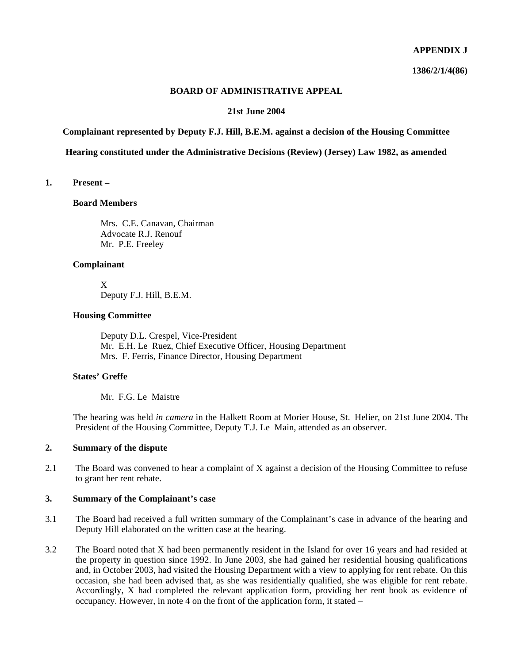#### **APPENDIX J**

**1386/2/1/4(86)**

#### **BOARD OF ADMINISTRATIVE APPEAL**

#### **21st June 2004**

**Complainant represented by Deputy F.J. Hill, B.E.M. against a decision of the Housing Committee**

**Hearing constituted under the Administrative Decisions (Review) (Jersey) Law 1982, as amended**

#### **1. Present –**

#### **Board Members**

 Mrs. C.E. Canavan, Chairman Advocate R.J. Renouf Mr. P.E. Freeley

#### **Complainant**

 X Deputy F.J. Hill, B.E.M.

#### **Housing Committee**

 Deputy D.L. Crespel, Vice-President Mr. E.H. Le Ruez, Chief Executive Officer, Housing Department Mrs. F. Ferris, Finance Director, Housing Department

#### **States' Greffe**

Mr. F.G. Le Maistre

 The hearing was held *in camera* in the Halkett Room at Morier House, St. Helier, on 21st June 2004. The President of the Housing Committee, Deputy T.J. Le Main, attended as an observer.

## **2. Summary of the dispute**

2.1 The Board was convened to hear a complaint of X against a decision of the Housing Committee to refuse to grant her rent rebate.

## **3. Summary of the Complainant's case**

- 3.1 The Board had received a full written summary of the Complainant's case in advance of the hearing and Deputy Hill elaborated on the written case at the hearing.
- 3.2 The Board noted that X had been permanently resident in the Island for over 16 years and had resided at the property in question since 1992. In June 2003, she had gained her residential housing qualifications and, in October 2003, had visited the Housing Department with a view to applying for rent rebate. On this occasion, she had been advised that, as she was residentially qualified, she was eligible for rent rebate. Accordingly, X had completed the relevant application form, providing her rent book as evidence of occupancy. However, in note 4 on the front of the application form, it stated –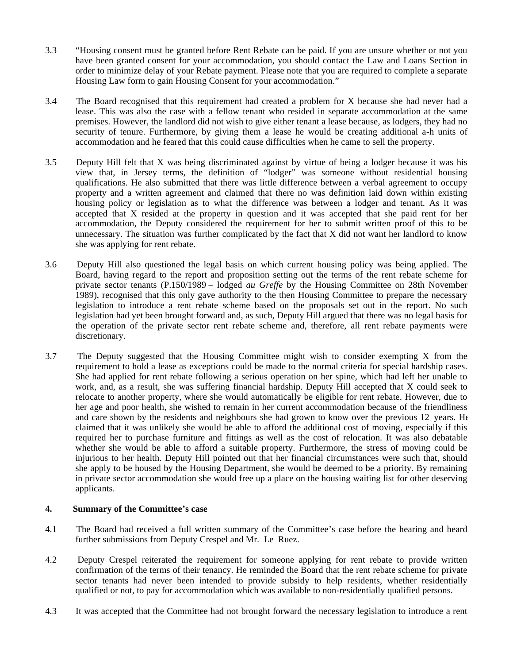- 3.3 "Housing consent must be granted before Rent Rebate can be paid. If you are unsure whether or not you have been granted consent for your accommodation, you should contact the Law and Loans Section in order to minimize delay of your Rebate payment. Please note that you are required to complete a separate Housing Law form to gain Housing Consent for your accommodation."
- 3.4 The Board recognised that this requirement had created a problem for X because she had never had a lease. This was also the case with a fellow tenant who resided in separate accommodation at the same premises. However, the landlord did not wish to give either tenant a lease because, as lodgers, they had no security of tenure. Furthermore, by giving them a lease he would be creating additional a-h units of accommodation and he feared that this could cause difficulties when he came to sell the property.
- 3.5 Deputy Hill felt that X was being discriminated against by virtue of being a lodger because it was his view that, in Jersey terms, the definition of "lodger" was someone without residential housing qualifications. He also submitted that there was little difference between a verbal agreement to occupy property and a written agreement and claimed that there no was definition laid down within existing housing policy or legislation as to what the difference was between a lodger and tenant. As it was accepted that X resided at the property in question and it was accepted that she paid rent for her accommodation, the Deputy considered the requirement for her to submit written proof of this to be unnecessary. The situation was further complicated by the fact that X did not want her landlord to know she was applying for rent rebate.
- 3.6 Deputy Hill also questioned the legal basis on which current housing policy was being applied. The Board, having regard to the report and proposition setting out the terms of the rent rebate scheme for private sector tenants (P.150/1989 – lodged *au Greffe* by the Housing Committee on 28th November 1989), recognised that this only gave authority to the then Housing Committee to prepare the necessary legislation to introduce a rent rebate scheme based on the proposals set out in the report. No such legislation had yet been brought forward and, as such, Deputy Hill argued that there was no legal basis for the operation of the private sector rent rebate scheme and, therefore, all rent rebate payments were discretionary.
- 3.7 The Deputy suggested that the Housing Committee might wish to consider exempting X from the requirement to hold a lease as exceptions could be made to the normal criteria for special hardship cases. She had applied for rent rebate following a serious operation on her spine, which had left her unable to work, and, as a result, she was suffering financial hardship. Deputy Hill accepted that X could seek to relocate to another property, where she would automatically be eligible for rent rebate. However, due to her age and poor health, she wished to remain in her current accommodation because of the friendliness and care shown by the residents and neighbours she had grown to know over the previous 12 years. He claimed that it was unlikely she would be able to afford the additional cost of moving, especially if this required her to purchase furniture and fittings as well as the cost of relocation. It was also debatable whether she would be able to afford a suitable property. Furthermore, the stress of moving could be injurious to her health. Deputy Hill pointed out that her financial circumstances were such that, should she apply to be housed by the Housing Department, she would be deemed to be a priority. By remaining in private sector accommodation she would free up a place on the housing waiting list for other deserving applicants.

## **4. Summary of the Committee's case**

- 4.1 The Board had received a full written summary of the Committee's case before the hearing and heard further submissions from Deputy Crespel and Mr. Le Ruez.
- 4.2 Deputy Crespel reiterated the requirement for someone applying for rent rebate to provide written confirmation of the terms of their tenancy. He reminded the Board that the rent rebate scheme for private sector tenants had never been intended to provide subsidy to help residents, whether residentially qualified or not, to pay for accommodation which was available to non-residentially qualified persons.
- 4.3 It was accepted that the Committee had not brought forward the necessary legislation to introduce a rent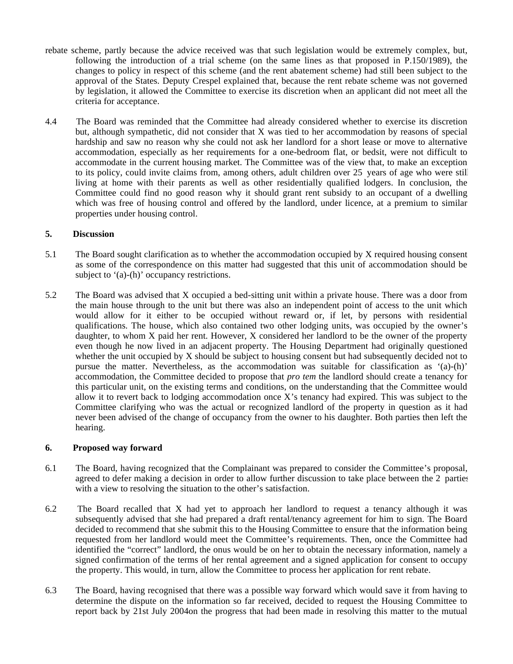- rebate scheme, partly because the advice received was that such legislation would be extremely complex, but, following the introduction of a trial scheme (on the same lines as that proposed in P.150/1989), the changes to policy in respect of this scheme (and the rent abatement scheme) had still been subject to the approval of the States. Deputy Crespel explained that, because the rent rebate scheme was not governed by legislation, it allowed the Committee to exercise its discretion when an applicant did not meet all the criteria for acceptance.
- 4.4 The Board was reminded that the Committee had already considered whether to exercise its discretion but, although sympathetic, did not consider that X was tied to her accommodation by reasons of special hardship and saw no reason why she could not ask her landlord for a short lease or move to alternative accommodation, especially as her requirements for a one-bedroom flat, or bedsit, were not difficult to accommodate in the current housing market. The Committee was of the view that, to make an exception to its policy, could invite claims from, among others, adult children over 25 years of age who were still living at home with their parents as well as other residentially qualified lodgers. In conclusion, the Committee could find no good reason why it should grant rent subsidy to an occupant of a dwelling which was free of housing control and offered by the landlord, under licence, at a premium to similar properties under housing control.

### **5. Discussion**

- 5.1 The Board sought clarification as to whether the accommodation occupied by X required housing consent as some of the correspondence on this matter had suggested that this unit of accommodation should be subject to '(a)-(h)' occupancy restrictions.
- 5.2 The Board was advised that X occupied a bed-sitting unit within a private house. There was a door from the main house through to the unit but there was also an independent point of access to the unit which would allow for it either to be occupied without reward or, if let, by persons with residential qualifications. The house, which also contained two other lodging units, was occupied by the owner's daughter, to whom X paid her rent. However, X considered her landlord to be the owner of the property even though he now lived in an adjacent property. The Housing Department had originally questioned whether the unit occupied by X should be subject to housing consent but had subsequently decided not to pursue the matter. Nevertheless, as the accommodation was suitable for classification as '(a)-(h)' accommodation, the Committee decided to propose that *pro tem* the landlord should create a tenancy for this particular unit, on the existing terms and conditions, on the understanding that the Committee would allow it to revert back to lodging accommodation once  $X$ 's tenancy had expired. This was subject to the Committee clarifying who was the actual or recognized landlord of the property in question as it had never been advised of the change of occupancy from the owner to his daughter. Both parties then left the hearing.

#### **6. Proposed way forward**

- 6.1 The Board, having recognized that the Complainant was prepared to consider the Committee's proposal, agreed to defer making a decision in order to allow further discussion to take place between the 2 parties with a view to resolving the situation to the other's satisfaction.
- 6.2 The Board recalled that X had yet to approach her landlord to request a tenancy although it was subsequently advised that she had prepared a draft rental/tenancy agreement for him to sign. The Board decided to recommend that she submit this to the Housing Committee to ensure that the information being requested from her landlord would meet the Committee's requirements. Then, once the Committee had identified the "correct" landlord, the onus would be on her to obtain the necessary information, namely a signed confirmation of the terms of her rental agreement and a signed application for consent to occupy the property. This would, in turn, allow the Committee to process her application for rent rebate.
- 6.3 The Board, having recognised that there was a possible way forward which would save it from having to determine the dispute on the information so far received, decided to request the Housing Committee to report back by 21st July 2004on the progress that had been made in resolving this matter to the mutual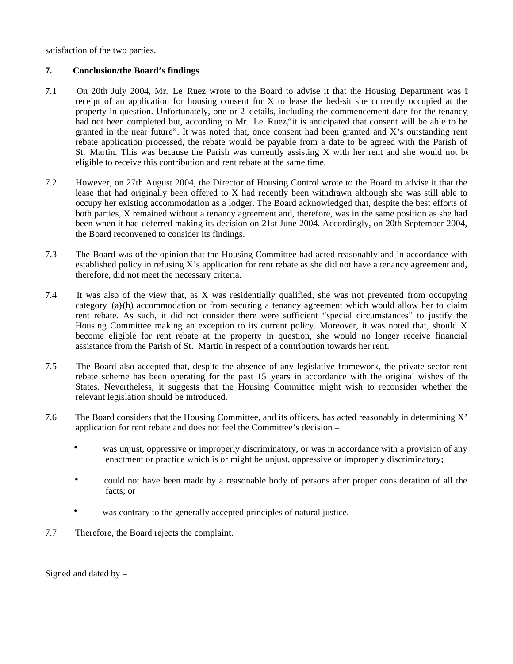satisfaction of the two parties.

## **7. Conclusion/the Board's findings**

- 7.1 On 20th July 2004, Mr. Le Ruez wrote to the Board to advise it that the Housing Department was in receipt of an application for housing consent for X to lease the bed-sit she currently occupied at the property in question. Unfortunately, one or 2 details, including the commencement date for the tenancy, had not been completed but, according to Mr. Le Ruez, it is anticipated that consent will be able to be granted in the near future". It was noted that, once consent had been granted and X**'**s outstanding rent rebate application processed, the rebate would be payable from a date to be agreed with the Parish of St. Martin. This was because the Parish was currently assisting X with her rent and she would not be eligible to receive this contribution and rent rebate at the same time.
- 7.2 However, on 27th August 2004, the Director of Housing Control wrote to the Board to advise it that the lease that had originally been offered to X had recently been withdrawn although she was still able to occupy her existing accommodation as a lodger. The Board acknowledged that, despite the best efforts of both parties, X remained without a tenancy agreement and, therefore, was in the same position as she had been when it had deferred making its decision on 21st June 2004. Accordingly, on 20th September 2004, the Board reconvened to consider its findings.
- 7.3 The Board was of the opinion that the Housing Committee had acted reasonably and in accordance with established policy in refusing X's application for rent rebate as she did not have a tenancy agreement and, therefore, did not meet the necessary criteria.
- 7.4 It was also of the view that, as X was residentially qualified, she was not prevented from occupying category  $(a)$ -(h) accommodation or from securing a tenancy agreement which would allow her to claim rent rebate. As such, it did not consider there were sufficient "special circumstances" to justify the Housing Committee making an exception to its current policy. Moreover, it was noted that, should X become eligible for rent rebate at the property in question, she would no longer receive financial assistance from the Parish of St. Martin in respect of a contribution towards her rent.
- 7.5 The Board also accepted that, despite the absence of any legislative framework, the private sector rent rebate scheme has been operating for the past 15 years in accordance with the original wishes of the States. Nevertheless, it suggests that the Housing Committee might wish to reconsider whether the relevant legislation should be introduced.
- 7.6 The Board considers that the Housing Committee, and its officers, has acted reasonably in determining X' application for rent rebate and does not feel the Committee's decision –
	- was unjust, oppressive or improperly discriminatory, or was in accordance with a provision of any enactment or practice which is or might be unjust, oppressive or improperly discriminatory;
	- could not have been made by a reasonable body of persons after proper consideration of all the facts; or
	- was contrary to the generally accepted principles of natural justice.
- 7.7 Therefore, the Board rejects the complaint.

Signed and dated by  $-$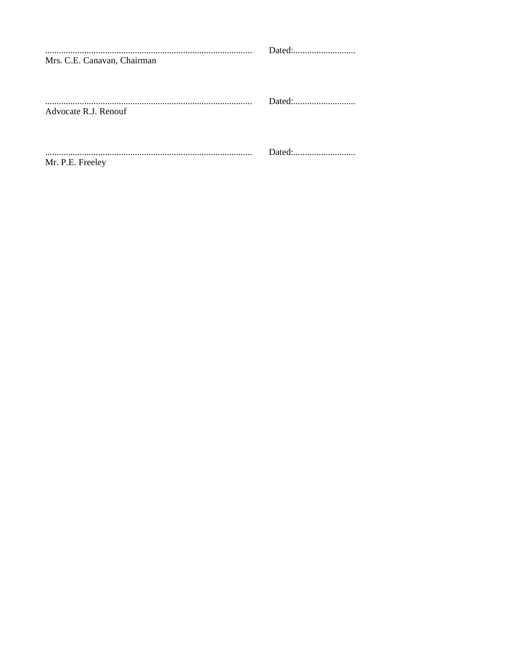| Mrs. C.E. Canavan, Chairman |  |
|-----------------------------|--|
| Advocate R.J. Renouf        |  |
| Mr. P.E. Freeley            |  |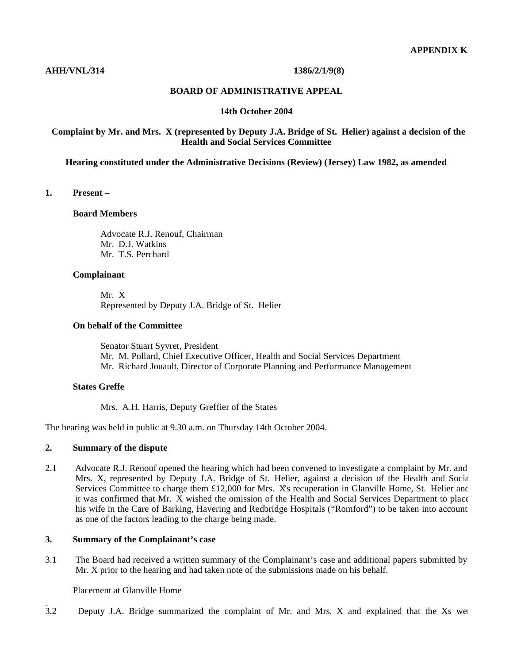#### **AHH/VNL/314 1386/2/1/9(8)**

#### **BOARD OF ADMINISTRATIVE APPEAL**

#### **14th October 2004**

#### **Complaint by Mr. and Mrs. X (represented by Deputy J.A. Bridge of St. Helier) against a decision of the Health and Social Services Committee**

#### **Hearing constituted under the Administrative Decisions (Review) (Jersey) Law 1982, as amended**

#### **1. Present –**

#### **Board Members**

 Advocate R.J. Renouf, Chairman Mr. D.J. Watkins Mr. T.S. Perchard

#### **Complainant**

 Mr. X Represented by Deputy J.A. Bridge of St. Helier

#### **On behalf of the Committee**

 Senator Stuart Syvret, President Mr. M. Pollard, Chief Executive Officer, Health and Social Services Department Mr. Richard Jouault, Director of Corporate Planning and Performance Management

## **States Greffe**

Mrs. A.H. Harris, Deputy Greffier of the States

The hearing was held in public at 9.30 a.m. on Thursday 14th October 2004.

## **2. Summary of the dispute**

2.1 Advocate R.J. Renouf opened the hearing which had been convened to investigate a complaint by Mr. and Mrs. X, represented by Deputy J.A. Bridge of St. Helier, against a decision of the Health and Social Services Committee to charge them £12,000 for Mrs. Xs recuperation in Glanville Home, St. Helier and it was confirmed that Mr. X wished the omission of the Health and Social Services Department to place his wife in the Care of Barking, Havering and Redbridge Hospitals ("Romford") to be taken into account as one of the factors leading to the charge being made.

## **3. Summary of the Complainant's case**

3.1 The Board had received a written summary of the Complainant's case and additional papers submitted by Mr. X prior to the hearing and had taken note of the submissions made on his behalf.

#### Placement at Glanville Home

 $\overline{3.2}$  Deputy J.A. Bridge summarized the complaint of Mr. and Mrs. X and explained that the Xs were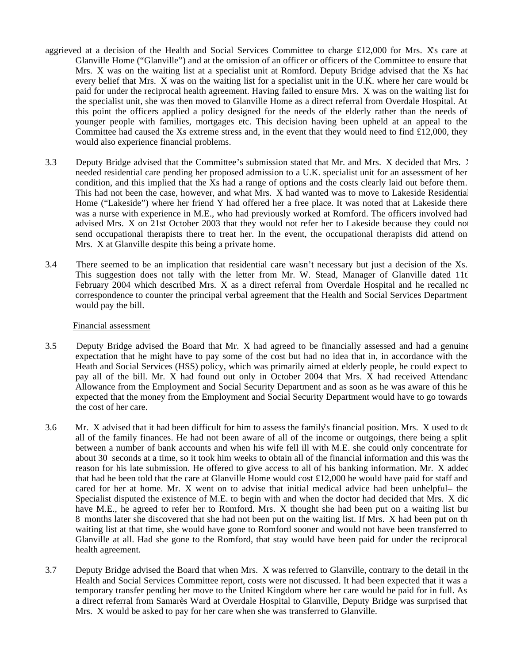- aggrieved at a decision of the Health and Social Services Committee to charge £12,000 for Mrs. Xs care at Glanville Home ("Glanville") and at the omission of an officer or officers of the Committee to ensure that Mrs. X was on the waiting list at a specialist unit at Romford. Deputy Bridge advised that the Xs had every belief that Mrs. X was on the waiting list for a specialist unit in the U.K. where her care would be paid for under the reciprocal health agreement. Having failed to ensure Mrs. X was on the waiting list for the specialist unit, she was then moved to Glanville Home as a direct referral from Overdale Hospital. At this point the officers applied a policy designed for the needs of the elderly rather than the needs of younger people with families, mortgages etc. This decision having been upheld at an appeal to the Committee had caused the Xs extreme stress and, in the event that they would need to find  $£12,000$ , they would also experience financial problems.
- 3.3 Deputy Bridge advised that the Committee's submission stated that Mr. and Mrs. X decided that Mrs. X needed residential care pending her proposed admission to a U.K. specialist unit for an assessment of her condition, and this implied that the Xs had a range of options and the costs clearly laid out before them. This had not been the case, however, and what Mrs. X had wanted was to move to Lakeside Residential Home ("Lakeside") where her friend Y had offered her a free place. It was noted that at Lakeside there was a nurse with experience in M.E., who had previously worked at Romford. The officers involved had advised Mrs. X on 21st October 2003 that they would not refer her to Lakeside because they could not send occupational therapists there to treat her. In the event, the occupational therapists did attend on Mrs. X at Glanville despite this being a private home.
- 3.4 There seemed to be an implication that residential care wasn't necessary but just a decision of the Xs. This suggestion does not tally with the letter from Mr. W. Stead, Manager of Glanville dated 11t February 2004 which described Mrs. X as a direct referral from Overdale Hospital and he recalled no correspondence to counter the principal verbal agreement that the Health and Social Services Department would pay the bill.

#### Financial assessment

- 3.5 Deputy Bridge advised the Board that Mr. X had agreed to be financially assessed and had a genuine expectation that he might have to pay some of the cost but had no idea that in, in accordance with the Heath and Social Services (HSS) policy, which was primarily aimed at elderly people, he could expect to pay all of the bill. Mr. X had found out only in October 2004 that Mrs. X had received Attendanc Allowance from the Employment and Social Security Department and as soon as he was aware of this he expected that the money from the Employment and Social Security Department would have to go towards the cost of her care.
- 3.6 Mr. X advised that it had been difficult for him to assess the family's financial position. Mrs. X used to do all of the family finances. He had not been aware of all of the income or outgoings, there being a split between a number of bank accounts and when his wife fell ill with M.E. she could only concentrate for about 30 seconds at a time, so it took him weeks to obtain all of the financial information and this was the reason for his late submission. He offered to give access to all of his banking information. Mr. X added that had he been told that the care at Glanville Home would cost  $\pounds$ 12,000 he would have paid for staff and cared for her at home. Mr. X went on to advise that initial medical advice had been unhelpful– the Specialist disputed the existence of M.E. to begin with and when the doctor had decided that Mrs. X dic have M.E., he agreed to refer her to Romford. Mrs. X thought she had been put on a waiting list but 8 months later she discovered that she had not been put on the waiting list. If Mrs. X had been put on the waiting list at that time, she would have gone to Romford sooner and would not have been transferred to Glanville at all. Had she gone to the Romford, that stay would have been paid for under the reciprocal health agreement.
- 3.7 Deputy Bridge advised the Board that when Mrs. X was referred to Glanville, contrary to the detail in the Health and Social Services Committee report, costs were not discussed. It had been expected that it was a temporary transfer pending her move to the United Kingdom where her care would be paid for in full. As a direct referral from Samarès Ward at Overdale Hospital to Glanville, Deputy Bridge was surprised that Mrs. X would be asked to pay for her care when she was transferred to Glanville.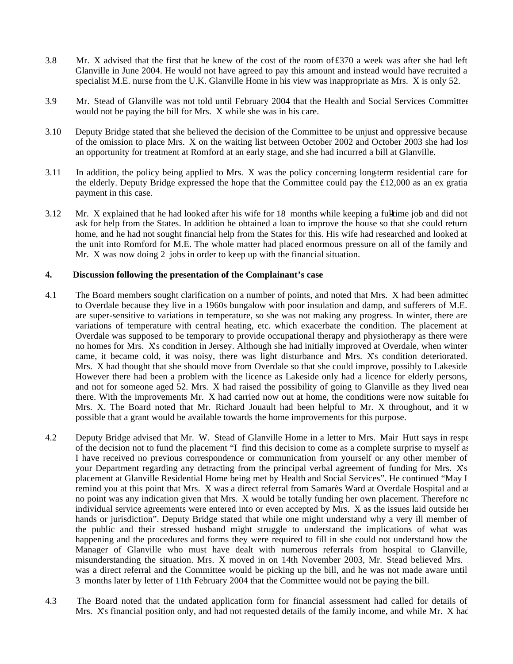- 3.8 Mr. X advised that the first that he knew of the cost of the room of£370 a week was after she had left Glanville in June 2004. He would not have agreed to pay this amount and instead would have recruited a specialist M.E. nurse from the U.K. Glanville Home in his view was inappropriate as Mrs. X is only 52.
- 3.9 Mr. Stead of Glanville was not told until February 2004 that the Health and Social Services Committee would not be paying the bill for Mrs. X while she was in his care.
- 3.10 Deputy Bridge stated that she believed the decision of the Committee to be unjust and oppressive because of the omission to place Mrs. X on the waiting list between October 2002 and October 2003 she had lost an opportunity for treatment at Romford at an early stage, and she had incurred a bill at Glanville.
- 3.11 In addition, the policy being applied to Mrs. X was the policy concerning long-term residential care for the elderly. Deputy Bridge expressed the hope that the Committee could pay the £12,000 as an ex gratia payment in this case.
- $3.12$  Mr. X explained that he had looked after his wife for 18 months while keeping a fultatime job and did not ask for help from the States. In addition he obtained a loan to improve the house so that she could return home, and he had not sought financial help from the States for this. His wife had researched and looked at the unit into Romford for M.E. The whole matter had placed enormous pressure on all of the family and Mr. X was now doing 2 jobs in order to keep up with the financial situation.

## **4. Discussion following the presentation of the Complainant's case**

- 4.1 The Board members sought clarification on a number of points, and noted that Mrs. X had been admitted to Overdale because they live in a 1960s bungalow with poor insulation and damp, and sufferers of M.E. are super-sensitive to variations in temperature, so she was not making any progress. In winter, there are variations of temperature with central heating, etc. which exacerbate the condition. The placement at Overdale was supposed to be temporary to provide occupational therapy and physiotherapy as there were no homes for Mrs. X's condition in Jersey. Although she had initially improved at Overdale, when winter came, it became cold, it was noisy, there was light disturbance and Mrs. X's condition deteriorated. Mrs. X had thought that she should move from Overdale so that she could improve, possibly to Lakeside. However there had been a problem with the licence as Lakeside only had a licence for elderly persons, and not for someone aged 52. Mrs. X had raised the possibility of going to Glanville as they lived near there. With the improvements Mr. X had carried now out at home, the conditions were now suitable for Mrs. X. The Board noted that Mr. Richard Jouault had been helpful to Mr. X throughout, and it w possible that a grant would be available towards the home improvements for this purpose.
- 4.2 Deputy Bridge advised that Mr. W. Stead of Glanville Home in a letter to Mrs. Mair Hutt says in respectively of the decision not to fund the placement "I find this decision to come as a complete surprise to myself as I have received no previous correspondence or communication from yourself or any other member of your Department regarding any detracting from the principal verbal agreement of funding for Mrs. X's placement at Glanville Residential Home being met by Health and Social Services". He continued "May I remind you at this point that Mrs. X was a direct referral from Samarès Ward at Overdale Hospital and at no point was any indication given that Mrs. X would be totally funding her own placement. Therefore no individual service agreements were entered into or even accepted by Mrs. X as the issues laid outside her hands or jurisdiction". Deputy Bridge stated that while one might understand why a very ill member of the public and their stressed husband might struggle to understand the implications of what was happening and the procedures and forms they were required to fill in she could not understand how the Manager of Glanville who must have dealt with numerous referrals from hospital to Glanville, misunderstanding the situation. Mrs. X moved in on 14th November 2003, Mr. Stead believed Mrs. X was a direct referral and the Committee would be picking up the bill, and he was not made aware until 3 months later by letter of 11th February 2004 that the Committee would not be paying the bill.
- 4.3 The Board noted that the undated application form for financial assessment had called for details of Mrs. Xs financial position only, and had not requested details of the family income, and while Mr. X had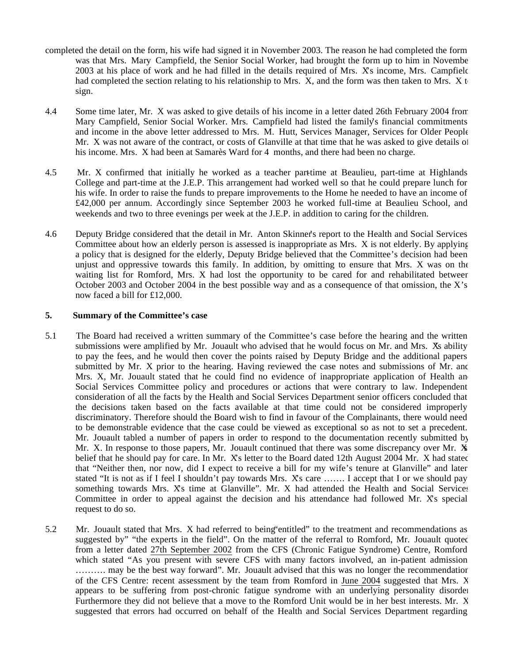- completed the detail on the form, his wife had signed it in November 2003. The reason he had completed the form was that Mrs. Mary Campfield, the Senior Social Worker, had brought the form up to him in November 2003 at his place of work and he had filled in the details required of Mrs. X's income, Mrs. Campfield had completed the section relating to his relationship to Mrs.  $\bar{X}$ , and the form was then taken to Mrs.  $\bar{X}$  t sign.
- 4.4 Some time later, Mr. X was asked to give details of his income in a letter dated 26th February 2004 from Mary Campfield, Senior Social Worker. Mrs. Campfield had listed the family's financial commitments and income in the above letter addressed to Mrs. M. Hutt, Services Manager, Services for Older People. Mr. X was not aware of the contract, or costs of Glanville at that time that he was asked to give details of his income. Mrs. X had been at Samarès Ward for 4 months, and there had been no charge.
- 4.5 Mr. X confirmed that initially he worked as a teacher part-time at Beaulieu, part-time at Highlands College and part-time at the J.E.P. This arrangement had worked well so that he could prepare lunch for his wife. In order to raise the funds to prepare improvements to the Home he needed to have an income of £42,000 per annum. Accordingly since September 2003 he worked full-time at Beaulieu School, and weekends and two to three evenings per week at the J.E.P. in addition to caring for the children.
- 4.6 Deputy Bridge considered that the detail in Mr. Anton Skinner's report to the Health and Social Services Committee about how an elderly person is assessed is inappropriate as Mrs. X is not elderly. By applying a policy that is designed for the elderly, Deputy Bridge believed that the Committee's decision had been unjust and oppressive towards this family. In addition, by omitting to ensure that Mrs. X was on the waiting list for Romford, Mrs. X had lost the opportunity to be cared for and rehabilitated betweer October 2003 and October 2004 in the best possible way and as a consequence of that omission, the X's now faced a bill for £12,000.

### **5. Summary of the Committee's case**

- 5.1 The Board had received a written summary of the Committee's case before the hearing and the written submissions were amplified by Mr. Jouault who advised that he would focus on Mr. and Mrs. Xs ability to pay the fees, and he would then cover the points raised by Deputy Bridge and the additional papers submitted by Mr. X prior to the hearing. Having reviewed the case notes and submissions of Mr. and Mrs. X, Mr. Jouault stated that he could find no evidence of inappropriate application of Health and Social Services Committee policy and procedures or actions that were contrary to law. Independent consideration of all the facts by the Health and Social Services Department senior officers concluded that the decisions taken based on the facts available at that time could not be considered improperly discriminatory. Therefore should the Board wish to find in favour of the Complainants, there would need to be demonstrable evidence that the case could be viewed as exceptional so as not to set a precedent. Mr. Jouault tabled a number of papers in order to respond to the documentation recently submitted by Mr. X. In response to those papers, Mr. Jouault continued that there was some discrepancy over Mr.  $\dot{\mathbf{x}}$ belief that he should pay for care. In Mr.  $X_s$  letter to the Board dated 12th August 2004 Mr.  $X$  had stated that "Neither then, nor now, did I expect to receive a bill for my wife's tenure at Glanville" and later stated "It is not as if I feel I shouldn't pay towards Mrs. X's care ....... I accept that I or we should pay something towards Mrs. X's time at Glanville". Mr. X had attended the Health and Social Services Committee in order to appeal against the decision and his attendance had followed Mr. Xs special request to do so.
- 5.2 Mr. Jouault stated that Mrs. X had referred to being"entitled" to the treatment and recommendations as suggested by" "the experts in the field". On the matter of the referral to Romford, Mr. Jouault quoted from a letter dated 27th September 2002 from the CFS (Chronic Fatigue Syndrome) Centre, Romford which stated "As you present with severe CFS with many factors involved, an in-patient admission ………. may be the best way forward". Mr. Jouault advised that this was no longer the recommendation of the CFS Centre: recent assessment by the team from Romford in June 2004 suggested that Mrs. X appears to be suffering from post-chronic fatigue syndrome with an underlying personality disorder. Furthermore they did not believe that a move to the Romford Unit would be in her best interests. Mr. X suggested that errors had occurred on behalf of the Health and Social Services Department regarding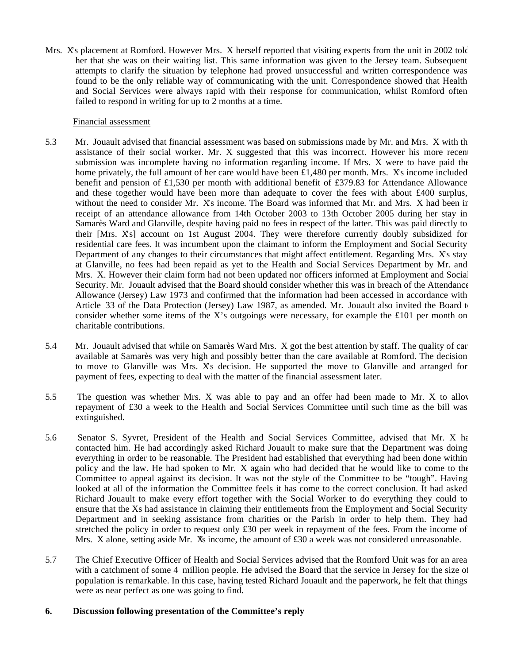Mrs. X's placement at Romford. However Mrs. X herself reported that visiting experts from the unit in 2002 told her that she was on their waiting list. This same information was given to the Jersey team. Subsequent attempts to clarify the situation by telephone had proved unsuccessful and written correspondence was found to be the only reliable way of communicating with the unit. Correspondence showed that Health and Social Services were always rapid with their response for communication, whilst Romford often failed to respond in writing for up to 2 months at a time.

### Financial assessment

- 5.3 Mr. Jouault advised that financial assessment was based on submissions made by Mr. and Mrs. X with the assistance of their social worker. Mr. X suggested that this was incorrect. However his more recent submission was incomplete having no information regarding income. If Mrs. X were to have paid the home privately, the full amount of her care would have been  $\pounds1,480$  per month. Mrs. Xs income included benefit and pension of £1,530 per month with additional benefit of £379.83 for Attendance Allowance and these together would have been more than adequate to cover the fees with about £400 surplus, without the need to consider Mr. Xs income. The Board was informed that Mr. and Mrs. X had been ir receipt of an attendance allowance from 14th October 2003 to 13th October 2005 during her stay in Samarès Ward and Glanville, despite having paid no fees in respect of the latter. This was paid directly to their [Mrs. X's] account on 1st August 2004. They were therefore currently doubly subsidized for residential care fees. It was incumbent upon the claimant to inform the Employment and Social Security Department of any changes to their circumstances that might affect entitlement. Regarding Mrs. X's stay at Glanville, no fees had been repaid as yet to the Health and Social Services Department by Mr. and Mrs. X. However their claim form had not been updated nor officers informed at Employment and Social Security. Mr. Jouault advised that the Board should consider whether this was in breach of the Attendance Allowance (Jersey) Law 1973 and confirmed that the information had been accessed in accordance with Article 33 of the Data Protection (Jersey) Law 1987, as amended. Mr. Jouault also invited the Board to consider whether some items of the X's outgoings were necessary, for example the  $\pounds 101$  per month on charitable contributions.
- 5.4 Mr. Jouault advised that while on Samarès Ward Mrs. X got the best attention by staff. The quality of care available at Samarès was very high and possibly better than the care available at Romford. The decision to move to Glanville was Mrs. X's decision. He supported the move to Glanville and arranged for payment of fees, expecting to deal with the matter of the financial assessment later.
- 5.5 The question was whether Mrs. X was able to pay and an offer had been made to Mr. X to allow repayment of £30 a week to the Health and Social Services Committee until such time as the bill was extinguished.
- 5.6 Senator S. Syvret, President of the Health and Social Services Committee, advised that Mr. X had contacted him. He had accordingly asked Richard Jouault to make sure that the Department was doing everything in order to be reasonable. The President had established that everything had been done within policy and the law. He had spoken to Mr. X again who had decided that he would like to come to the Committee to appeal against its decision. It was not the style of the Committee to be "tough". Having looked at all of the information the Committee feels it has come to the correct conclusion. It had asked Richard Jouault to make every effort together with the Social Worker to do everything they could to ensure that the Xs had assistance in claiming their entitlements from the Employment and Social Security Department and in seeking assistance from charities or the Parish in order to help them. They had stretched the policy in order to request only £30 per week in repayment of the fees. From the income of Mrs. X alone, setting aside Mr.  $\overline{X}$  income, the amount of £30 a week was not considered unreasonable.
- 5.7 The Chief Executive Officer of Health and Social Services advised that the Romford Unit was for an area with a catchment of some 4 million people. He advised the Board that the service in Jersey for the size of population is remarkable. In this case, having tested Richard Jouault and the paperwork, he felt that things were as near perfect as one was going to find.

## **6. Discussion following presentation of the Committee's reply**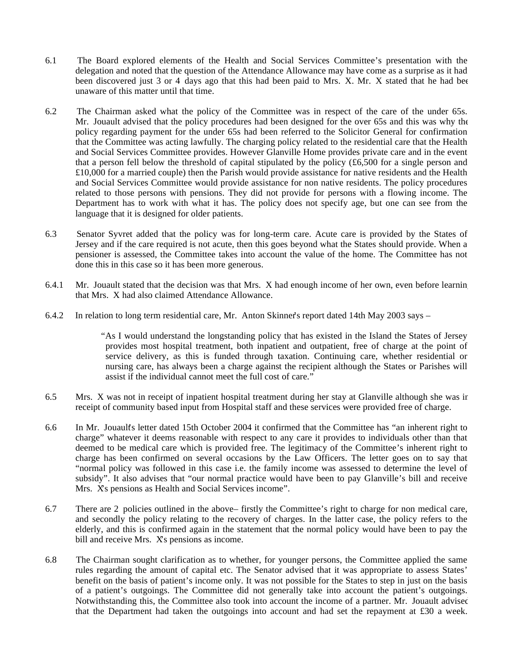- 6.1 The Board explored elements of the Health and Social Services Committee's presentation with the delegation and noted that the question of the Attendance Allowance may have come as a surprise as it had been discovered just 3 or 4 days ago that this had been paid to Mrs. X. Mr. X stated that he had bee unaware of this matter until that time.
- 6.2 The Chairman asked what the policy of the Committee was in respect of the care of the under 65s. Mr. Jouault advised that the policy procedures had been designed for the over 65s and this was why the policy regarding payment for the under 65s had been referred to the Solicitor General for confirmation that the Committee was acting lawfully. The charging policy related to the residential care that the Health and Social Services Committee provides. However Glanville Home provides private care and in the event that a person fell below the threshold of capital stipulated by the policy  $(\text{\pounds}6,500$  for a single person and £10,000 for a married couple) then the Parish would provide assistance for native residents and the Health and Social Services Committee would provide assistance for non native residents. The policy procedures related to those persons with pensions. They did not provide for persons with a flowing income. The Department has to work with what it has. The policy does not specify age, but one can see from the language that it is designed for older patients.
- 6.3 Senator Syvret added that the policy was for long-term care. Acute care is provided by the States of Jersey and if the care required is not acute, then this goes beyond what the States should provide. When a pensioner is assessed, the Committee takes into account the value of the home. The Committee has not done this in this case so it has been more generous.
- 6.4.1 Mr. Jouault stated that the decision was that Mrs. X had enough income of her own, even before learning that Mrs. X had also claimed Attendance Allowance.
- 6.4.2 In relation to long term residential care, Mr. Anton Skinner's report dated 14th May 2003 says –

 "As I would understand the longstanding policy that has existed in the Island the States of Jersey provides most hospital treatment, both inpatient and outpatient, free of charge at the point of service delivery, as this is funded through taxation. Continuing care, whether residential or nursing care, has always been a charge against the recipient although the States or Parishes will assist if the individual cannot meet the full cost of care."

- 6.5 Mrs. X was not in receipt of inpatient hospital treatment during her stay at Glanville although she was in receipt of community based input from Hospital staff and these services were provided free of charge.
- 6.6 In Mr. Jouault's letter dated 15th October 2004 it confirmed that the Committee has "an inherent right to charge" whatever it deems reasonable with respect to any care it provides to individuals other than that deemed to be medical care which is provided free. The legitimacy of the Committee's inherent right to charge has been confirmed on several occasions by the Law Officers. The letter goes on to say that "normal policy was followed in this case i.e. the family income was assessed to determine the level of subsidy". It also advises that "our normal practice would have been to pay Glanville's bill and receive Mrs. X's pensions as Health and Social Services income".
- 6.7 There are 2 policies outlined in the above firstly the Committee's right to charge for non medical care, and secondly the policy relating to the recovery of charges. In the latter case, the policy refers to the elderly, and this is confirmed again in the statement that the normal policy would have been to pay the bill and receive Mrs. Xs pensions as income.
- 6.8 The Chairman sought clarification as to whether, for younger persons, the Committee applied the same rules regarding the amount of capital etc. The Senator advised that it was appropriate to assess States' benefit on the basis of patient's income only. It was not possible for the States to step in just on the basis of a patient's outgoings. The Committee did not generally take into account the patient's outgoings. Notwithstanding this, the Committee also took into account the income of a partner. Mr. Jouault advised that the Department had taken the outgoings into account and had set the repayment at £30 a week.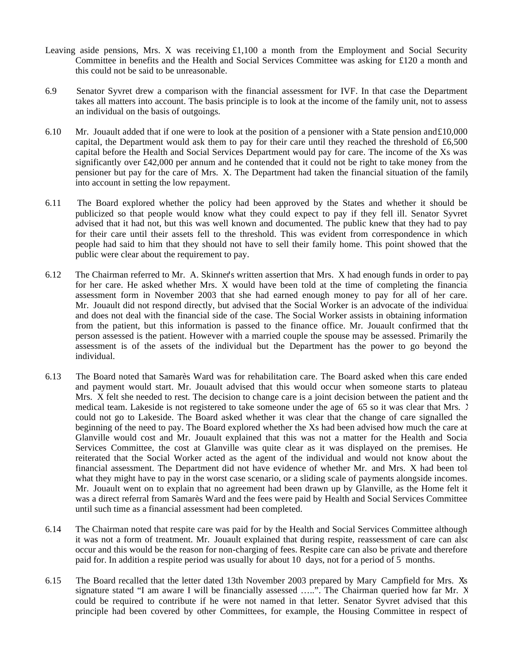- Leaving aside pensions, Mrs. X was receiving £1,100 a month from the Employment and Social Security Committee in benefits and the Health and Social Services Committee was asking for £120 a month and this could not be said to be unreasonable.
- 6.9 Senator Syvret drew a comparison with the financial assessment for IVF. In that case the Department takes all matters into account. The basis principle is to look at the income of the family unit, not to assess an individual on the basis of outgoings.
- 6.10 Mr. Jouault added that if one were to look at the position of a pensioner with a State pension and £10,000 capital, the Department would ask them to pay for their care until they reached the threshold of £6,500 capital before the Health and Social Services Department would pay for care. The income of the Xs was significantly over £42,000 per annum and he contended that it could not be right to take money from the pensioner but pay for the care of Mrs. X. The Department had taken the financial situation of the family into account in setting the low repayment.
- 6.11 The Board explored whether the policy had been approved by the States and whether it should be publicized so that people would know what they could expect to pay if they fell ill. Senator Syvret advised that it had not, but this was well known and documented. The public knew that they had to pay for their care until their assets fell to the threshold. This was evident from correspondence in which people had said to him that they should not have to sell their family home. This point showed that the public were clear about the requirement to pay.
- 6.12 The Chairman referred to Mr. A. Skinner's written assertion that Mrs. X had enough funds in order to pay for her care. He asked whether Mrs. X would have been told at the time of completing the financial assessment form in November 2003 that she had earned enough money to pay for all of her care. Mr. Jouault did not respond directly, but advised that the Social Worker is an advocate of the individual and does not deal with the financial side of the case. The Social Worker assists in obtaining information from the patient, but this information is passed to the finance office. Mr. Jouault confirmed that the person assessed is the patient. However with a married couple the spouse may be assessed. Primarily the assessment is of the assets of the individual but the Department has the power to go beyond the individual.
- 6.13 The Board noted that Samarès Ward was for rehabilitation care. The Board asked when this care ended and payment would start. Mr. Jouault advised that this would occur when someone starts to plateau. Mrs. X felt she needed to rest. The decision to change care is a joint decision between the patient and the medical team. Lakeside is not registered to take someone under the age of 65 so it was clear that Mrs.  $\lambda$ could not go to Lakeside. The Board asked whether it was clear that the change of care signalled the beginning of the need to pay. The Board explored whether the Xs had been advised how much the care at Glanville would cost and Mr. Jouault explained that this was not a matter for the Health and Social Services Committee, the cost at Glanville was quite clear as it was displayed on the premises. He reiterated that the Social Worker acted as the agent of the individual and would not know about the financial assessment. The Department did not have evidence of whether Mr. and Mrs. X had been tol what they might have to pay in the worst case scenario, or a sliding scale of payments alongside incomes. Mr. Jouault went on to explain that no agreement had been drawn up by Glanville, as the Home felt it was a direct referral from Samarès Ward and the fees were paid by Health and Social Services Committee until such time as a financial assessment had been completed.
- 6.14 The Chairman noted that respite care was paid for by the Health and Social Services Committee although it was not a form of treatment. Mr. Jouault explained that during respite, reassessment of care can also occur and this would be the reason for non-charging of fees. Respite care can also be private and therefore paid for. In addition a respite period was usually for about 10 days, not for a period of 5 months.
- 6.15 The Board recalled that the letter dated 13th November 2003 prepared by Mary Campfield for Mrs. X's signature stated "I am aware I will be financially assessed .....". The Chairman queried how far Mr. X could be required to contribute if he were not named in that letter. Senator Syvret advised that this principle had been covered by other Committees, for example, the Housing Committee in respect of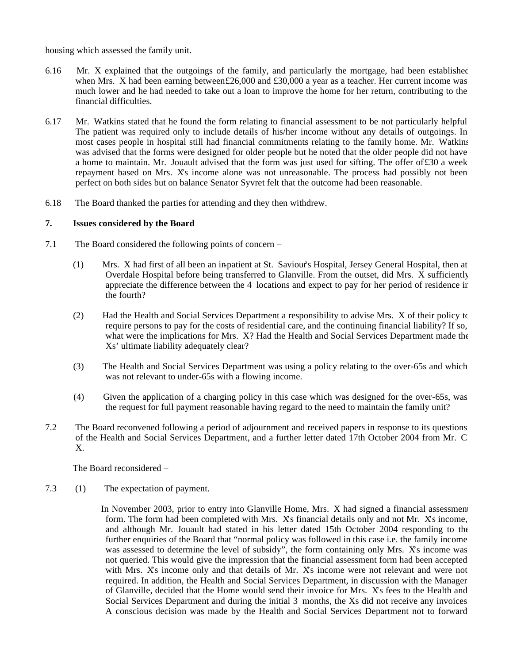housing which assessed the family unit.

- 6.16 Mr. X explained that the outgoings of the family, and particularly the mortgage, had been established when Mrs. X had been earning between£26,000 and £30,000 a year as a teacher. Her current income was much lower and he had needed to take out a loan to improve the home for her return, contributing to the financial difficulties.
- 6.17 Mr. Watkins stated that he found the form relating to financial assessment to be not particularly helpful. The patient was required only to include details of his/her income without any details of outgoings. In most cases people in hospital still had financial commitments relating to the family home. Mr. Watkins was advised that the forms were designed for older people but he noted that the older people did not have a home to maintain. Mr. Jouault advised that the form was just used for sifting. The offer of£30 a week repayment based on Mrs. X's income alone was not unreasonable. The process had possibly not been perfect on both sides but on balance Senator Syvret felt that the outcome had been reasonable.
- 6.18 The Board thanked the parties for attending and they then withdrew.

## **7. Issues considered by the Board**

- 7.1 The Board considered the following points of concern
	- (1) Mrs. X had first of all been an in-patient at St. Saviour's Hospital, Jersey General Hospital, then at Overdale Hospital before being transferred to Glanville. From the outset, did Mrs. X sufficiently appreciate the difference between the 4 locations and expect to pay for her period of residence in the fourth?
	- (2) Had the Health and Social Services Department a responsibility to advise Mrs. X of their policy to require persons to pay for the costs of residential care, and the continuing financial liability? If so, what were the implications for Mrs. X? Had the Health and Social Services Department made the Xs' ultimate liability adequately clear?
	- (3) The Health and Social Services Department was using a policy relating to the over-65s and which was not relevant to under-65s with a flowing income.
	- (4) Given the application of a charging policy in this case which was designed for the over-65s, was the request for full payment reasonable having regard to the need to maintain the family unit?
- 7.2 The Board reconvened following a period of adjournment and received papers in response to its questions of the Health and Social Services Department, and a further letter dated 17th October 2004 from Mr. C. X.

The Board reconsidered –

7.3 (1) The expectation of payment.

In November 2003, prior to entry into Glanville Home, Mrs. X had signed a financial assessment form. The form had been completed with Mrs. X's financial details only and not Mr. X's income, and although Mr. Jouault had stated in his letter dated 15th October 2004 responding to the further enquiries of the Board that "normal policy was followed in this case i.e. the family income was assessed to determine the level of subsidy", the form containing only Mrs. Xs income was not queried. This would give the impression that the financial assessment form had been accepted with Mrs. Xs income only and that details of Mr. Xs income were not relevant and were not required. In addition, the Health and Social Services Department, in discussion with the Manager of Glanville, decided that the Home would send their invoice for Mrs. X's fees to the Health and Social Services Department and during the initial 3 months, the Xs did not receive any invoices. A conscious decision was made by the Health and Social Services Department not to forward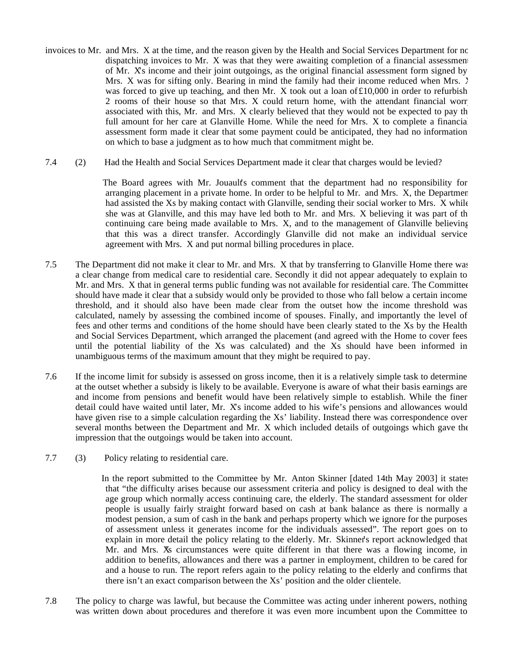- invoices to Mr. and Mrs. X at the time, and the reason given by the Health and Social Services Department for no dispatching invoices to Mr. X was that they were awaiting completion of a financial assessment of Mr. X's income and their joint outgoings, as the original financial assessment form signed by Mrs. X was for sifting only. Bearing in mind the family had their income reduced when Mrs.  $\bar{Y}$ was forced to give up teaching, and then Mr. X took out a loan of  $£10,000$  in order to refurbish 2 rooms of their house so that Mrs. X could return home, with the attendant financial worry associated with this, Mr. and Mrs. X clearly believed that they would not be expected to pay the full amount for her care at Glanville Home. While the need for Mrs. X to complete a financial assessment form made it clear that some payment could be anticipated, they had no information on which to base a judgment as to how much that commitment might be.
- 7.4 (2) Had the Health and Social Services Department made it clear that charges would be levied?

The Board agrees with Mr. Jouault's comment that the department had no responsibility for arranging placement in a private home. In order to be helpful to Mr. and Mrs. X, the Department had assisted the Xs by making contact with Glanville, sending their social worker to Mrs. X while she was at Glanville, and this may have led both to Mr. and Mrs. X believing it was part of the continuing care being made available to Mrs. X, and to the management of Glanville believing that this was a direct transfer. Accordingly Glanville did not make an individual service agreement with Mrs. X and put normal billing procedures in place.

- 7.5 The Department did not make it clear to Mr. and Mrs. X that by transferring to Glanville Home there was a clear change from medical care to residential care. Secondly it did not appear adequately to explain to Mr. and Mrs. X that in general terms public funding was not available for residential care. The Committee should have made it clear that a subsidy would only be provided to those who fall below a certain income threshold, and it should also have been made clear from the outset how the income threshold was calculated, namely by assessing the combined income of spouses. Finally, and importantly the level of fees and other terms and conditions of the home should have been clearly stated to the Xs by the Health and Social Services Department, which arranged the placement (and agreed with the Home to cover fees until the potential liability of the Xs was calculated) and the Xs should have been informed in unambiguous terms of the maximum amount that they might be required to pay.
- 7.6 If the income limit for subsidy is assessed on gross income, then it is a relatively simple task to determine at the outset whether a subsidy is likely to be available. Everyone is aware of what their basis earnings are and income from pensions and benefit would have been relatively simple to establish. While the finer detail could have waited until later, Mr. X's income added to his wife's pensions and allowances would have given rise to a simple calculation regarding the Xs' liability. Instead there was correspondence over several months between the Department and Mr. X which included details of outgoings which gave the impression that the outgoings would be taken into account.
- 7.7 (3) Policy relating to residential care.

 In the report submitted to the Committee by Mr. Anton Skinner [dated 14th May 2003] it states that "the difficulty arises because our assessment criteria and policy is designed to deal with the age group which normally access continuing care, the elderly. The standard assessment for older people is usually fairly straight forward based on cash at bank balance as there is normally a modest pension, a sum of cash in the bank and perhaps property which we ignore for the purposes of assessment unless it generates income for the individuals assessed". The report goes on to explain in more detail the policy relating to the elderly. Mr. Skinner's report acknowledged that Mr. and Mrs. X's circumstances were quite different in that there was a flowing income, in addition to benefits, allowances and there was a partner in employment, children to be cared for and a house to run. The report refers again to the policy relating to the elderly and confirms that there isn't an exact comparison between the Xs' position and the older clientele.

7.8 The policy to charge was lawful, but because the Committee was acting under inherent powers, nothing was written down about procedures and therefore it was even more incumbent upon the Committee to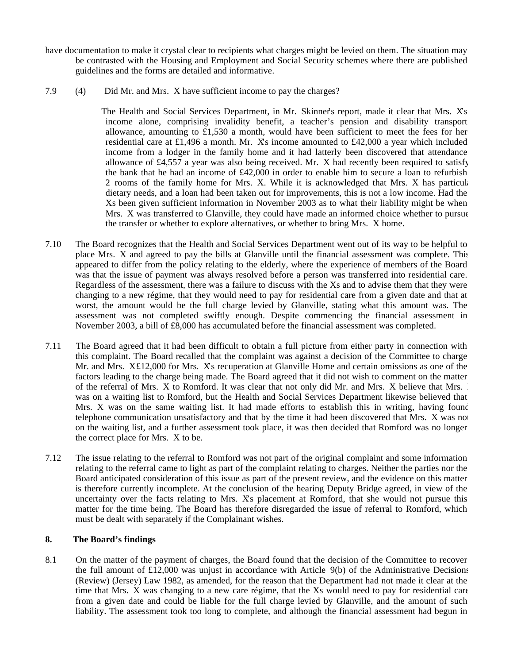- have documentation to make it crystal clear to recipients what charges might be levied on them. The situation may be contrasted with the Housing and Employment and Social Security schemes where there are published guidelines and the forms are detailed and informative.
- 7.9 (4) Did Mr. and Mrs. X have sufficient income to pay the charges?

 The Health and Social Services Department, in Mr. Skinner's report, made it clear that Mrs. X's income alone, comprising invalidity benefit, a teacher's pension and disability transport allowance, amounting to £1,530 a month, would have been sufficient to meet the fees for her residential care at £1,496 a month. Mr. Xs income amounted to £42,000 a year which included income from a lodger in the family home and it had latterly been discovered that attendance allowance of £4,557 a year was also being received. Mr.  $X$  had recently been required to satisfy the bank that he had an income of £42,000 in order to enable him to secure a loan to refurbish 2 rooms of the family home for Mrs. X. While it is acknowledged that Mrs. X has particular dietary needs, and a loan had been taken out for improvements, this is not a low income. Had the Xs been given sufficient information in November 2003 as to what their liability might be when Mrs. X was transferred to Glanville, they could have made an informed choice whether to pursue the transfer or whether to explore alternatives, or whether to bring Mrs. X home.

- 7.10 The Board recognizes that the Health and Social Services Department went out of its way to be helpful to place Mrs. X and agreed to pay the bills at Glanville until the financial assessment was complete. This appeared to differ from the policy relating to the elderly, where the experience of members of the Board was that the issue of payment was always resolved before a person was transferred into residential care. Regardless of the assessment, there was a failure to discuss with the Xs and to advise them that they were changing to a new régime, that they would need to pay for residential care from a given date and that at worst, the amount would be the full charge levied by Glanville, stating what this amount was. The assessment was not completed swiftly enough. Despite commencing the financial assessment in November 2003, a bill of £8,000 has accumulated before the financial assessment was completed.
- 7.11 The Board agreed that it had been difficult to obtain a full picture from either party in connection with this complaint. The Board recalled that the complaint was against a decision of the Committee to charge Mr. and Mrs. X£12,000 for Mrs. X's recuperation at Glanville Home and certain omissions as one of the factors leading to the charge being made. The Board agreed that it did not wish to comment on the matter of the referral of Mrs. X to Romford. It was clear that not only did Mr. and Mrs. X believe that Mrs. X was on a waiting list to Romford, but the Health and Social Services Department likewise believed that Mrs. X was on the same waiting list. It had made efforts to establish this in writing, having found telephone communication unsatisfactory and that by the time it had been discovered that Mrs. X was not on the waiting list, and a further assessment took place, it was then decided that Romford was no longer the correct place for Mrs. X to be.
- 7.12 The issue relating to the referral to Romford was not part of the original complaint and some information relating to the referral came to light as part of the complaint relating to charges. Neither the parties nor the Board anticipated consideration of this issue as part of the present review, and the evidence on this matter is therefore currently incomplete. At the conclusion of the hearing Deputy Bridge agreed, in view of the uncertainty over the facts relating to Mrs. X's placement at Romford, that she would not pursue this matter for the time being. The Board has therefore disregarded the issue of referral to Romford, which must be dealt with separately if the Complainant wishes.

## **8. The Board's findings**

8.1 On the matter of the payment of charges, the Board found that the decision of the Committee to recover the full amount of  $£12,000$  was unjust in accordance with Article  $9(b)$  of the Administrative Decisions (Review) (Jersey) Law 1982, as amended, for the reason that the Department had not made it clear at the time that Mrs. X was changing to a new care régime, that the Xs would need to pay for residential care from a given date and could be liable for the full charge levied by Glanville, and the amount of such liability. The assessment took too long to complete, and although the financial assessment had begun in